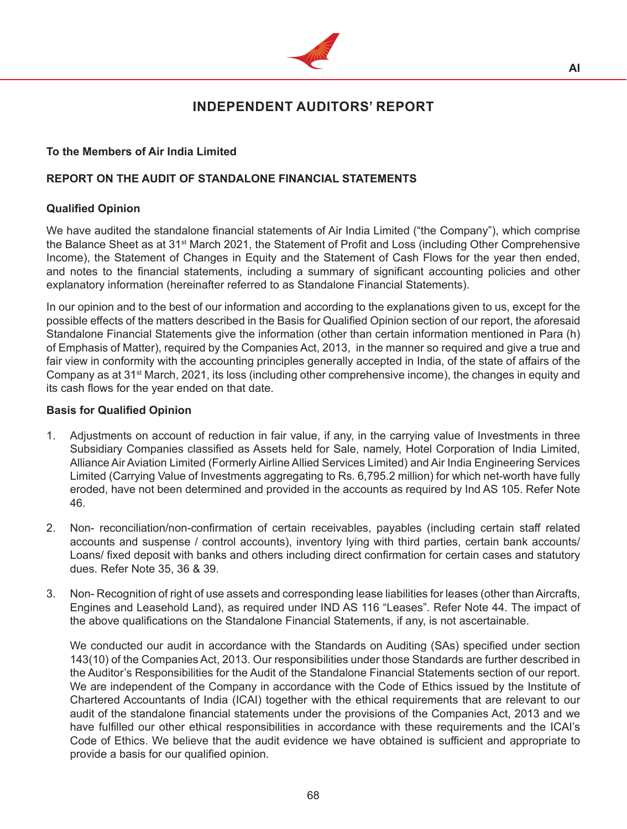

# **INDEPENDENT AUDITORS' REPORT**

### **To the Members of Air India Limited**

### **REPORT ON THE AUDIT OF STANDALONE FINANCIAL STATEMENTS**

### **Qualified Opinion**

We have audited the standalone financial statements of Air India Limited ("the Company"), which comprise the Balance Sheet as at 31<sup>st</sup> March 2021, the Statement of Profit and Loss (including Other Comprehensive Income), the Statement of Changes in Equity and the Statement of Cash Flows for the year then ended, and notes to the financial statements, including a summary of significant accounting policies and other explanatory information (hereinafter referred to as Standalone Financial Statements).

In our opinion and to the best of our information and according to the explanations given to us, except for the possible effects of the matters described in the Basis for Qualified Opinion section of our report, the aforesaid Standalone Financial Statements give the information (other than certain information mentioned in Para (h) of Emphasis of Matter), required by the Companies Act, 2013, in the manner so required and give a true and fair view in conformity with the accounting principles generally accepted in India, of the state of affairs of the Company as at 31st March, 2021, its loss (including other comprehensive income), the changes in equity and its cash flows for the year ended on that date.

#### **Basis for Qualified Opinion**

- 1. Adjustments on account of reduction in fair value, if any, in the carrying value of Investments in three Subsidiary Companies classified as Assets held for Sale, namely, Hotel Corporation of India Limited, Alliance Air Aviation Limited (Formerly Airline Allied Services Limited) and Air India Engineering Services Limited (Carrying Value of Investments aggregating to Rs. 6,795.2 million) for which net-worth have fully eroded, have not been determined and provided in the accounts as required by Ind AS 105. Refer Note 46.
- 2. Non- reconciliation/non-confirmation of certain receivables, payables (including certain staff related accounts and suspense / control accounts), inventory lying with third parties, certain bank accounts/ Loans/ fixed deposit with banks and others including direct confirmation for certain cases and statutory dues. Refer Note 35, 36 & 39.
- 3. Non- Recognition of right of use assets and corresponding lease liabilities for leases (other than Aircrafts, Engines and Leasehold Land), as required under IND AS 116 "Leases". Refer Note 44. The impact of the above qualifications on the Standalone Financial Statements, if any, is not ascertainable.

 We conducted our audit in accordance with the Standards on Auditing (SAs) specified under section 143(10) of the Companies Act, 2013. Our responsibilities under those Standards are further described in the Auditor's Responsibilities for the Audit of the Standalone Financial Statements section of our report. We are independent of the Company in accordance with the Code of Ethics issued by the Institute of Chartered Accountants of India (ICAI) together with the ethical requirements that are relevant to our audit of the standalone financial statements under the provisions of the Companies Act, 2013 and we have fulfilled our other ethical responsibilities in accordance with these requirements and the ICAI's Code of Ethics. We believe that the audit evidence we have obtained is sufficient and appropriate to provide a basis for our qualified opinion.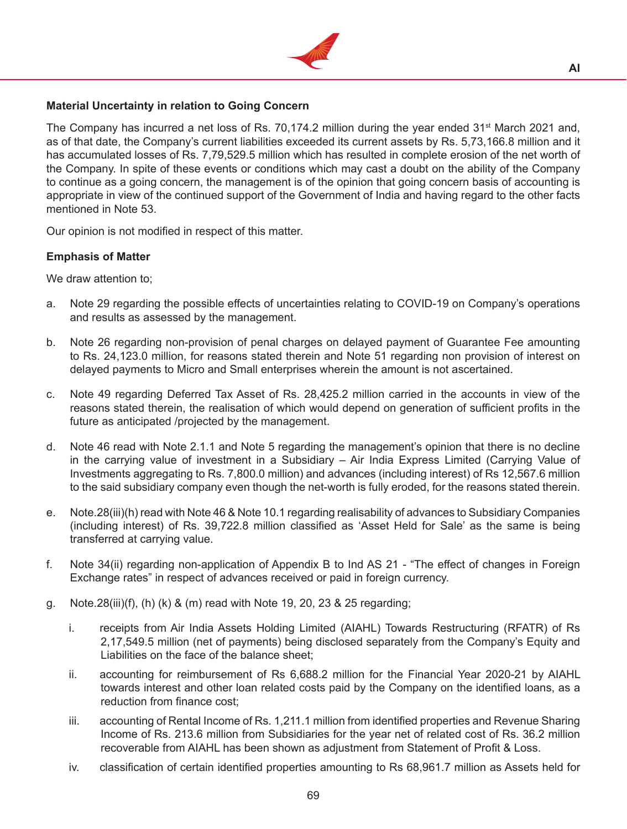

### **Material Uncertainty in relation to Going Concern**

The Company has incurred a net loss of Rs. 70,174.2 million during the year ended  $31<sup>st</sup>$  March 2021 and, as of that date, the Company's current liabilities exceeded its current assets by Rs. 5,73,166.8 million and it has accumulated losses of Rs. 7,79,529.5 million which has resulted in complete erosion of the net worth of the Company. In spite of these events or conditions which may cast a doubt on the ability of the Company to continue as a going concern, the management is of the opinion that going concern basis of accounting is appropriate in view of the continued support of the Government of India and having regard to the other facts mentioned in Note 53.

Our opinion is not modified in respect of this matter.

#### **Emphasis of Matter**

We draw attention to;

- a. Note 29 regarding the possible effects of uncertainties relating to COVID-19 on Company's operations and results as assessed by the management.
- b. Note 26 regarding non-provision of penal charges on delayed payment of Guarantee Fee amounting to Rs. 24,123.0 million, for reasons stated therein and Note 51 regarding non provision of interest on delayed payments to Micro and Small enterprises wherein the amount is not ascertained.
- c. Note 49 regarding Deferred Tax Asset of Rs. 28,425.2 million carried in the accounts in view of the reasons stated therein, the realisation of which would depend on generation of sufficient profits in the future as anticipated /projected by the management.
- d. Note 46 read with Note 2.1.1 and Note 5 regarding the management's opinion that there is no decline in the carrying value of investment in a Subsidiary – Air India Express Limited (Carrying Value of Investments aggregating to Rs. 7,800.0 million) and advances (including interest) of Rs 12,567.6 million to the said subsidiary company even though the net-worth is fully eroded, for the reasons stated therein.
- e. Note.28(iii)(h) read with Note 46 & Note 10.1 regarding realisability of advances to Subsidiary Companies (including interest) of Rs. 39,722.8 million classified as 'Asset Held for Sale' as the same is being transferred at carrying value.
- f. Note 34(ii) regarding non-application of Appendix B to Ind AS 21 "The effect of changes in Foreign Exchange rates" in respect of advances received or paid in foreign currency.
- g. Note.28(iii)(f), (h) (k) & (m) read with Note 19, 20, 23 & 25 regarding;
	- i. receipts from Air India Assets Holding Limited (AIAHL) Towards Restructuring (RFATR) of Rs 2,17,549.5 million (net of payments) being disclosed separately from the Company's Equity and Liabilities on the face of the balance sheet;
	- ii. accounting for reimbursement of Rs 6,688.2 million for the Financial Year 2020-21 by AIAHL towards interest and other loan related costs paid by the Company on the identified loans, as a reduction from finance cost;
	- iii. accounting of Rental Income of Rs. 1,211.1 million from identified properties and Revenue Sharing Income of Rs. 213.6 million from Subsidiaries for the year net of related cost of Rs. 36.2 million recoverable from AIAHL has been shown as adjustment from Statement of Profit & Loss.
	- iv. classification of certain identified properties amounting to Rs 68,961.7 million as Assets held for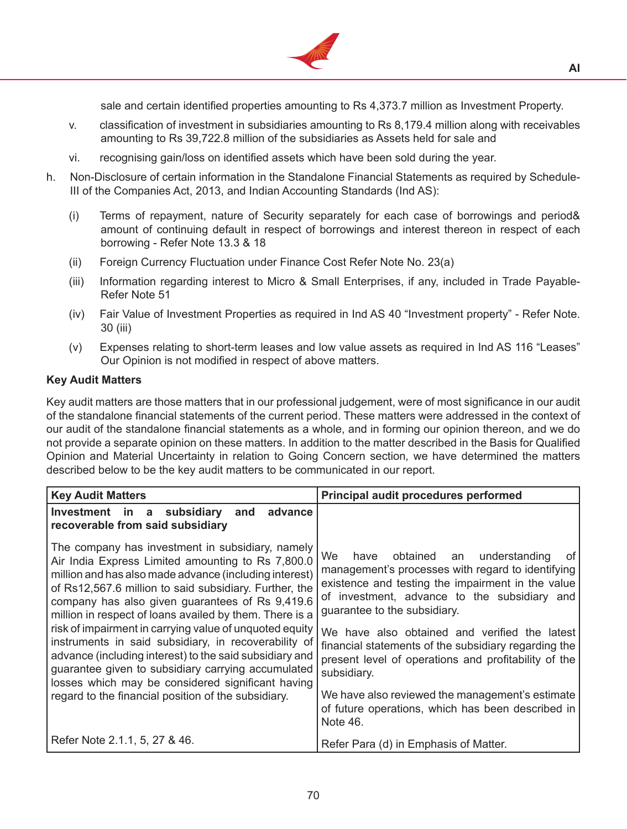

sale and certain identified properties amounting to Rs 4,373.7 million as Investment Property.

- v. classification of investment in subsidiaries amounting to Rs 8,179.4 million along with receivables amounting to Rs 39,722.8 million of the subsidiaries as Assets held for sale and
- vi. recognising gain/loss on identified assets which have been sold during the year.
- h. Non-Disclosure of certain information in the Standalone Financial Statements as required by Schedule-III of the Companies Act, 2013, and Indian Accounting Standards (Ind AS):
	- (i) Terms of repayment, nature of Security separately for each case of borrowings and period& amount of continuing default in respect of borrowings and interest thereon in respect of each borrowing - Refer Note 13.3 & 18
	- (ii) Foreign Currency Fluctuation under Finance Cost Refer Note No. 23(a)
	- (iii) Information regarding interest to Micro & Small Enterprises, if any, included in Trade Payable-Refer Note 51
	- (iv) Fair Value of Investment Properties as required in Ind AS 40 "Investment property" Refer Note. 30 (iii)
	- (v) Expenses relating to short-term leases and low value assets as required in Ind AS 116 "Leases" Our Opinion is not modified in respect of above matters.

#### **Key Audit Matters**

Key audit matters are those matters that in our professional judgement, were of most significance in our audit of the standalone financial statements of the current period. These matters were addressed in the context of our audit of the standalone financial statements as a whole, and in forming our opinion thereon, and we do not provide a separate opinion on these matters. In addition to the matter described in the Basis for Qualified Opinion and Material Uncertainty in relation to Going Concern section*,* we have determined the matters described below to be the key audit matters to be communicated in our report.

| <b>Key Audit Matters</b>                                                                                                                                                                                                                                                                                                                                                                                                                                                                                                                                                                                                                                                                | Principal audit procedures performed                                                                                                                                                                                                                                                                                                                                                                                                                                                                                                            |  |
|-----------------------------------------------------------------------------------------------------------------------------------------------------------------------------------------------------------------------------------------------------------------------------------------------------------------------------------------------------------------------------------------------------------------------------------------------------------------------------------------------------------------------------------------------------------------------------------------------------------------------------------------------------------------------------------------|-------------------------------------------------------------------------------------------------------------------------------------------------------------------------------------------------------------------------------------------------------------------------------------------------------------------------------------------------------------------------------------------------------------------------------------------------------------------------------------------------------------------------------------------------|--|
| Investment in a subsidiary<br>advance<br>and<br>recoverable from said subsidiary                                                                                                                                                                                                                                                                                                                                                                                                                                                                                                                                                                                                        |                                                                                                                                                                                                                                                                                                                                                                                                                                                                                                                                                 |  |
| The company has investment in subsidiary, namely<br>Air India Express Limited amounting to Rs 7,800.0<br>million and has also made advance (including interest)<br>of Rs12,567.6 million to said subsidiary. Further, the<br>company has also given guarantees of Rs 9,419.6<br>million in respect of loans availed by them. There is a<br>risk of impairment in carrying value of unquoted equity<br>instruments in said subsidiary, in recoverability of<br>advance (including interest) to the said subsidiary and<br>guarantee given to subsidiary carrying accumulated<br>losses which may be considered significant having<br>regard to the financial position of the subsidiary. | We.<br>obtained an<br>understanding<br>have<br>0t<br>management's processes with regard to identifying<br>existence and testing the impairment in the value<br>of investment, advance to the subsidiary and<br>guarantee to the subsidiary.<br>We have also obtained and verified the latest<br>financial statements of the subsidiary regarding the<br>present level of operations and profitability of the<br>subsidiary.<br>We have also reviewed the management's estimate<br>of future operations, which has been described in<br>Note 46. |  |
| Refer Note 2.1.1, 5, 27 & 46.                                                                                                                                                                                                                                                                                                                                                                                                                                                                                                                                                                                                                                                           | Refer Para (d) in Emphasis of Matter.                                                                                                                                                                                                                                                                                                                                                                                                                                                                                                           |  |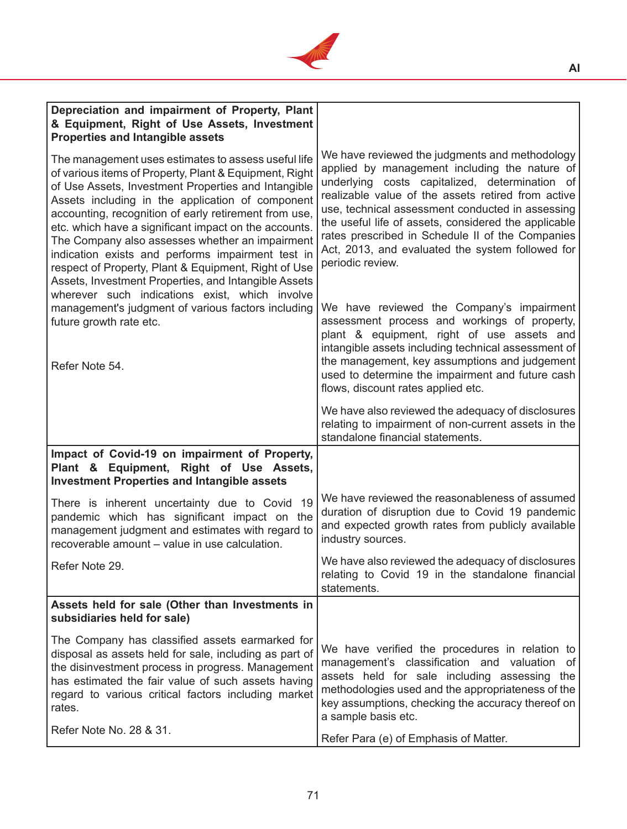

| Depreciation and impairment of Property, Plant<br>& Equipment, Right of Use Assets, Investment<br><b>Properties and Intangible assets</b>                                                                                                                                                                                                                                                                                                                                                                                                                                                                            |                                                                                                                                                                                                                                                                                                                                                                                                                                                 |
|----------------------------------------------------------------------------------------------------------------------------------------------------------------------------------------------------------------------------------------------------------------------------------------------------------------------------------------------------------------------------------------------------------------------------------------------------------------------------------------------------------------------------------------------------------------------------------------------------------------------|-------------------------------------------------------------------------------------------------------------------------------------------------------------------------------------------------------------------------------------------------------------------------------------------------------------------------------------------------------------------------------------------------------------------------------------------------|
| The management uses estimates to assess useful life<br>of various items of Property, Plant & Equipment, Right<br>of Use Assets, Investment Properties and Intangible<br>Assets including in the application of component<br>accounting, recognition of early retirement from use,<br>etc. which have a significant impact on the accounts.<br>The Company also assesses whether an impairment<br>indication exists and performs impairment test in<br>respect of Property, Plant & Equipment, Right of Use<br>Assets, Investment Properties, and Intangible Assets<br>wherever such indications exist, which involve | We have reviewed the judgments and methodology<br>applied by management including the nature of<br>underlying costs capitalized, determination of<br>realizable value of the assets retired from active<br>use, technical assessment conducted in assessing<br>the useful life of assets, considered the applicable<br>rates prescribed in Schedule II of the Companies<br>Act, 2013, and evaluated the system followed for<br>periodic review. |
| management's judgment of various factors including<br>future growth rate etc.<br>Refer Note 54.                                                                                                                                                                                                                                                                                                                                                                                                                                                                                                                      | We have reviewed the Company's impairment<br>assessment process and workings of property,<br>plant & equipment, right of use assets and<br>intangible assets including technical assessment of<br>the management, key assumptions and judgement<br>used to determine the impairment and future cash<br>flows, discount rates applied etc.                                                                                                       |
|                                                                                                                                                                                                                                                                                                                                                                                                                                                                                                                                                                                                                      | We have also reviewed the adequacy of disclosures<br>relating to impairment of non-current assets in the<br>standalone financial statements.                                                                                                                                                                                                                                                                                                    |
| Impact of Covid-19 on impairment of Property,<br>Plant & Equipment, Right of Use Assets,<br><b>Investment Properties and Intangible assets</b>                                                                                                                                                                                                                                                                                                                                                                                                                                                                       |                                                                                                                                                                                                                                                                                                                                                                                                                                                 |
| There is inherent uncertainty due to Covid 19<br>pandemic which has significant impact on the<br>management judgment and estimates with regard to<br>recoverable amount – value in use calculation.                                                                                                                                                                                                                                                                                                                                                                                                                  | We have reviewed the reasonableness of assumed<br>duration of disruption due to Covid 19 pandemic<br>and expected growth rates from publicly available<br>industry sources.                                                                                                                                                                                                                                                                     |
| Refer Note 29.                                                                                                                                                                                                                                                                                                                                                                                                                                                                                                                                                                                                       | We have also reviewed the adequacy of disclosures<br>relating to Covid 19 in the standalone financial<br>statements.                                                                                                                                                                                                                                                                                                                            |
| Assets held for sale (Other than Investments in<br>subsidiaries held for sale)                                                                                                                                                                                                                                                                                                                                                                                                                                                                                                                                       |                                                                                                                                                                                                                                                                                                                                                                                                                                                 |
| The Company has classified assets earmarked for<br>disposal as assets held for sale, including as part of<br>the disinvestment process in progress. Management<br>has estimated the fair value of such assets having<br>regard to various critical factors including market<br>rates.<br>Refer Note No. 28 & 31.                                                                                                                                                                                                                                                                                                     | We have verified the procedures in relation to<br>management's classification and valuation of<br>assets held for sale including assessing the<br>methodologies used and the appropriateness of the<br>key assumptions, checking the accuracy thereof on<br>a sample basis etc.                                                                                                                                                                 |
|                                                                                                                                                                                                                                                                                                                                                                                                                                                                                                                                                                                                                      | Refer Para (e) of Emphasis of Matter.                                                                                                                                                                                                                                                                                                                                                                                                           |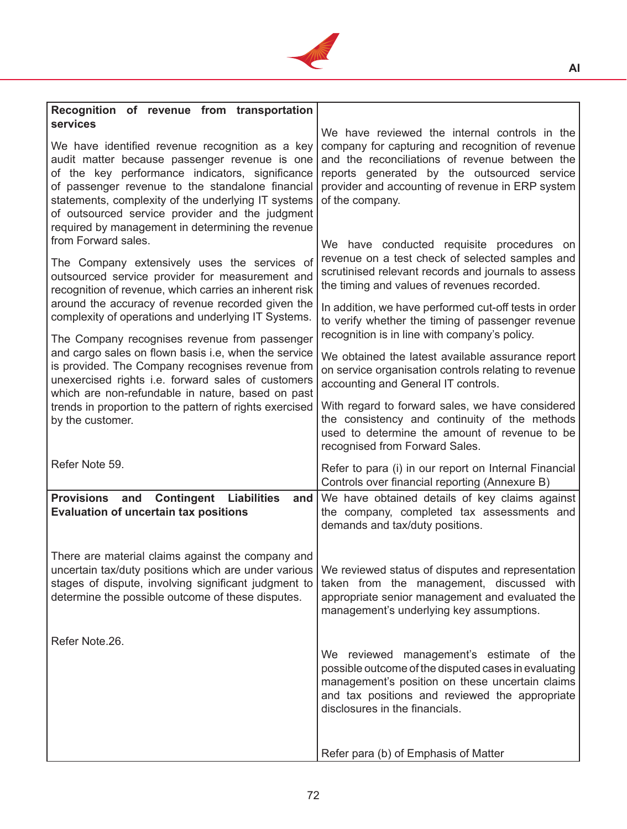

| Recognition of revenue from transportation<br>services                                                                                                                                                                                                                                                                                                                 |                                                                                                                                                                                                                                                                           |  |
|------------------------------------------------------------------------------------------------------------------------------------------------------------------------------------------------------------------------------------------------------------------------------------------------------------------------------------------------------------------------|---------------------------------------------------------------------------------------------------------------------------------------------------------------------------------------------------------------------------------------------------------------------------|--|
| We have identified revenue recognition as a key<br>audit matter because passenger revenue is one<br>of the key performance indicators, significance<br>of passenger revenue to the standalone financial<br>statements, complexity of the underlying IT systems<br>of outsourced service provider and the judgment<br>required by management in determining the revenue | We have reviewed the internal controls in the<br>company for capturing and recognition of revenue<br>and the reconciliations of revenue between the<br>reports generated by the outsourced service<br>provider and accounting of revenue in ERP system<br>of the company. |  |
| from Forward sales.<br>The Company extensively uses the services of<br>outsourced service provider for measurement and<br>recognition of revenue, which carries an inherent risk                                                                                                                                                                                       | We have conducted requisite procedures on<br>revenue on a test check of selected samples and<br>scrutinised relevant records and journals to assess<br>the timing and values of revenues recorded.                                                                        |  |
| around the accuracy of revenue recorded given the<br>complexity of operations and underlying IT Systems.                                                                                                                                                                                                                                                               | In addition, we have performed cut-off tests in order<br>to verify whether the timing of passenger revenue<br>recognition is in line with company's policy.                                                                                                               |  |
| The Company recognises revenue from passenger<br>and cargo sales on flown basis i.e, when the service<br>is provided. The Company recognises revenue from<br>unexercised rights i.e. forward sales of customers<br>which are non-refundable in nature, based on past                                                                                                   | We obtained the latest available assurance report<br>on service organisation controls relating to revenue<br>accounting and General IT controls.                                                                                                                          |  |
| trends in proportion to the pattern of rights exercised<br>by the customer.                                                                                                                                                                                                                                                                                            | With regard to forward sales, we have considered<br>the consistency and continuity of the methods<br>used to determine the amount of revenue to be<br>recognised from Forward Sales.                                                                                      |  |
| Refer Note 59.                                                                                                                                                                                                                                                                                                                                                         | Refer to para (i) in our report on Internal Financial<br>Controls over financial reporting (Annexure B)                                                                                                                                                                   |  |
| <b>Provisions</b><br><b>Contingent</b><br><b>Liabilities</b><br>and<br>and<br><b>Evaluation of uncertain tax positions</b>                                                                                                                                                                                                                                             | We have obtained details of key claims against<br>the company, completed tax assessments and<br>demands and tax/duty positions.                                                                                                                                           |  |
| There are material claims against the company and<br>uncertain tax/duty positions which are under various<br>stages of dispute, involving significant judgment to<br>determine the possible outcome of these disputes.                                                                                                                                                 | We reviewed status of disputes and representation<br>taken from the management, discussed with<br>appropriate senior management and evaluated the<br>management's underlying key assumptions.                                                                             |  |
| Refer Note.26.                                                                                                                                                                                                                                                                                                                                                         | We reviewed management's estimate of the<br>possible outcome of the disputed cases in evaluating<br>management's position on these uncertain claims<br>and tax positions and reviewed the appropriate<br>disclosures in the financials.                                   |  |
|                                                                                                                                                                                                                                                                                                                                                                        | Refer para (b) of Emphasis of Matter                                                                                                                                                                                                                                      |  |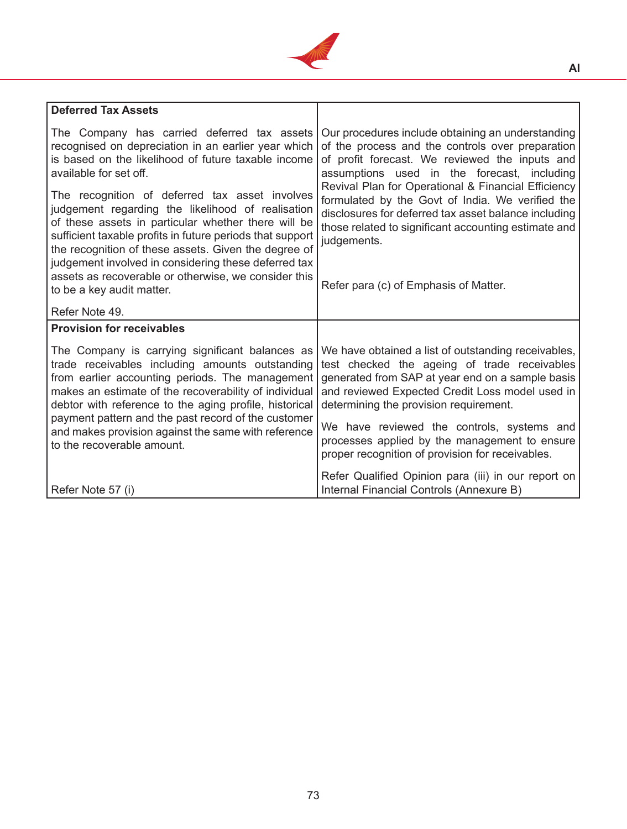

| <b>Deferred Tax Assets</b>                                                                                                                                                                                                                                                                                                              |                                                                                                                                                                                                                                                      |  |
|-----------------------------------------------------------------------------------------------------------------------------------------------------------------------------------------------------------------------------------------------------------------------------------------------------------------------------------------|------------------------------------------------------------------------------------------------------------------------------------------------------------------------------------------------------------------------------------------------------|--|
| The Company has carried deferred tax assets<br>recognised on depreciation in an earlier year which<br>is based on the likelihood of future taxable income<br>available for set off.                                                                                                                                                     | Our procedures include obtaining an understanding<br>of the process and the controls over preparation<br>of profit forecast. We reviewed the inputs and<br>assumptions used in the forecast, including                                               |  |
| The recognition of deferred tax asset involves<br>judgement regarding the likelihood of realisation<br>of these assets in particular whether there will be<br>sufficient taxable profits in future periods that support<br>the recognition of these assets. Given the degree of<br>judgement involved in considering these deferred tax | Revival Plan for Operational & Financial Efficiency<br>formulated by the Govt of India. We verified the<br>disclosures for deferred tax asset balance including<br>those related to significant accounting estimate and<br>judgements.               |  |
| assets as recoverable or otherwise, we consider this<br>to be a key audit matter.                                                                                                                                                                                                                                                       | Refer para (c) of Emphasis of Matter.                                                                                                                                                                                                                |  |
| Refer Note 49.                                                                                                                                                                                                                                                                                                                          |                                                                                                                                                                                                                                                      |  |
| <b>Provision for receivables</b>                                                                                                                                                                                                                                                                                                        |                                                                                                                                                                                                                                                      |  |
| The Company is carrying significant balances as<br>trade receivables including amounts outstanding<br>from earlier accounting periods. The management<br>makes an estimate of the recoverability of individual<br>debtor with reference to the aging profile, historical                                                                | We have obtained a list of outstanding receivables,<br>test checked the ageing of trade receivables<br>generated from SAP at year end on a sample basis<br>and reviewed Expected Credit Loss model used in<br>determining the provision requirement. |  |
| payment pattern and the past record of the customer<br>and makes provision against the same with reference<br>to the recoverable amount.                                                                                                                                                                                                | We have reviewed the controls, systems and<br>processes applied by the management to ensure<br>proper recognition of provision for receivables.                                                                                                      |  |
| Refer Note 57 (i)                                                                                                                                                                                                                                                                                                                       | Refer Qualified Opinion para (iii) in our report on<br>Internal Financial Controls (Annexure B)                                                                                                                                                      |  |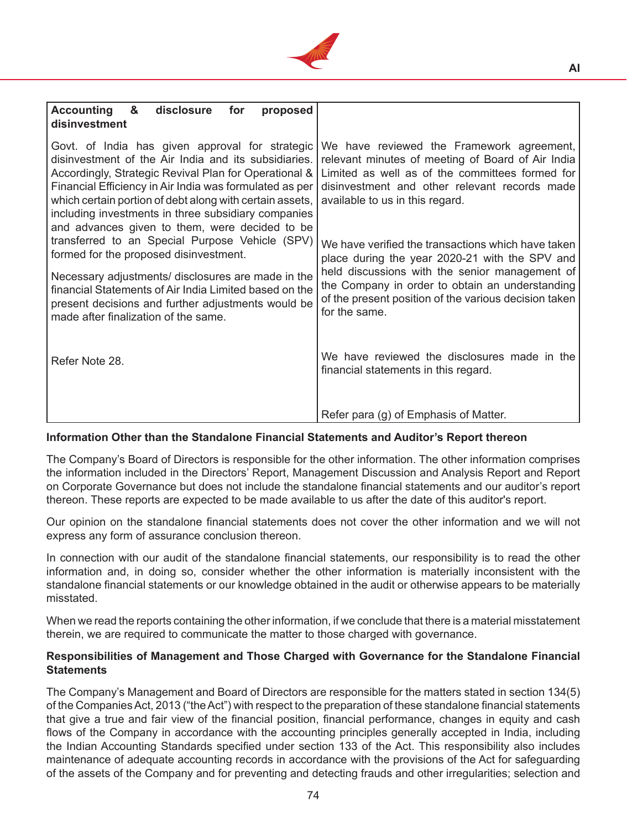

| <b>Accounting</b><br>&<br>disclosure<br>for<br>proposed<br>disinvestment                                                                                                                                                                                                                                                                                                                                                                            |                                                                                                                                                                                                                                                                                                                                                                                                                                                                                                                              |  |
|-----------------------------------------------------------------------------------------------------------------------------------------------------------------------------------------------------------------------------------------------------------------------------------------------------------------------------------------------------------------------------------------------------------------------------------------------------|------------------------------------------------------------------------------------------------------------------------------------------------------------------------------------------------------------------------------------------------------------------------------------------------------------------------------------------------------------------------------------------------------------------------------------------------------------------------------------------------------------------------------|--|
| Govt. of India has given approval for strategic<br>disinvestment of the Air India and its subsidiaries.<br>Accordingly, Strategic Revival Plan for Operational &<br>Financial Efficiency in Air India was formulated as per<br>which certain portion of debt along with certain assets,<br>including investments in three subsidiary companies<br>and advances given to them, were decided to be<br>transferred to an Special Purpose Vehicle (SPV) | We have reviewed the Framework agreement,<br>relevant minutes of meeting of Board of Air India<br>Limited as well as of the committees formed for<br>disinvestment and other relevant records made<br>available to us in this regard.<br>We have verified the transactions which have taken<br>place during the year 2020-21 with the SPV and<br>held discussions with the senior management of<br>the Company in order to obtain an understanding<br>of the present position of the various decision taken<br>for the same. |  |
| formed for the proposed disinvestment.<br>Necessary adjustments/ disclosures are made in the<br>financial Statements of Air India Limited based on the<br>present decisions and further adjustments would be<br>made after finalization of the same.                                                                                                                                                                                                |                                                                                                                                                                                                                                                                                                                                                                                                                                                                                                                              |  |
| Refer Note 28.                                                                                                                                                                                                                                                                                                                                                                                                                                      | We have reviewed the disclosures made in the<br>financial statements in this regard.                                                                                                                                                                                                                                                                                                                                                                                                                                         |  |
|                                                                                                                                                                                                                                                                                                                                                                                                                                                     | Refer para (g) of Emphasis of Matter.                                                                                                                                                                                                                                                                                                                                                                                                                                                                                        |  |

### **Information Other than the Standalone Financial Statements and Auditor's Report thereon**

The Company's Board of Directors is responsible for the other information. The other information comprises the information included in the Directors' Report, Management Discussion and Analysis Report and Report on Corporate Governance but does not include the standalone financial statements and our auditor's report thereon. These reports are expected to be made available to us after the date of this auditor's report.

Our opinion on the standalone financial statements does not cover the other information and we will not express any form of assurance conclusion thereon.

In connection with our audit of the standalone financial statements, our responsibility is to read the other information and, in doing so, consider whether the other information is materially inconsistent with the standalone financial statements or our knowledge obtained in the audit or otherwise appears to be materially misstated.

When we read the reports containing the other information, if we conclude that there is a material misstatement therein, we are required to communicate the matter to those charged with governance.

#### **Responsibilities of Management and Those Charged with Governance for the Standalone Financial Statements**

The Company's Management and Board of Directors are responsible for the matters stated in section 134(5) of the CompaniesAct, 2013 ("theAct") with respect to the preparation of these standalone financial statements that give a true and fair view of the financial position, financial performance, changes in equity and cash flows of the Company in accordance with the accounting principles generally accepted in India, including the Indian Accounting Standards specified under section 133 of the Act. This responsibility also includes maintenance of adequate accounting records in accordance with the provisions of the Act for safeguarding of the assets of the Company and for preventing and detecting frauds and other irregularities; selection and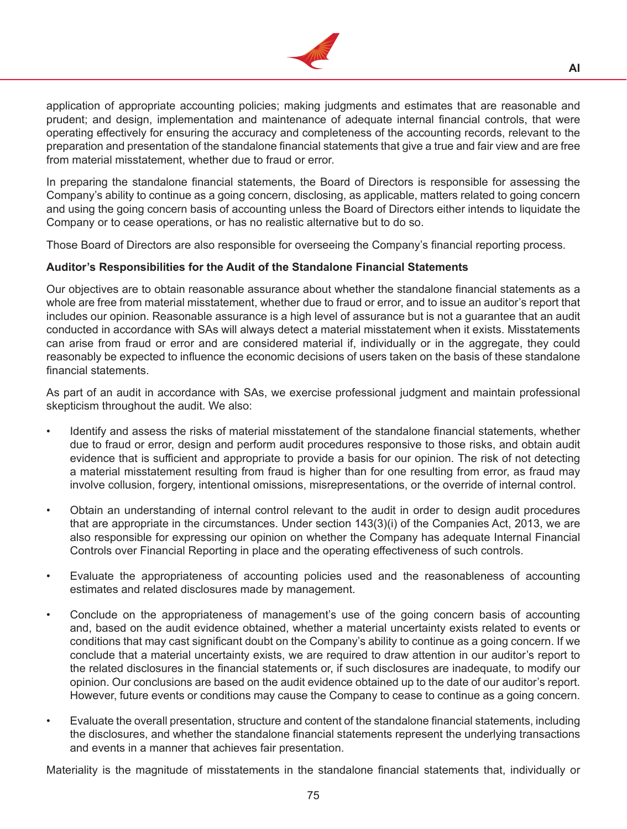

application of appropriate accounting policies; making judgments and estimates that are reasonable and prudent; and design, implementation and maintenance of adequate internal financial controls, that were operating effectively for ensuring the accuracy and completeness of the accounting records, relevant to the preparation and presentation of the standalone financial statements that give a true and fair view and are free from material misstatement, whether due to fraud or error.

In preparing the standalone financial statements, the Board of Directors is responsible for assessing the Company's ability to continue as a going concern, disclosing, as applicable, matters related to going concern and using the going concern basis of accounting unless the Board of Directors either intends to liquidate the Company or to cease operations, or has no realistic alternative but to do so.

Those Board of Directors are also responsible for overseeing the Company's financial reporting process.

### **Auditor's Responsibilities for the Audit of the Standalone Financial Statements**

Our objectives are to obtain reasonable assurance about whether the standalone financial statements as a whole are free from material misstatement, whether due to fraud or error, and to issue an auditor's report that includes our opinion. Reasonable assurance is a high level of assurance but is not a guarantee that an audit conducted in accordance with SAs will always detect a material misstatement when it exists. Misstatements can arise from fraud or error and are considered material if, individually or in the aggregate, they could reasonably be expected to influence the economic decisions of users taken on the basis of these standalone financial statements.

As part of an audit in accordance with SAs, we exercise professional judgment and maintain professional skepticism throughout the audit. We also:

- Identify and assess the risks of material misstatement of the standalone financial statements, whether due to fraud or error, design and perform audit procedures responsive to those risks, and obtain audit evidence that is sufficient and appropriate to provide a basis for our opinion. The risk of not detecting a material misstatement resulting from fraud is higher than for one resulting from error, as fraud may involve collusion, forgery, intentional omissions, misrepresentations, or the override of internal control.
- Obtain an understanding of internal control relevant to the audit in order to design audit procedures that are appropriate in the circumstances. Under section 143(3)(i) of the Companies Act, 2013, we are also responsible for expressing our opinion on whether the Company has adequate Internal Financial Controls over Financial Reporting in place and the operating effectiveness of such controls.
- Evaluate the appropriateness of accounting policies used and the reasonableness of accounting estimates and related disclosures made by management.
- Conclude on the appropriateness of management's use of the going concern basis of accounting and, based on the audit evidence obtained, whether a material uncertainty exists related to events or conditions that may cast significant doubt on the Company's ability to continue as a going concern. If we conclude that a material uncertainty exists, we are required to draw attention in our auditor's report to the related disclosures in the financial statements or, if such disclosures are inadequate, to modify our opinion. Our conclusions are based on the audit evidence obtained up to the date of our auditor's report. However, future events or conditions may cause the Company to cease to continue as a going concern.
- Evaluate the overall presentation, structure and content of the standalone financial statements, including the disclosures, and whether the standalone financial statements represent the underlying transactions and events in a manner that achieves fair presentation.

Materiality is the magnitude of misstatements in the standalone financial statements that, individually or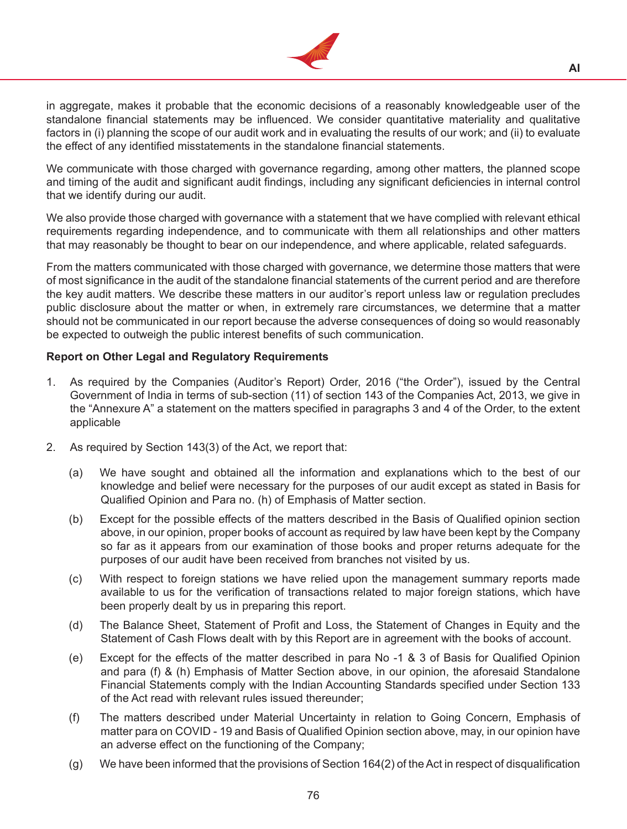

in aggregate, makes it probable that the economic decisions of a reasonably knowledgeable user of the standalone financial statements may be influenced. We consider quantitative materiality and qualitative factors in (i) planning the scope of our audit work and in evaluating the results of our work; and (ii) to evaluate the effect of any identified misstatements in the standalone financial statements.

We communicate with those charged with governance regarding, among other matters, the planned scope and timing of the audit and significant audit findings, including any significant deficiencies in internal control that we identify during our audit.

We also provide those charged with governance with a statement that we have complied with relevant ethical requirements regarding independence, and to communicate with them all relationships and other matters that may reasonably be thought to bear on our independence, and where applicable, related safeguards.

From the matters communicated with those charged with governance, we determine those matters that were of most significance in the audit of the standalone financial statements of the current period and are therefore the key audit matters. We describe these matters in our auditor's report unless law or regulation precludes public disclosure about the matter or when, in extremely rare circumstances, we determine that a matter should not be communicated in our report because the adverse consequences of doing so would reasonably be expected to outweigh the public interest benefits of such communication.

### **Report on Other Legal and Regulatory Requirements**

- 1. As required by the Companies (Auditor's Report) Order, 2016 ("the Order"), issued by the Central Government of India in terms of sub-section (11) of section 143 of the Companies Act, 2013, we give in the "Annexure A" a statement on the matters specified in paragraphs 3 and 4 of the Order, to the extent applicable
- 2. As required by Section 143(3) of the Act, we report that:
	- (a) We have sought and obtained all the information and explanations which to the best of our knowledge and belief were necessary for the purposes of our audit except as stated in Basis for Qualified Opinion and Para no. (h) of Emphasis of Matter section.
	- (b) Except for the possible effects of the matters described in the Basis of Qualified opinion section above, in our opinion, proper books of account as required by law have been kept by the Company so far as it appears from our examination of those books and proper returns adequate for the purposes of our audit have been received from branches not visited by us.
	- (c) With respect to foreign stations we have relied upon the management summary reports made available to us for the verification of transactions related to major foreign stations, which have been properly dealt by us in preparing this report.
	- (d) The Balance Sheet, Statement of Profit and Loss, the Statement of Changes in Equity and the Statement of Cash Flows dealt with by this Report are in agreement with the books of account.
	- (e) Except for the effects of the matter described in para No -1 & 3 of Basis for Qualified Opinion and para (f) & (h) Emphasis of Matter Section above, in our opinion, the aforesaid Standalone Financial Statements comply with the Indian Accounting Standards specified under Section 133 of the Act read with relevant rules issued thereunder;
	- (f) The matters described under Material Uncertainty in relation to Going Concern, Emphasis of matter para on COVID - 19 and Basis of Qualified Opinion section above, may, in our opinion have an adverse effect on the functioning of the Company;
	- $(g)$  We have been informed that the provisions of Section 164(2) of the Act in respect of disqualification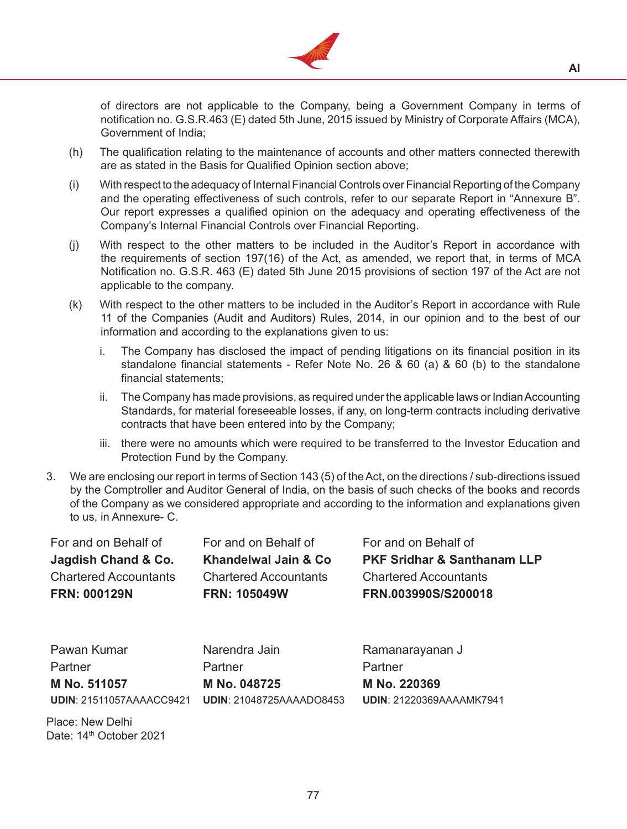

of directors are not applicable to the Company, being a Government Company in terms of notification no. G.S.R.463 (E) dated 5th June, 2015 issued by Ministry of Corporate Affairs (MCA), Government of India;

- (h) The qualification relating to the maintenance of accounts and other matters connected therewith are as stated in the Basis for Qualified Opinion section above;
- (i) With respect to the adequacy of Internal Financial Controls over Financial Reporting of the Company and the operating effectiveness of such controls, refer to our separate Report in "Annexure B". Our report expresses a qualified opinion on the adequacy and operating effectiveness of the Company's Internal Financial Controls over Financial Reporting.
- (i) With respect to the other matters to be included in the Auditor's Report in accordance with the requirements of section 197(16) of the Act, as amended, we report that, in terms of MCA Notification no. G.S.R. 463 (E) dated 5th June 2015 provisions of section 197 of the Act are not applicable to the company.
- (k) With respect to the other matters to be included in the Auditor's Report in accordance with Rule 11 of the Companies (Audit and Auditors) Rules, 2014, in our opinion and to the best of our information and according to the explanations given to us:
	- i. The Company has disclosed the impact of pending litigations on its financial position in its standalone financial statements - Refer Note No. 26 & 60 (a) & 60 (b) to the standalone financial statements;
	- ii. The Company has made provisions, as required under the applicable laws or Indian Accounting Standards, for material foreseeable losses, if any, on long-term contracts including derivative contracts that have been entered into by the Company;
	- iii. there were no amounts which were required to be transferred to the Investor Education and Protection Fund by the Company.
- 3. We are enclosing our report in terms of Section 143 (5) of the Act, on the directions / sub-directions issued by the Comptroller and Auditor General of India, on the basis of such checks of the books and records of the Company as we considered appropriate and according to the information and explanations given to us, in Annexure- C.

| For and on Behalf of            | For and on Behalf of            | For and on Behalf of                   |
|---------------------------------|---------------------------------|----------------------------------------|
| Jagdish Chand & Co.             | <b>Khandelwal Jain &amp; Co</b> | <b>PKF Sridhar &amp; Santhanam LLP</b> |
| <b>Chartered Accountants</b>    | <b>Chartered Accountants</b>    | <b>Chartered Accountants</b>           |
| <b>FRN: 000129N</b>             | <b>FRN: 105049W</b>             | FRN.003990S/S200018                    |
|                                 |                                 |                                        |
|                                 |                                 |                                        |
| Pawan Kumar                     | Narendra Jain                   | Ramanarayanan J                        |
| Partner                         | Partner                         | Partner                                |
| M No. 511057                    | M No. 048725                    | M No. 220369                           |
| <b>UDIN: 21511057AAAACC9421</b> | <b>UDIN: 21048725AAAADO8453</b> | <b>UDIN: 21220369AAAAMK7941</b>        |

Place: New Delhi Date: 14<sup>th</sup> October 2021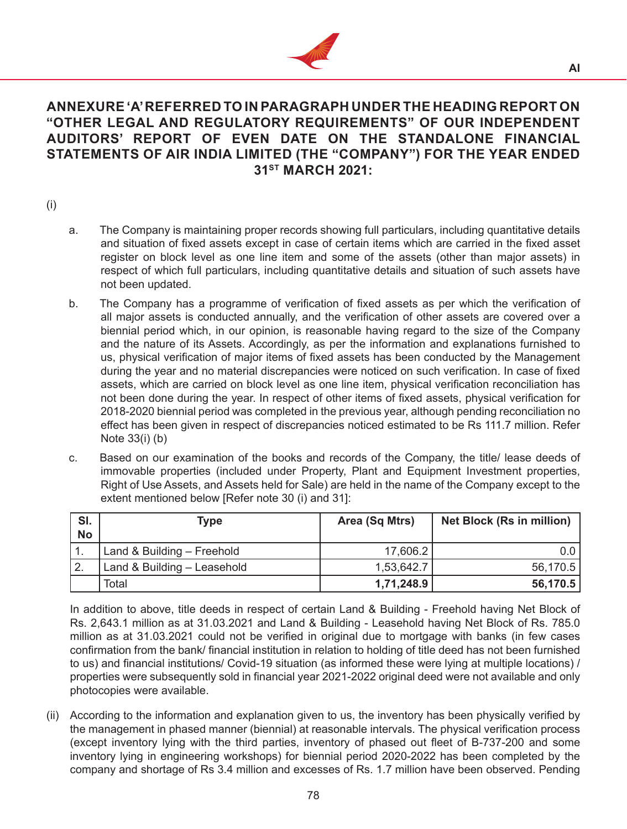

## **ANNEXURE 'A' REFERRED TO IN PARAGRAPH UNDER THE HEADING REPORT ON "OTHER LEGAL AND REGULATORY REQUIREMENTS" OF OUR INDEPENDENT AUDITORS' REPORT OF EVEN DATE ON THE STANDALONE FINANCIAL STATEMENTS OF AIR INDIA LIMITED (THE "COMPANY") FOR THE YEAR ENDED 31ST MARCH 2021:**

(i)

- a. The Company is maintaining proper records showing full particulars, including quantitative details and situation of fixed assets except in case of certain items which are carried in the fixed asset register on block level as one line item and some of the assets (other than major assets) in respect of which full particulars, including quantitative details and situation of such assets have not been updated.
- b. The Company has a programme of verification of fixed assets as per which the verification of all major assets is conducted annually, and the verification of other assets are covered over a biennial period which, in our opinion, is reasonable having regard to the size of the Company and the nature of its Assets. Accordingly, as per the information and explanations furnished to us, physical verification of major items of fixed assets has been conducted by the Management during the year and no material discrepancies were noticed on such verification. In case of fixed assets, which are carried on block level as one line item, physical verification reconciliation has not been done during the year. In respect of other items of fixed assets, physical verification for 2018-2020 biennial period was completed in the previous year, although pending reconciliation no effect has been given in respect of discrepancies noticed estimated to be Rs 111.7 million. Refer Note 33(i) (b)
- c. Based on our examination of the books and records of the Company, the title/ lease deeds of immovable properties (included under Property, Plant and Equipment Investment properties, Right of Use Assets, and Assets held for Sale) are held in the name of the Company except to the extent mentioned below [Refer note 30 (i) and 31]:

| SI.<br><b>No</b> | Type                        | Area (Sq Mtrs) | Net Block (Rs in million) |
|------------------|-----------------------------|----------------|---------------------------|
|                  | Land & Building - Freehold  | 17,606.2       | 0.01                      |
| $^{\circ}$ 2.    | Land & Building - Leasehold | 1,53,642.7     | 56,170.5                  |
|                  | Total                       | 1,71,248.9     | 56,170.5                  |

 In addition to above, title deeds in respect of certain Land & Building - Freehold having Net Block of Rs. 2,643.1 million as at 31.03.2021 and Land & Building - Leasehold having Net Block of Rs. 785.0 million as at 31.03.2021 could not be verified in original due to mortgage with banks (in few cases confirmation from the bank/ financial institution in relation to holding of title deed has not been furnished to us) and financial institutions/ Covid-19 situation (as informed these were lying at multiple locations) / properties were subsequently sold in financial year 2021-2022 original deed were not available and only photocopies were available.

(ii) According to the information and explanation given to us, the inventory has been physically verified by the management in phased manner (biennial) at reasonable intervals. The physical verification process (except inventory lying with the third parties, inventory of phased out fleet of B-737-200 and some inventory lying in engineering workshops) for biennial period 2020-2022 has been completed by the company and shortage of Rs 3.4 million and excesses of Rs. 1.7 million have been observed. Pending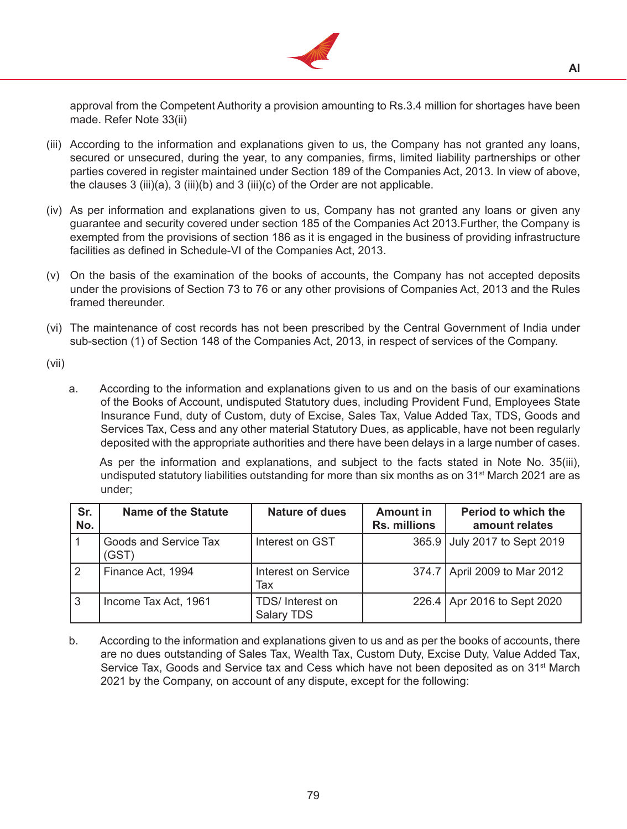

approval from the Competent Authority a provision amounting to Rs.3.4 million for shortages have been made. Refer Note 33(ii)

**AI**

- (iii) According to the information and explanations given to us, the Company has not granted any loans, secured or unsecured, during the year, to any companies, firms, limited liability partnerships or other parties covered in register maintained under Section 189 of the Companies Act, 2013. In view of above, the clauses  $3$  (iii)(a),  $3$  (iii)(b) and  $3$  (iii)(c) of the Order are not applicable.
- (iv) As per information and explanations given to us, Company has not granted any loans or given any guarantee and security covered under section 185 of the Companies Act 2013.Further, the Company is exempted from the provisions of section 186 as it is engaged in the business of providing infrastructure facilities as defined in Schedule-VI of the Companies Act, 2013.
- (v) On the basis of the examination of the books of accounts, the Company has not accepted deposits under the provisions of Section 73 to 76 or any other provisions of Companies Act, 2013 and the Rules framed thereunder.
- (vi) The maintenance of cost records has not been prescribed by the Central Government of India under sub-section (1) of Section 148 of the Companies Act, 2013, in respect of services of the Company.

(vii)

a. According to the information and explanations given to us and on the basis of our examinations of the Books of Account, undisputed Statutory dues, including Provident Fund, Employees State Insurance Fund, duty of Custom, duty of Excise, Sales Tax, Value Added Tax, TDS, Goods and Services Tax, Cess and any other material Statutory Dues, as applicable, have not been regularly deposited with the appropriate authorities and there have been delays in a large number of cases.

 As per the information and explanations, and subject to the facts stated in Note No. 35(iii), undisputed statutory liabilities outstanding for more than six months as on  $31<sup>st</sup>$  March 2021 are as under;

| Sr.<br>No.     | <b>Name of the Statute</b>     | Nature of dues                        | <b>Amount in</b><br><b>Rs. millions</b> | Period to which the<br>amount relates |
|----------------|--------------------------------|---------------------------------------|-----------------------------------------|---------------------------------------|
|                | Goods and Service Tax<br>(GST) | Interest on GST                       |                                         | 365.9 July 2017 to Sept 2019          |
| $\overline{2}$ | Finance Act, 1994              | Interest on Service<br>Tax            |                                         | 374.7   April 2009 to Mar 2012        |
| l 3            | Income Tax Act, 1961           | TDS/ Interest on<br><b>Salary TDS</b> |                                         | 226.4   Apr 2016 to Sept 2020         |

b. According to the information and explanations given to us and as per the books of accounts, there are no dues outstanding of Sales Tax, Wealth Tax, Custom Duty, Excise Duty, Value Added Tax, Service Tax, Goods and Service tax and Cess which have not been deposited as on 31<sup>st</sup> March 2021 by the Company, on account of any dispute, except for the following: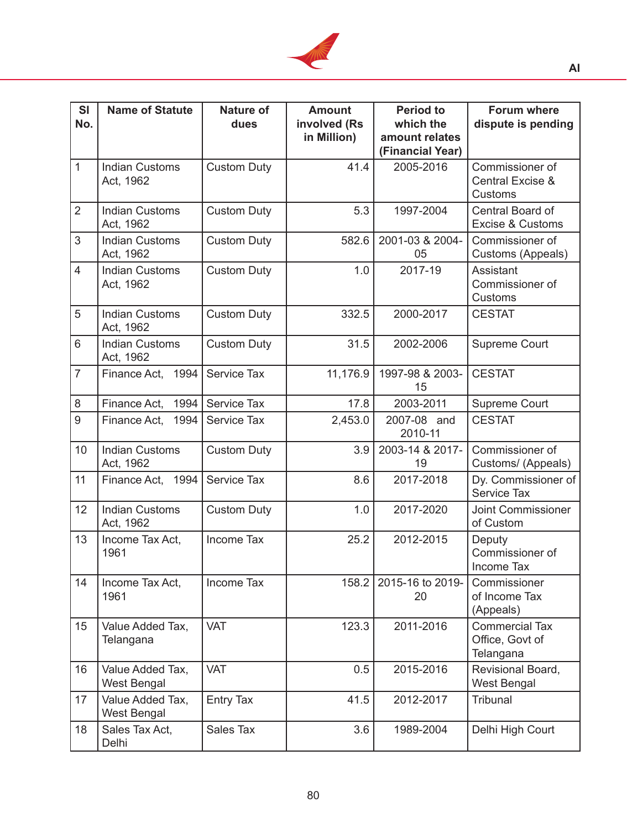

| SI<br>No.      | <b>Name of Statute</b>             | <b>Nature of</b><br>dues | <b>Amount</b><br>involved (Rs<br>in Million) | <b>Period to</b><br>which the<br>amount relates<br>(Financial Year) | Forum where<br>dispute is pending                         |
|----------------|------------------------------------|--------------------------|----------------------------------------------|---------------------------------------------------------------------|-----------------------------------------------------------|
| $\mathbf{1}$   | <b>Indian Customs</b><br>Act, 1962 | <b>Custom Duty</b>       | 41.4                                         | 2005-2016                                                           | Commissioner of<br><b>Central Excise &amp;</b><br>Customs |
| $\overline{2}$ | <b>Indian Customs</b><br>Act, 1962 | <b>Custom Duty</b>       | 5.3                                          | 1997-2004                                                           | Central Board of<br><b>Excise &amp; Customs</b>           |
| 3              | <b>Indian Customs</b><br>Act, 1962 | <b>Custom Duty</b>       | 582.6                                        | 2001-03 & 2004-<br>05                                               | Commissioner of<br>Customs (Appeals)                      |
| $\overline{4}$ | <b>Indian Customs</b><br>Act, 1962 | <b>Custom Duty</b>       | 1.0                                          | 2017-19                                                             | Assistant<br>Commissioner of<br>Customs                   |
| 5              | <b>Indian Customs</b><br>Act, 1962 | <b>Custom Duty</b>       | 332.5                                        | 2000-2017                                                           | <b>CESTAT</b>                                             |
| 6              | <b>Indian Customs</b><br>Act, 1962 | <b>Custom Duty</b>       | 31.5                                         | 2002-2006                                                           | <b>Supreme Court</b>                                      |
| $\overline{7}$ | Finance Act, 1994                  | <b>Service Tax</b>       | 11,176.9                                     | 1997-98 & 2003-<br>15                                               | <b>CESTAT</b>                                             |
| 8              | Finance Act,<br>1994               | <b>Service Tax</b>       | 17.8                                         | 2003-2011                                                           | <b>Supreme Court</b>                                      |
| 9              | Finance Act,<br>1994               | <b>Service Tax</b>       | 2,453.0                                      | 2007-08 and<br>2010-11                                              | <b>CESTAT</b>                                             |
| 10             | <b>Indian Customs</b><br>Act, 1962 | <b>Custom Duty</b>       | 3.9                                          | 2003-14 & 2017-<br>19                                               | Commissioner of<br>Customs/ (Appeals)                     |
| 11             | Finance Act, 1994                  | <b>Service Tax</b>       | 8.6                                          | 2017-2018                                                           | Dy. Commissioner of<br><b>Service Tax</b>                 |
| 12             | <b>Indian Customs</b><br>Act, 1962 | <b>Custom Duty</b>       | 1.0                                          | 2017-2020                                                           | <b>Joint Commissioner</b><br>of Custom                    |
| 13             | Income Tax Act,<br>1961            | Income Tax               | 25.2                                         | 2012-2015                                                           | Deputy<br>Commissioner of<br>Income Tax                   |
| 14             | Income Tax Act,<br>1961            | Income Tax               | 158.2                                        | 2015-16 to 2019-<br>20                                              | Commissioner<br>of Income Tax<br>(Appeals)                |
| 15             | Value Added Tax,<br>Telangana      | VAT                      | 123.3                                        | 2011-2016                                                           | <b>Commercial Tax</b><br>Office, Govt of<br>Telangana     |
| 16             | Value Added Tax,<br>West Bengal    | <b>VAT</b>               | 0.5                                          | 2015-2016                                                           | Revisional Board,<br><b>West Bengal</b>                   |
| 17             | Value Added Tax,<br>West Bengal    | <b>Entry Tax</b>         | 41.5                                         | 2012-2017                                                           | Tribunal                                                  |
| 18             | Sales Tax Act,<br>Delhi            | <b>Sales Tax</b>         | 3.6                                          | 1989-2004                                                           | Delhi High Court                                          |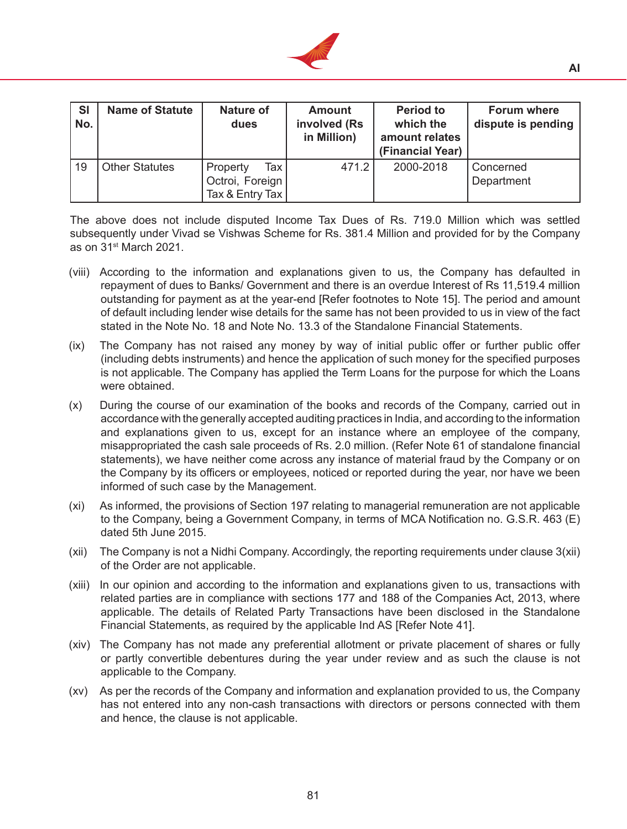

| <b>SI</b><br>No. | <b>Name of Statute</b> | <b>Nature of</b><br>dues                              | <b>Amount</b><br>involved (Rs<br>in Million) | <b>Period to</b><br>which the<br>amount relates<br>(Financial Year) | <b>Forum where</b><br>dispute is pending |
|------------------|------------------------|-------------------------------------------------------|----------------------------------------------|---------------------------------------------------------------------|------------------------------------------|
| 19               | <b>Other Statutes</b>  | Tax<br>Property<br>Octroi, Foreign<br>Tax & Entry Tax | 471.2                                        | 2000-2018                                                           | Concerned<br>Department                  |

 The above does not include disputed Income Tax Dues of Rs. 719.0 Million which was settled subsequently under Vivad se Vishwas Scheme for Rs. 381.4 Million and provided for by the Company as on 31st March 2021.

- (viii) According to the information and explanations given to us, the Company has defaulted in repayment of dues to Banks/ Government and there is an overdue Interest of Rs 11,519.4 million outstanding for payment as at the year-end [Refer footnotes to Note 15]. The period and amount of default including lender wise details for the same has not been provided to us in view of the fact stated in the Note No. 18 and Note No. 13.3 of the Standalone Financial Statements.
- (ix) The Company has not raised any money by way of initial public offer or further public offer (including debts instruments) and hence the application of such money for the specified purposes is not applicable. The Company has applied the Term Loans for the purpose for which the Loans were obtained.
- (x) During the course of our examination of the books and records of the Company, carried out in accordance with the generally accepted auditing practices in India, and according to the information and explanations given to us, except for an instance where an employee of the company, misappropriated the cash sale proceeds of Rs. 2.0 million. (Refer Note 61 of standalone financial statements), we have neither come across any instance of material fraud by the Company or on the Company by its officers or employees, noticed or reported during the year, nor have we been informed of such case by the Management.
- (xi) As informed, the provisions of Section 197 relating to managerial remuneration are not applicable to the Company, being a Government Company, in terms of MCA Notification no. G.S.R. 463 (E) dated 5th June 2015.
- (xii) The Company is not a Nidhi Company. Accordingly, the reporting requirements under clause 3(xii) of the Order are not applicable.
- (xiii) In our opinion and according to the information and explanations given to us, transactions with related parties are in compliance with sections 177 and 188 of the Companies Act, 2013, where applicable. The details of Related Party Transactions have been disclosed in the Standalone Financial Statements, as required by the applicable Ind AS [Refer Note 41].
- (xiv) The Company has not made any preferential allotment or private placement of shares or fully or partly convertible debentures during the year under review and as such the clause is not applicable to the Company.
- (xv) As per the records of the Company and information and explanation provided to us, the Company has not entered into any non-cash transactions with directors or persons connected with them and hence, the clause is not applicable.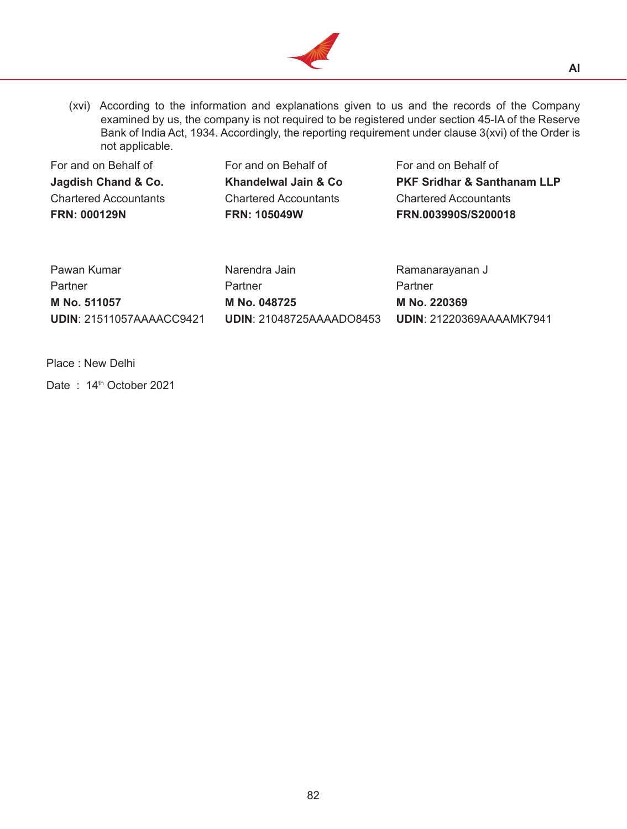

(xvi) According to the information and explanations given to us and the records of the Company examined by us, the company is not required to be registered under section 45-IA of the Reserve Bank of India Act, 1934. Accordingly, the reporting requirement under clause 3(xvi) of the Order is not applicable.

| For and on Behalf of         |
|------------------------------|
| Jagdish Chand & Co.          |
| <b>Chartered Accountants</b> |
| <b>FRN: 000129N</b>          |
|                              |

For and on Behalf of For and on Behalf of **Jagdish Chand & Co. Khandelwal Jain & Co PKF Sridhar & Santhanam LLP** Chartered Accountants Chartered Accountants Chartered Accountants **FRN: 000129N FRN: 105049W FRN.003990S/S200018**

| Pawan Kumar              | Narendra Jain                   | Ramanarayanan J                 |
|--------------------------|---------------------------------|---------------------------------|
| Partner                  | Partner                         | Partner                         |
| M No. 511057             | M No. 048725                    | M No. 220369                    |
| UDIN: 21511057AAAACC9421 | <b>UDIN: 21048725AAAADO8453</b> | <b>UDIN: 21220369AAAAMK7941</b> |
|                          |                                 |                                 |

Place : New Delhi

Date: 14<sup>th</sup> October 2021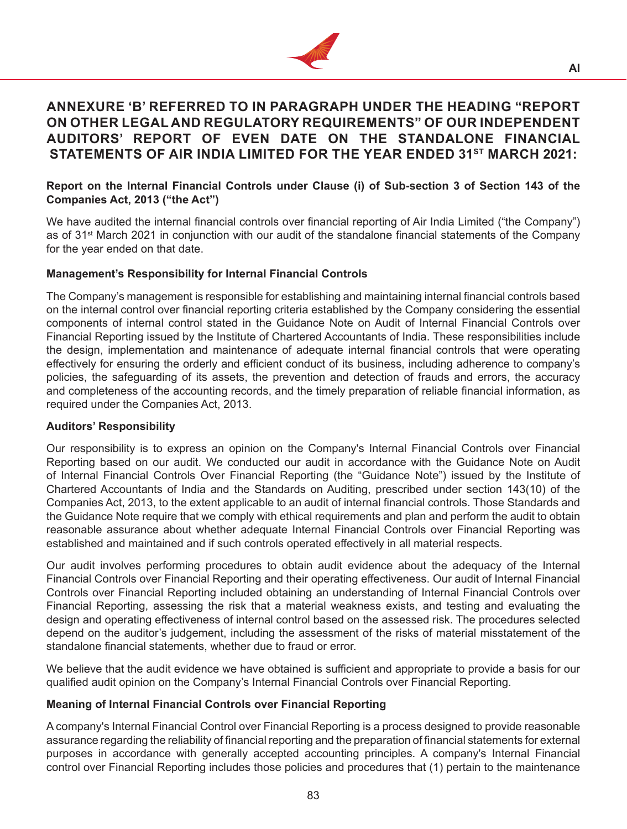

# **ANNEXURE 'B' REFERRED TO IN PARAGRAPH UNDER THE HEADING "REPORT ON OTHER LEGAL AND REGULATORY REQUIREMENTS" OF OUR INDEPENDENT AUDITORS' REPORT OF EVEN DATE ON THE STANDALONE FINANCIAL STATEMENTS OF AIR INDIA LIMITED FOR THE YEAR ENDED 31ST MARCH 2021:**

#### **Report on the Internal Financial Controls under Clause (i) of Sub-section 3 of Section 143 of the Companies Act, 2013 ("the Act")**

We have audited the internal financial controls over financial reporting of Air India Limited ("the Company") as of 31<sup>st</sup> March 2021 in conjunction with our audit of the standalone financial statements of the Company for the year ended on that date.

### **Management's Responsibility for Internal Financial Controls**

The Company's management is responsible for establishing and maintaining internal financial controls based on the internal control over financial reporting criteria established by the Company considering the essential components of internal control stated in the Guidance Note on Audit of Internal Financial Controls over Financial Reporting issued by the Institute of Chartered Accountants of India. These responsibilities include the design, implementation and maintenance of adequate internal financial controls that were operating effectively for ensuring the orderly and efficient conduct of its business, including adherence to company's policies, the safeguarding of its assets, the prevention and detection of frauds and errors, the accuracy and completeness of the accounting records, and the timely preparation of reliable financial information, as required under the Companies Act, 2013.

### **Auditors' Responsibility**

Our responsibility is to express an opinion on the Company's Internal Financial Controls over Financial Reporting based on our audit. We conducted our audit in accordance with the Guidance Note on Audit of Internal Financial Controls Over Financial Reporting (the "Guidance Note") issued by the Institute of Chartered Accountants of India and the Standards on Auditing, prescribed under section 143(10) of the Companies Act, 2013, to the extent applicable to an audit of internal financial controls. Those Standards and the Guidance Note require that we comply with ethical requirements and plan and perform the audit to obtain reasonable assurance about whether adequate Internal Financial Controls over Financial Reporting was established and maintained and if such controls operated effectively in all material respects.

Our audit involves performing procedures to obtain audit evidence about the adequacy of the Internal Financial Controls over Financial Reporting and their operating effectiveness. Our audit of Internal Financial Controls over Financial Reporting included obtaining an understanding of Internal Financial Controls over Financial Reporting, assessing the risk that a material weakness exists, and testing and evaluating the design and operating effectiveness of internal control based on the assessed risk. The procedures selected depend on the auditor's judgement, including the assessment of the risks of material misstatement of the standalone financial statements, whether due to fraud or error.

We believe that the audit evidence we have obtained is sufficient and appropriate to provide a basis for our qualified audit opinion on the Company's Internal Financial Controls over Financial Reporting.

### **Meaning of Internal Financial Controls over Financial Reporting**

A company's Internal Financial Control over Financial Reporting is a process designed to provide reasonable assurance regarding the reliability of financial reporting and the preparation of financial statements for external purposes in accordance with generally accepted accounting principles. A company's Internal Financial control over Financial Reporting includes those policies and procedures that (1) pertain to the maintenance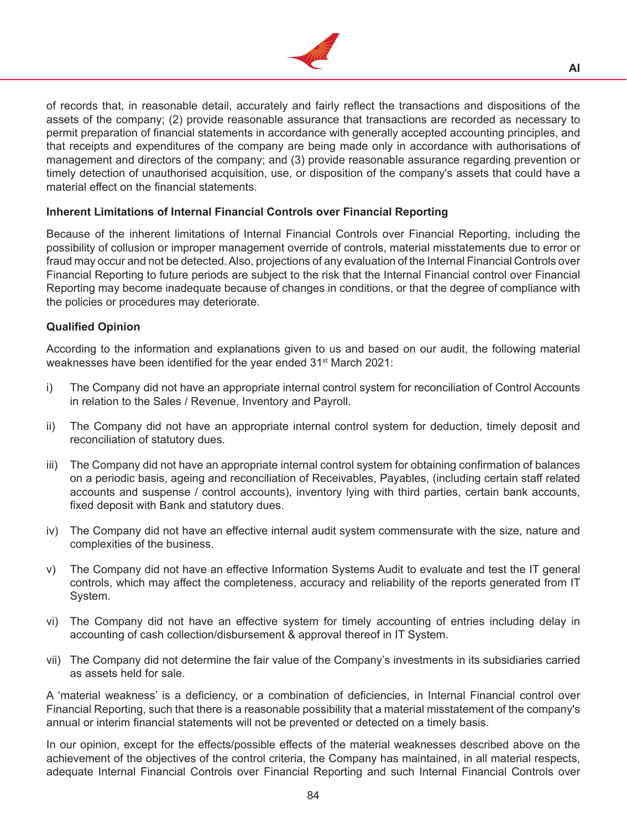

of records that, in reasonable detail, accurately and fairly reflect the transactions and dispositions of the assets of the company; (2) provide reasonable assurance that transactions are recorded as necessary to permit preparation of financial statements in accordance with generally accepted accounting principles, and that receipts and expenditures of the company are being made only in accordance with authorisations of management and directors of the company; and (3) provide reasonable assurance regarding prevention or timely detection of unauthorised acquisition, use, or disposition of the company's assets that could have a material effect on the financial statements.

### **Inherent Limitations of Internal Financial Controls over Financial Reporting**

Because of the inherent limitations of Internal Financial Controls over Financial Reporting, including the possibility of collusion or improper management override of controls, material misstatements due to error or fraud may occur and not be detected. Also, projections of any evaluation of the Internal Financial Controls over Financial Reporting to future periods are subject to the risk that the Internal Financial control over Financial Reporting may become inadequate because of changes in conditions, or that the degree of compliance with the policies or procedures may deteriorate.

### **Qualified Opinion**

According to the information and explanations given to us and based on our audit, the following material weaknesses have been identified for the year ended 31<sup>st</sup> March 2021:

- i) The Company did not have an appropriate internal control system for reconciliation of Control Accounts in relation to the Sales / Revenue, Inventory and Payroll.
- ii) The Company did not have an appropriate internal control system for deduction, timely deposit and reconciliation of statutory dues.
- iii) The Company did not have an appropriate internal control system for obtaining confirmation of balances on a periodic basis, ageing and reconciliation of Receivables, Payables, (including certain staff related accounts and suspense / control accounts), inventory lying with third parties, certain bank accounts, fixed deposit with Bank and statutory dues.
- iv) The Company did not have an effective internal audit system commensurate with the size, nature and complexities of the business.
- v) The Company did not have an effective Information Systems Audit to evaluate and test the IT general controls, which may affect the completeness, accuracy and reliability of the reports generated from IT System.
- vi) The Company did not have an effective system for timely accounting of entries including delay in accounting of cash collection/disbursement & approval thereof in IT System.
- vii) The Company did not determine the fair value of the Company's investments in its subsidiaries carried as assets held for sale.

A 'material weakness' is a deficiency, or a combination of deficiencies, in Internal Financial control over Financial Reporting, such that there is a reasonable possibility that a material misstatement of the company's annual or interim financial statements will not be prevented or detected on a timely basis.

In our opinion, except for the effects/possible effects of the material weaknesses described above on the achievement of the objectives of the control criteria, the Company has maintained, in all material respects, adequate Internal Financial Controls over Financial Reporting and such Internal Financial Controls over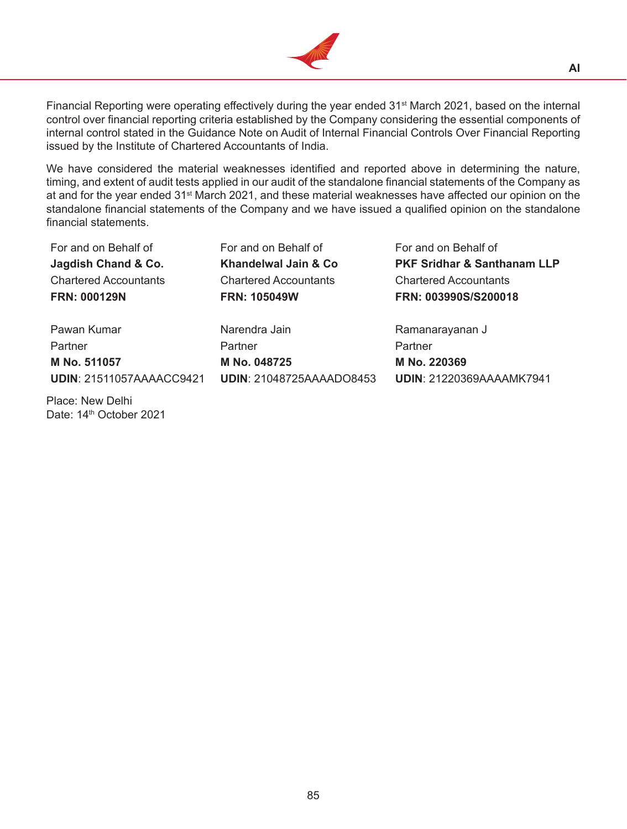

Financial Reporting were operating effectively during the year ended 31<sup>st</sup> March 2021, based on the internal control over financial reporting criteria established by the Company considering the essential components of internal control stated in the Guidance Note on Audit of Internal Financial Controls Over Financial Reporting issued by the Institute of Chartered Accountants of India.

We have considered the material weaknesses identified and reported above in determining the nature, timing, and extent of audit tests applied in our audit of the standalone financial statements of the Company as at and for the year ended 31<sup>st</sup> March 2021, and these material weaknesses have affected our opinion on the standalone financial statements of the Company and we have issued a qualified opinion on the standalone financial statements.

| For and on Behalf of            | For and on Behalf of            | For and on Behalf of                   |
|---------------------------------|---------------------------------|----------------------------------------|
| Jagdish Chand & Co.             | Khandelwal Jain & Co            | <b>PKF Sridhar &amp; Santhanam LLP</b> |
| <b>Chartered Accountants</b>    | <b>Chartered Accountants</b>    | <b>Chartered Accountants</b>           |
| <b>FRN: 000129N</b>             | <b>FRN: 105049W</b>             | FRN: 003990S/S200018                   |
|                                 |                                 |                                        |
| Pawan Kumar                     | Narendra Jain                   | Ramanarayanan J                        |
| Partner                         | Partner                         | Partner                                |
| M No. 511057                    | M No. 048725                    | M No. 220369                           |
| <b>UDIN: 21511057AAAACC9421</b> | <b>UDIN: 21048725AAAADO8453</b> | <b>UDIN: 21220369AAAAMK7941</b>        |
| <b>PU NU PU!</b>                |                                 |                                        |

Place: New Delhi Date: 14<sup>th</sup> October 2021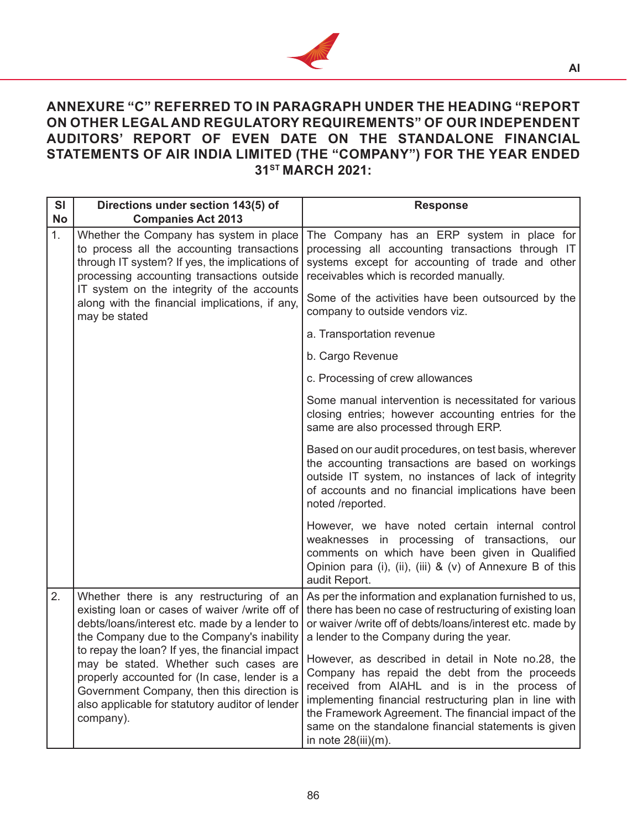

# **ANNEXURE "C" REFERRED TO IN PARAGRAPH UNDER THE HEADING "REPORT ON OTHER LEGAL AND REGULATORY REQUIREMENTS" OF OUR INDEPENDENT AUDITORS' REPORT OF EVEN DATE ON THE STANDALONE FINANCIAL STATEMENTS OF AIR INDIA LIMITED (THE "COMPANY") FOR THE YEAR ENDED 31ST MARCH 2021:**

| <b>SI</b><br><b>No</b> | Directions under section 143(5) of<br><b>Companies Act 2013</b>                                                                                                                                                                                        | <b>Response</b>                                                                                                                                                                                                                                                                                                                                         |
|------------------------|--------------------------------------------------------------------------------------------------------------------------------------------------------------------------------------------------------------------------------------------------------|---------------------------------------------------------------------------------------------------------------------------------------------------------------------------------------------------------------------------------------------------------------------------------------------------------------------------------------------------------|
| 1.                     | Whether the Company has system in place<br>to process all the accounting transactions<br>through IT system? If yes, the implications of<br>processing accounting transactions outside                                                                  | The Company has an ERP system in place for<br>processing all accounting transactions through IT<br>systems except for accounting of trade and other<br>receivables which is recorded manually.                                                                                                                                                          |
|                        | IT system on the integrity of the accounts<br>along with the financial implications, if any,<br>may be stated                                                                                                                                          | Some of the activities have been outsourced by the<br>company to outside vendors viz.                                                                                                                                                                                                                                                                   |
|                        |                                                                                                                                                                                                                                                        | a. Transportation revenue                                                                                                                                                                                                                                                                                                                               |
|                        |                                                                                                                                                                                                                                                        | b. Cargo Revenue                                                                                                                                                                                                                                                                                                                                        |
|                        |                                                                                                                                                                                                                                                        | c. Processing of crew allowances                                                                                                                                                                                                                                                                                                                        |
|                        |                                                                                                                                                                                                                                                        | Some manual intervention is necessitated for various<br>closing entries; however accounting entries for the<br>same are also processed through ERP.                                                                                                                                                                                                     |
|                        |                                                                                                                                                                                                                                                        | Based on our audit procedures, on test basis, wherever<br>the accounting transactions are based on workings<br>outside IT system, no instances of lack of integrity<br>of accounts and no financial implications have been<br>noted /reported.                                                                                                          |
|                        |                                                                                                                                                                                                                                                        | However, we have noted certain internal control<br>weaknesses in processing of transactions, our<br>comments on which have been given in Qualified<br>Opinion para (i), (ii), (iii) & (v) of Annexure B of this<br>audit Report.                                                                                                                        |
| 2.                     | Whether there is any restructuring of an<br>existing loan or cases of waiver /write off of<br>debts/loans/interest etc. made by a lender to<br>the Company due to the Company's inability                                                              | As per the information and explanation furnished to us,<br>there has been no case of restructuring of existing loan<br>or waiver /write off of debts/loans/interest etc. made by<br>a lender to the Company during the year.                                                                                                                            |
|                        | to repay the loan? If yes, the financial impact<br>may be stated. Whether such cases are<br>properly accounted for (In case, lender is a<br>Government Company, then this direction is<br>also applicable for statutory auditor of lender<br>company). | However, as described in detail in Note no.28, the<br>Company has repaid the debt from the proceeds<br>received from AIAHL and is in the process of<br>implementing financial restructuring plan in line with<br>the Framework Agreement. The financial impact of the<br>same on the standalone financial statements is given<br>in note $28(iii)(m)$ . |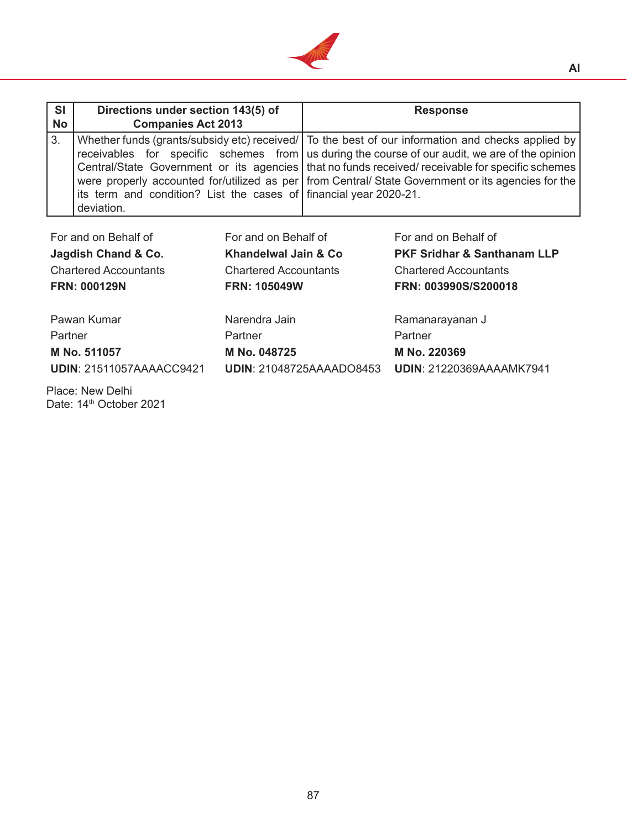

| <b>SI</b><br><b>No</b> | Directions under section 143(5) of<br><b>Companies Act 2013</b>                 | <b>Response</b>                                                                                                                                                                                                                                                                                                                                                                                                             |
|------------------------|---------------------------------------------------------------------------------|-----------------------------------------------------------------------------------------------------------------------------------------------------------------------------------------------------------------------------------------------------------------------------------------------------------------------------------------------------------------------------------------------------------------------------|
| 3.                     | its term and condition? List the cases of financial year 2020-21.<br>deviation. | Whether funds (grants/subsidy etc) received/   To the best of our information and checks applied by<br>receivables for specific schemes from $\vert$ us during the course of our audit, we are of the opinion<br>Central/State Government or its agencies   that no funds received/ receivable for specific schemes<br>were properly accounted for/utilized as per   from Central/ State Government or its agencies for the |

| For and on Behalf of            | For and on Behalf of            | For and on Behalf of                   |
|---------------------------------|---------------------------------|----------------------------------------|
| Jagdish Chand & Co.             | Khandelwal Jain & Co            | <b>PKF Sridhar &amp; Santhanam LLP</b> |
| <b>Chartered Accountants</b>    | <b>Chartered Accountants</b>    | <b>Chartered Accountants</b>           |
| <b>FRN: 000129N</b>             | <b>FRN: 105049W</b>             | FRN: 003990S/S200018                   |
|                                 |                                 |                                        |
| Pawan Kumar                     | Narendra Jain                   | Ramanarayanan J                        |
| Partner                         | Partner                         | Partner                                |
| M No. 511057                    | M No. 048725                    | M No. 220369                           |
| <b>UDIN: 21511057AAAACC9421</b> | <b>UDIN: 21048725AAAADO8453</b> | <b>UDIN: 21220369AAAAMK7941</b>        |
| Place: New Delhi                |                                 |                                        |

Place: New Delhi Date: 14<sup>th</sup> October 2021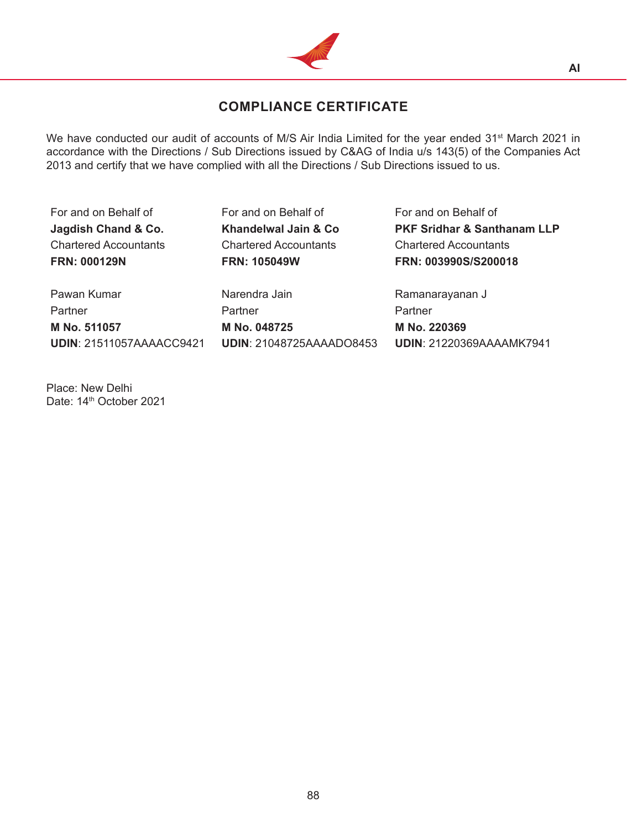

# **COMPLIANCE CERTIFICATE**

We have conducted our audit of accounts of M/S Air India Limited for the year ended 31<sup>st</sup> March 2021 in accordance with the Directions / Sub Directions issued by C&AG of India u/s 143(5) of the Companies Act 2013 and certify that we have complied with all the Directions / Sub Directions issued to us.

For and on Behalf of For and on Behalf of For and on Behalf of

Chartered Accountants Chartered Accountants Chartered Accountants

Pawan Kumar **Narendra Jain** Ramanarayanan J Partner Partner Partner Partner Partner **M No. 511057 M No. 048725 M No. 220369**

**Jagdish Chand & Co. Khandelwal Jain & Co PKF Sridhar & Santhanam LLP FRN: 000129N FRN: 105049W FRN: 003990S/S200018**

**UDIN**: 21511057AAAACC9421 **UDIN**: 21048725AAAADO8453 **UDIN**: 21220369AAAAMK7941

Place: New Delhi Date: 14<sup>th</sup> October 2021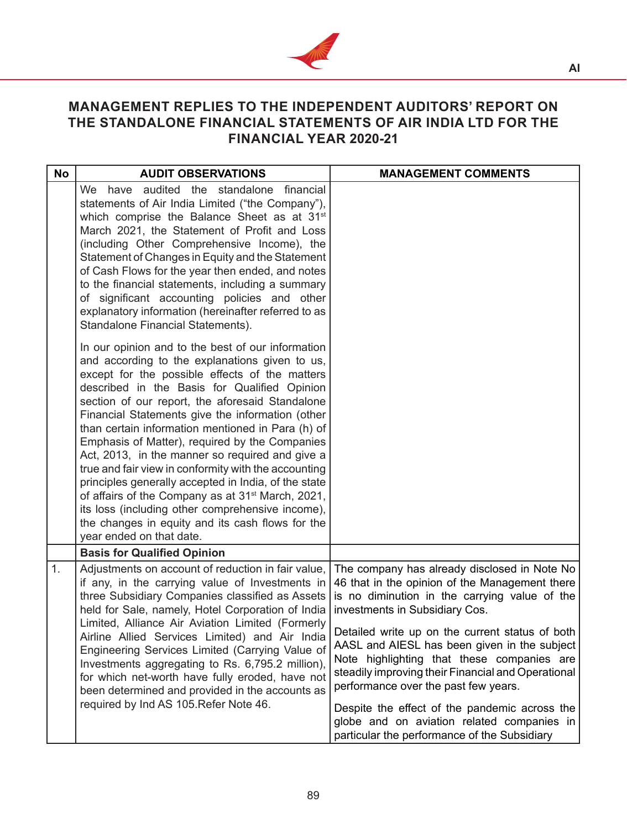

# **MANAGEMENT REPLIES TO THE INDEPENDENT AUDITORS' REPORT ON THE STANDALONE FINANCIAL STATEMENTS OF AIR INDIA LTD FOR THE FINANCIAL YEAR 2020-21**

| <b>No</b> | <b>AUDIT OBSERVATIONS</b>                                                                                                                                                                                                                                                                                                                                                                                                                                                                                                                                                                                                                                                                                                                                                                   | <b>MANAGEMENT COMMENTS</b>                                                                                                                                                                                                                  |
|-----------|---------------------------------------------------------------------------------------------------------------------------------------------------------------------------------------------------------------------------------------------------------------------------------------------------------------------------------------------------------------------------------------------------------------------------------------------------------------------------------------------------------------------------------------------------------------------------------------------------------------------------------------------------------------------------------------------------------------------------------------------------------------------------------------------|---------------------------------------------------------------------------------------------------------------------------------------------------------------------------------------------------------------------------------------------|
|           | audited the standalone financial<br>We<br>have<br>statements of Air India Limited ("the Company"),<br>which comprise the Balance Sheet as at 31 <sup>st</sup><br>March 2021, the Statement of Profit and Loss<br>(including Other Comprehensive Income), the<br>Statement of Changes in Equity and the Statement<br>of Cash Flows for the year then ended, and notes<br>to the financial statements, including a summary<br>of significant accounting policies and other<br>explanatory information (hereinafter referred to as<br>Standalone Financial Statements).                                                                                                                                                                                                                        |                                                                                                                                                                                                                                             |
|           | In our opinion and to the best of our information<br>and according to the explanations given to us,<br>except for the possible effects of the matters<br>described in the Basis for Qualified Opinion<br>section of our report, the aforesaid Standalone<br>Financial Statements give the information (other<br>than certain information mentioned in Para (h) of<br>Emphasis of Matter), required by the Companies<br>Act, 2013, in the manner so required and give a<br>true and fair view in conformity with the accounting<br>principles generally accepted in India, of the state<br>of affairs of the Company as at 31 <sup>st</sup> March, 2021,<br>its loss (including other comprehensive income),<br>the changes in equity and its cash flows for the<br>year ended on that date. |                                                                                                                                                                                                                                             |
|           | <b>Basis for Qualified Opinion</b>                                                                                                                                                                                                                                                                                                                                                                                                                                                                                                                                                                                                                                                                                                                                                          |                                                                                                                                                                                                                                             |
| 1.        | Adjustments on account of reduction in fair value,<br>if any, in the carrying value of Investments in<br>three Subsidiary Companies classified as Assets<br>held for Sale, namely, Hotel Corporation of India<br>Limited, Alliance Air Aviation Limited (Formerly                                                                                                                                                                                                                                                                                                                                                                                                                                                                                                                           | The company has already disclosed in Note No<br>46 that in the opinion of the Management there<br>is no diminution in the carrying value of the<br>investments in Subsidiary Cos.                                                           |
|           | Airline Allied Services Limited) and Air India<br>Engineering Services Limited (Carrying Value of<br>Investments aggregating to Rs. 6,795.2 million),<br>for which net-worth have fully eroded, have not<br>been determined and provided in the accounts as                                                                                                                                                                                                                                                                                                                                                                                                                                                                                                                                 | Detailed write up on the current status of both<br>AASL and AIESL has been given in the subject<br>Note highlighting that these companies are<br>steadily improving their Financial and Operational<br>performance over the past few years. |
|           | required by Ind AS 105. Refer Note 46.                                                                                                                                                                                                                                                                                                                                                                                                                                                                                                                                                                                                                                                                                                                                                      | Despite the effect of the pandemic across the<br>globe and on aviation related companies in<br>particular the performance of the Subsidiary                                                                                                 |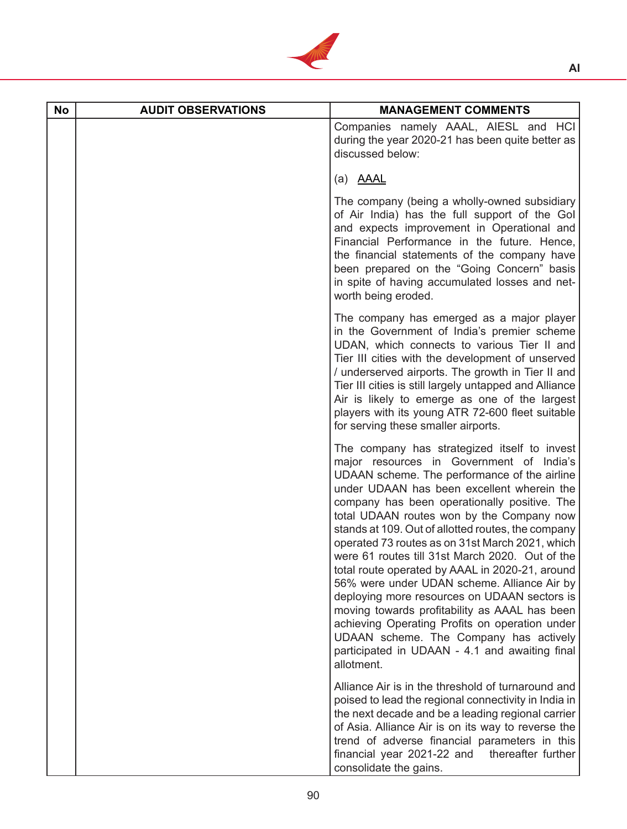

| <b>No</b> | <b>AUDIT OBSERVATIONS</b> | <b>MANAGEMENT COMMENTS</b>                                                                                                                                                                                                                                                                                                                                                                                                                                                                                                                                                                                                                                                                                                                                                                                     |
|-----------|---------------------------|----------------------------------------------------------------------------------------------------------------------------------------------------------------------------------------------------------------------------------------------------------------------------------------------------------------------------------------------------------------------------------------------------------------------------------------------------------------------------------------------------------------------------------------------------------------------------------------------------------------------------------------------------------------------------------------------------------------------------------------------------------------------------------------------------------------|
|           |                           | Companies namely AAAL, AIESL and HCI<br>during the year 2020-21 has been quite better as<br>discussed below:                                                                                                                                                                                                                                                                                                                                                                                                                                                                                                                                                                                                                                                                                                   |
|           |                           | (a) <b>AAAL</b>                                                                                                                                                                                                                                                                                                                                                                                                                                                                                                                                                                                                                                                                                                                                                                                                |
|           |                           | The company (being a wholly-owned subsidiary<br>of Air India) has the full support of the Gol<br>and expects improvement in Operational and<br>Financial Performance in the future. Hence,<br>the financial statements of the company have<br>been prepared on the "Going Concern" basis<br>in spite of having accumulated losses and net-<br>worth being eroded.                                                                                                                                                                                                                                                                                                                                                                                                                                              |
|           |                           | The company has emerged as a major player<br>in the Government of India's premier scheme<br>UDAN, which connects to various Tier II and<br>Tier III cities with the development of unserved<br>/ underserved airports. The growth in Tier II and<br>Tier III cities is still largely untapped and Alliance<br>Air is likely to emerge as one of the largest<br>players with its young ATR 72-600 fleet suitable<br>for serving these smaller airports.                                                                                                                                                                                                                                                                                                                                                         |
|           |                           | The company has strategized itself to invest<br>major resources in Government of India's<br>UDAAN scheme. The performance of the airline<br>under UDAAN has been excellent wherein the<br>company has been operationally positive. The<br>total UDAAN routes won by the Company now<br>stands at 109. Out of allotted routes, the company<br>operated 73 routes as on 31st March 2021, which<br>were 61 routes till 31st March 2020. Out of the<br>total route operated by AAAL in 2020-21, around<br>56% were under UDAN scheme. Alliance Air by<br>deploying more resources on UDAAN sectors is<br>moving towards profitability as AAAL has been<br>achieving Operating Profits on operation under<br>UDAAN scheme. The Company has actively<br>participated in UDAAN - 4.1 and awaiting final<br>allotment. |
|           |                           | Alliance Air is in the threshold of turnaround and<br>poised to lead the regional connectivity in India in<br>the next decade and be a leading regional carrier<br>of Asia. Alliance Air is on its way to reverse the<br>trend of adverse financial parameters in this<br>financial year 2021-22 and<br>thereafter further<br>consolidate the gains.                                                                                                                                                                                                                                                                                                                                                                                                                                                           |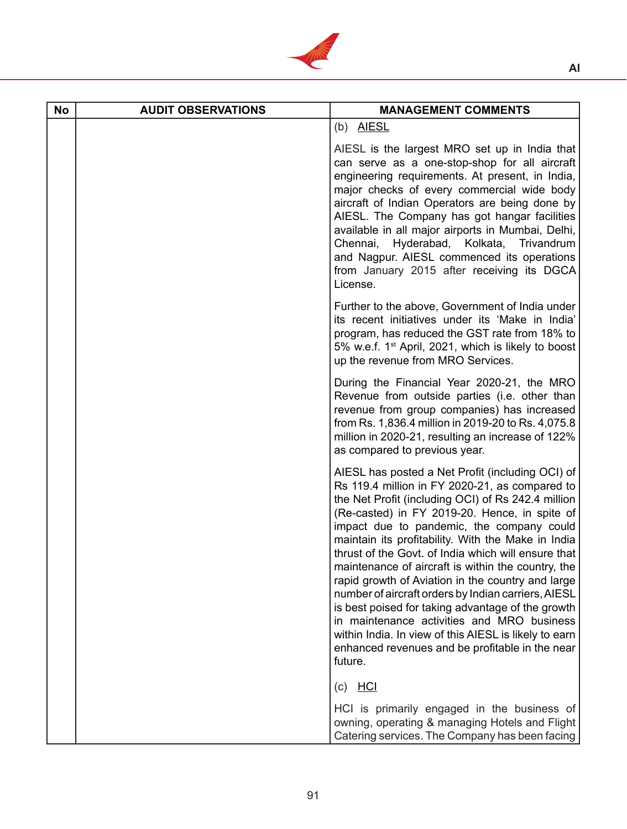

| <b>No</b> | <b>AUDIT OBSERVATIONS</b> | <b>MANAGEMENT COMMENTS</b>                                                                                                                                                                                                                                                                                                                                                                                                                                                                                                                                                                                                                                                                                                                                      |
|-----------|---------------------------|-----------------------------------------------------------------------------------------------------------------------------------------------------------------------------------------------------------------------------------------------------------------------------------------------------------------------------------------------------------------------------------------------------------------------------------------------------------------------------------------------------------------------------------------------------------------------------------------------------------------------------------------------------------------------------------------------------------------------------------------------------------------|
|           |                           | $(b)$ AIESL                                                                                                                                                                                                                                                                                                                                                                                                                                                                                                                                                                                                                                                                                                                                                     |
|           |                           | AIESL is the largest MRO set up in India that<br>can serve as a one-stop-shop for all aircraft<br>engineering requirements. At present, in India,<br>major checks of every commercial wide body<br>aircraft of Indian Operators are being done by<br>AIESL. The Company has got hangar facilities<br>available in all major airports in Mumbai, Delhi,<br>Chennai, Hyderabad, Kolkata, Trivandrum<br>and Nagpur. AIESL commenced its operations<br>from January 2015 after receiving its DGCA<br>License.                                                                                                                                                                                                                                                       |
|           |                           | Further to the above, Government of India under<br>its recent initiatives under its 'Make in India'<br>program, has reduced the GST rate from 18% to<br>5% w.e.f. 1 <sup>st</sup> April, 2021, which is likely to boost<br>up the revenue from MRO Services.                                                                                                                                                                                                                                                                                                                                                                                                                                                                                                    |
|           |                           | During the Financial Year 2020-21, the MRO<br>Revenue from outside parties (i.e. other than<br>revenue from group companies) has increased<br>from Rs. 1,836.4 million in 2019-20 to Rs. 4,075.8<br>million in 2020-21, resulting an increase of 122%<br>as compared to previous year.                                                                                                                                                                                                                                                                                                                                                                                                                                                                          |
|           |                           | AIESL has posted a Net Profit (including OCI) of<br>Rs 119.4 million in FY 2020-21, as compared to<br>the Net Profit (including OCI) of Rs 242.4 million<br>(Re-casted) in FY 2019-20. Hence, in spite of<br>impact due to pandemic, the company could<br>maintain its profitability. With the Make in India<br>thrust of the Govt. of India which will ensure that<br>maintenance of aircraft is within the country, the<br>rapid growth of Aviation in the country and large<br>number of aircraft orders by Indian carriers, AIESL<br>is best poised for taking advantage of the growth<br>in maintenance activities and MRO business<br>within India. In view of this AIESL is likely to earn<br>enhanced revenues and be profitable in the near<br>future. |
|           |                           | $(c)$ HCI                                                                                                                                                                                                                                                                                                                                                                                                                                                                                                                                                                                                                                                                                                                                                       |
|           |                           | HCI is primarily engaged in the business of<br>owning, operating & managing Hotels and Flight<br>Catering services. The Company has been facing                                                                                                                                                                                                                                                                                                                                                                                                                                                                                                                                                                                                                 |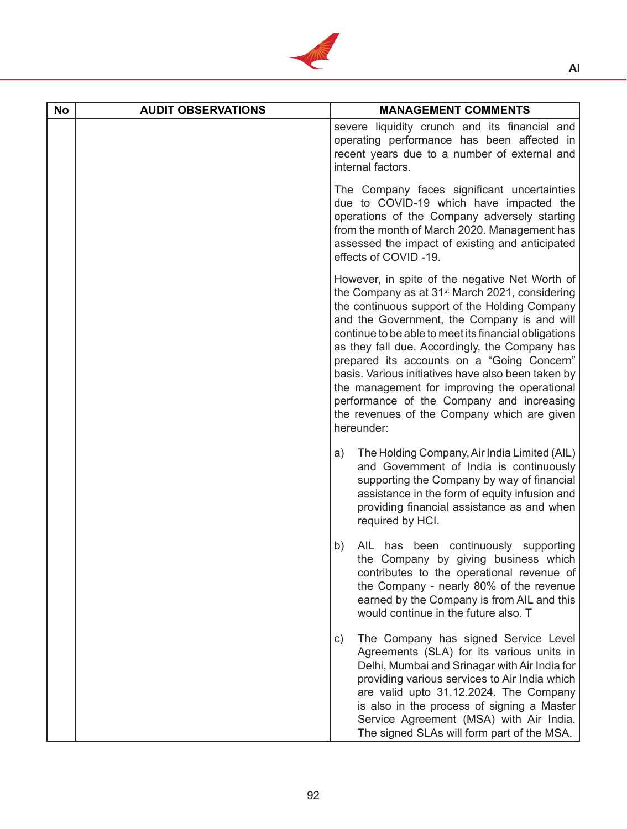

| <b>No</b> | <b>AUDIT OBSERVATIONS</b> | <b>MANAGEMENT COMMENTS</b>                                                                                                                                                                                                                                                                                                                                                                                                                                                                                                                                                            |
|-----------|---------------------------|---------------------------------------------------------------------------------------------------------------------------------------------------------------------------------------------------------------------------------------------------------------------------------------------------------------------------------------------------------------------------------------------------------------------------------------------------------------------------------------------------------------------------------------------------------------------------------------|
|           |                           | severe liquidity crunch and its financial and<br>operating performance has been affected in<br>recent years due to a number of external and<br>internal factors.                                                                                                                                                                                                                                                                                                                                                                                                                      |
|           |                           | The Company faces significant uncertainties<br>due to COVID-19 which have impacted the<br>operations of the Company adversely starting<br>from the month of March 2020. Management has<br>assessed the impact of existing and anticipated<br>effects of COVID-19.                                                                                                                                                                                                                                                                                                                     |
|           |                           | However, in spite of the negative Net Worth of<br>the Company as at 31 <sup>st</sup> March 2021, considering<br>the continuous support of the Holding Company<br>and the Government, the Company is and will<br>continue to be able to meet its financial obligations<br>as they fall due. Accordingly, the Company has<br>prepared its accounts on a "Going Concern"<br>basis. Various initiatives have also been taken by<br>the management for improving the operational<br>performance of the Company and increasing<br>the revenues of the Company which are given<br>hereunder: |
|           |                           | The Holding Company, Air India Limited (AIL)<br>a)<br>and Government of India is continuously<br>supporting the Company by way of financial<br>assistance in the form of equity infusion and<br>providing financial assistance as and when<br>required by HCI.                                                                                                                                                                                                                                                                                                                        |
|           |                           | AIL has been continuously supporting<br>b)<br>the Company by giving business which<br>contributes to the operational revenue of<br>the Company - nearly 80% of the revenue<br>earned by the Company is from AIL and this<br>would continue in the future also. T                                                                                                                                                                                                                                                                                                                      |
|           |                           | The Company has signed Service Level<br>C)<br>Agreements (SLA) for its various units in<br>Delhi, Mumbai and Srinagar with Air India for<br>providing various services to Air India which<br>are valid upto 31.12.2024. The Company<br>is also in the process of signing a Master<br>Service Agreement (MSA) with Air India.<br>The signed SLAs will form part of the MSA.                                                                                                                                                                                                            |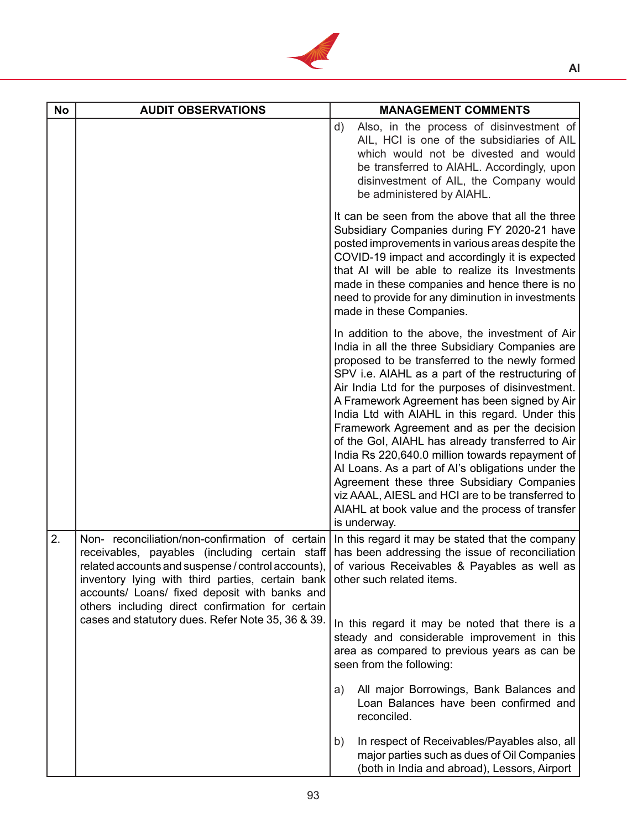

| <b>No</b> | <b>AUDIT OBSERVATIONS</b>                                                                                                                                                                                                                                                                                                                                             | <b>MANAGEMENT COMMENTS</b>                                                                                                                                                                                                                                                                                                                                                                                                                                                                                                                                                                                                                                                                                                                      |
|-----------|-----------------------------------------------------------------------------------------------------------------------------------------------------------------------------------------------------------------------------------------------------------------------------------------------------------------------------------------------------------------------|-------------------------------------------------------------------------------------------------------------------------------------------------------------------------------------------------------------------------------------------------------------------------------------------------------------------------------------------------------------------------------------------------------------------------------------------------------------------------------------------------------------------------------------------------------------------------------------------------------------------------------------------------------------------------------------------------------------------------------------------------|
|           |                                                                                                                                                                                                                                                                                                                                                                       | Also, in the process of disinvestment of<br>d)<br>AIL, HCI is one of the subsidiaries of AIL<br>which would not be divested and would<br>be transferred to AIAHL. Accordingly, upon<br>disinvestment of AIL, the Company would<br>be administered by AIAHL.                                                                                                                                                                                                                                                                                                                                                                                                                                                                                     |
|           |                                                                                                                                                                                                                                                                                                                                                                       | It can be seen from the above that all the three<br>Subsidiary Companies during FY 2020-21 have<br>posted improvements in various areas despite the<br>COVID-19 impact and accordingly it is expected<br>that AI will be able to realize its Investments<br>made in these companies and hence there is no<br>need to provide for any diminution in investments<br>made in these Companies.                                                                                                                                                                                                                                                                                                                                                      |
|           |                                                                                                                                                                                                                                                                                                                                                                       | In addition to the above, the investment of Air<br>India in all the three Subsidiary Companies are<br>proposed to be transferred to the newly formed<br>SPV i.e. AIAHL as a part of the restructuring of<br>Air India Ltd for the purposes of disinvestment.<br>A Framework Agreement has been signed by Air<br>India Ltd with AIAHL in this regard. Under this<br>Framework Agreement and as per the decision<br>of the Gol, AIAHL has already transferred to Air<br>India Rs 220,640.0 million towards repayment of<br>Al Loans. As a part of Al's obligations under the<br>Agreement these three Subsidiary Companies<br>viz AAAL, AIESL and HCI are to be transferred to<br>AIAHL at book value and the process of transfer<br>is underway. |
| 2.        | Non- reconciliation/non-confirmation of certain<br>receivables, payables (including certain staff<br>related accounts and suspense / control accounts),<br>inventory lying with third parties, certain bank<br>accounts/ Loans/ fixed deposit with banks and<br>others including direct confirmation for certain<br>cases and statutory dues. Refer Note 35, 36 & 39. | In this regard it may be stated that the company<br>has been addressing the issue of reconciliation<br>of various Receivables & Payables as well as<br>other such related items.<br>In this regard it may be noted that there is a<br>steady and considerable improvement in this<br>area as compared to previous years as can be<br>seen from the following:<br>All major Borrowings, Bank Balances and<br>a)                                                                                                                                                                                                                                                                                                                                  |
|           |                                                                                                                                                                                                                                                                                                                                                                       | Loan Balances have been confirmed and<br>reconciled.<br>In respect of Receivables/Payables also, all<br>b)<br>major parties such as dues of Oil Companies<br>(both in India and abroad), Lessors, Airport                                                                                                                                                                                                                                                                                                                                                                                                                                                                                                                                       |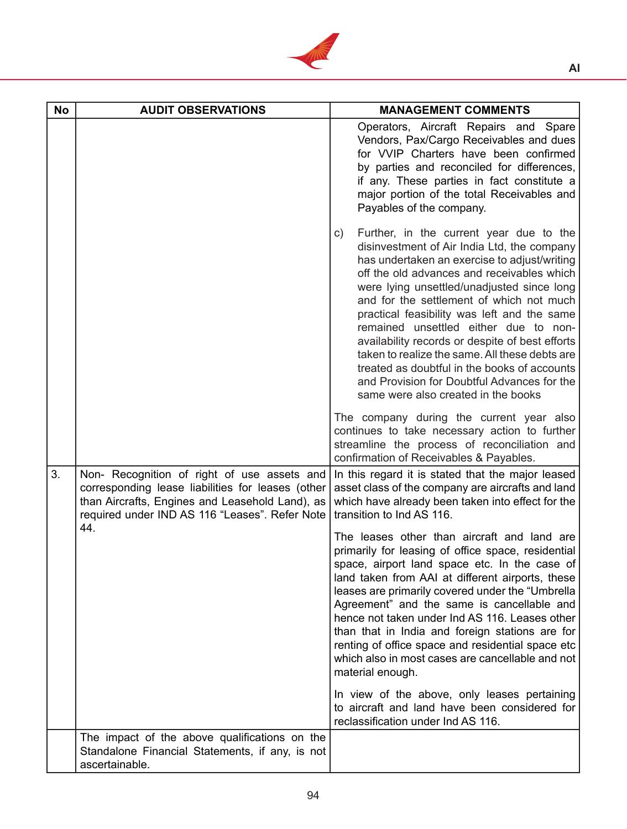

| <b>No</b> | <b>AUDIT OBSERVATIONS</b>                                                                                                                                                                             | <b>MANAGEMENT COMMENTS</b>                                                                                                                                                                                                                                                                                                                                                                                                                                                                                                                                                                                                                                                                                                                                                                                      |
|-----------|-------------------------------------------------------------------------------------------------------------------------------------------------------------------------------------------------------|-----------------------------------------------------------------------------------------------------------------------------------------------------------------------------------------------------------------------------------------------------------------------------------------------------------------------------------------------------------------------------------------------------------------------------------------------------------------------------------------------------------------------------------------------------------------------------------------------------------------------------------------------------------------------------------------------------------------------------------------------------------------------------------------------------------------|
|           |                                                                                                                                                                                                       | Operators, Aircraft Repairs and Spare<br>Vendors, Pax/Cargo Receivables and dues<br>for VVIP Charters have been confirmed<br>by parties and reconciled for differences,<br>if any. These parties in fact constitute a<br>major portion of the total Receivables and<br>Payables of the company.                                                                                                                                                                                                                                                                                                                                                                                                                                                                                                                 |
|           |                                                                                                                                                                                                       | Further, in the current year due to the<br>C)<br>disinvestment of Air India Ltd, the company<br>has undertaken an exercise to adjust/writing<br>off the old advances and receivables which<br>were lying unsettled/unadjusted since long<br>and for the settlement of which not much<br>practical feasibility was left and the same<br>remained unsettled either due to non-<br>availability records or despite of best efforts<br>taken to realize the same. All these debts are<br>treated as doubtful in the books of accounts<br>and Provision for Doubtful Advances for the<br>same were also created in the books<br>The company during the current year also<br>continues to take necessary action to further<br>streamline the process of reconciliation and<br>confirmation of Receivables & Payables. |
| 3.        | Non- Recognition of right of use assets and<br>corresponding lease liabilities for leases (other<br>than Aircrafts, Engines and Leasehold Land), as<br>required under IND AS 116 "Leases". Refer Note | In this regard it is stated that the major leased<br>asset class of the company are aircrafts and land<br>which have already been taken into effect for the<br>transition to Ind AS 116.                                                                                                                                                                                                                                                                                                                                                                                                                                                                                                                                                                                                                        |
|           | 44.                                                                                                                                                                                                   | The leases other than aircraft and land are<br>primarily for leasing of office space, residential<br>space, airport land space etc. In the case of<br>land taken from AAI at different airports, these<br>leases are primarily covered under the "Umbrella<br>Agreement" and the same is cancellable and<br>hence not taken under Ind AS 116. Leases other<br>than that in India and foreign stations are for<br>renting of office space and residential space etc<br>which also in most cases are cancellable and not<br>material enough.<br>In view of the above, only leases pertaining                                                                                                                                                                                                                      |
|           |                                                                                                                                                                                                       | to aircraft and land have been considered for<br>reclassification under Ind AS 116.                                                                                                                                                                                                                                                                                                                                                                                                                                                                                                                                                                                                                                                                                                                             |
|           | The impact of the above qualifications on the<br>Standalone Financial Statements, if any, is not<br>ascertainable.                                                                                    |                                                                                                                                                                                                                                                                                                                                                                                                                                                                                                                                                                                                                                                                                                                                                                                                                 |

94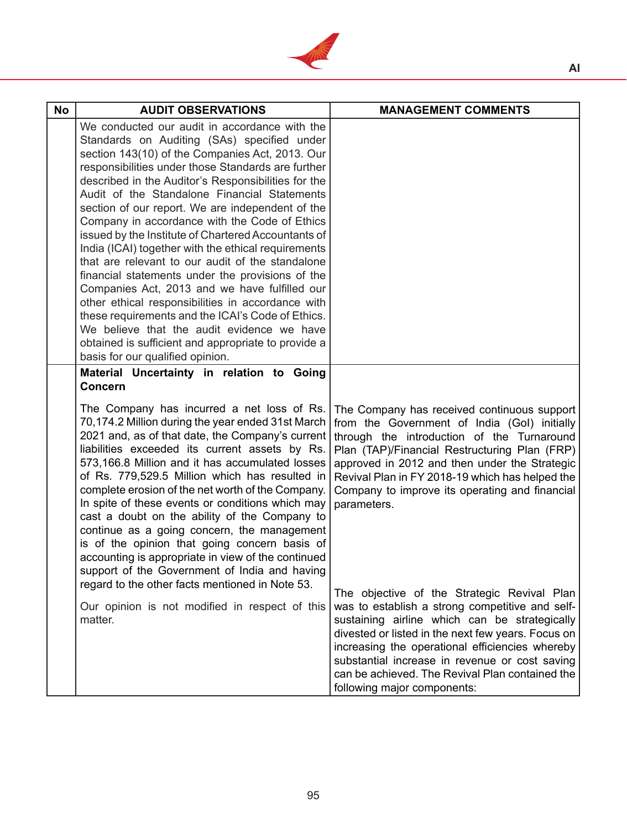

| <b>No</b> | <b>AUDIT OBSERVATIONS</b>                                                                                                                                                                                                                                                                                                                                                                                                                                                                                                                                                                                                                                                                                                                                                                                                                                                                                                                   | <b>MANAGEMENT COMMENTS</b>                                                                                                                                                                                                                                                                                                                                                                                                                                                                                                                                                                                                                                                                                                                                      |
|-----------|---------------------------------------------------------------------------------------------------------------------------------------------------------------------------------------------------------------------------------------------------------------------------------------------------------------------------------------------------------------------------------------------------------------------------------------------------------------------------------------------------------------------------------------------------------------------------------------------------------------------------------------------------------------------------------------------------------------------------------------------------------------------------------------------------------------------------------------------------------------------------------------------------------------------------------------------|-----------------------------------------------------------------------------------------------------------------------------------------------------------------------------------------------------------------------------------------------------------------------------------------------------------------------------------------------------------------------------------------------------------------------------------------------------------------------------------------------------------------------------------------------------------------------------------------------------------------------------------------------------------------------------------------------------------------------------------------------------------------|
|           | We conducted our audit in accordance with the<br>Standards on Auditing (SAs) specified under<br>section 143(10) of the Companies Act, 2013. Our<br>responsibilities under those Standards are further<br>described in the Auditor's Responsibilities for the<br>Audit of the Standalone Financial Statements<br>section of our report. We are independent of the<br>Company in accordance with the Code of Ethics<br>issued by the Institute of Chartered Accountants of<br>India (ICAI) together with the ethical requirements<br>that are relevant to our audit of the standalone<br>financial statements under the provisions of the<br>Companies Act, 2013 and we have fulfilled our<br>other ethical responsibilities in accordance with<br>these requirements and the ICAI's Code of Ethics.<br>We believe that the audit evidence we have<br>obtained is sufficient and appropriate to provide a<br>basis for our qualified opinion. |                                                                                                                                                                                                                                                                                                                                                                                                                                                                                                                                                                                                                                                                                                                                                                 |
|           | Material Uncertainty in relation to Going<br>Concern<br>The Company has incurred a net loss of Rs.<br>70,174.2 Million during the year ended 31st March<br>2021 and, as of that date, the Company's current<br>liabilities exceeded its current assets by Rs.<br>573,166.8 Million and it has accumulated losses<br>of Rs. 779,529.5 Million which has resulted in<br>complete erosion of the net worth of the Company.<br>In spite of these events or conditions which may<br>cast a doubt on the ability of the Company to<br>continue as a going concern, the management<br>is of the opinion that going concern basis of<br>accounting is appropriate in view of the continued<br>support of the Government of India and having<br>regard to the other facts mentioned in Note 53.<br>Our opinion is not modified in respect of this<br>matter.                                                                                         | The Company has received continuous support<br>from the Government of India (GoI) initially<br>through the introduction of the Turnaround<br>Plan (TAP)/Financial Restructuring Plan (FRP)<br>approved in 2012 and then under the Strategic<br>Revival Plan in FY 2018-19 which has helped the<br>Company to improve its operating and financial<br>parameters.<br>The objective of the Strategic Revival Plan<br>was to establish a strong competitive and self-<br>sustaining airline which can be strategically<br>divested or listed in the next few years. Focus on<br>increasing the operational efficiencies whereby<br>substantial increase in revenue or cost saving<br>can be achieved. The Revival Plan contained the<br>following major components: |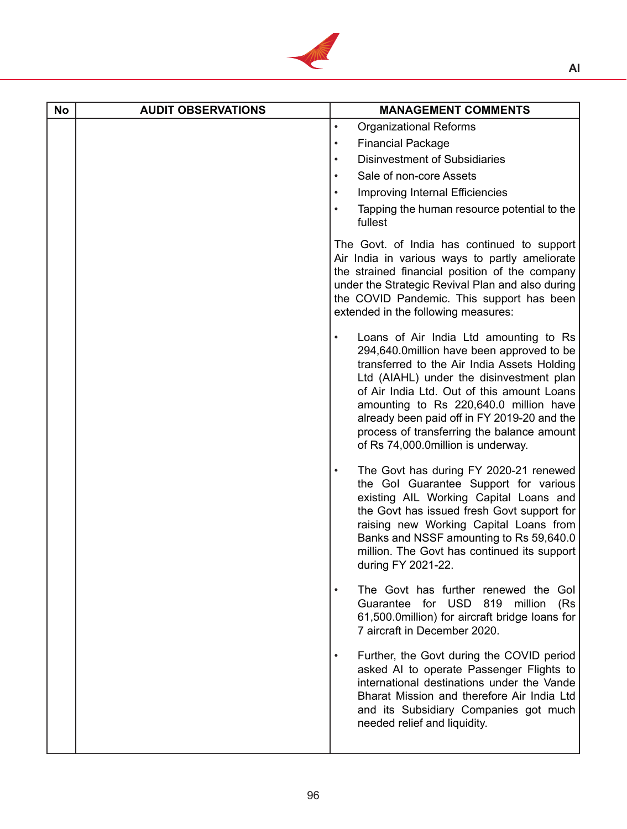

| <b>No</b> | <b>AUDIT OBSERVATIONS</b> | <b>MANAGEMENT COMMENTS</b>                                                                                                                                                                                                                                                                                                                                                                                              |
|-----------|---------------------------|-------------------------------------------------------------------------------------------------------------------------------------------------------------------------------------------------------------------------------------------------------------------------------------------------------------------------------------------------------------------------------------------------------------------------|
|           |                           | <b>Organizational Reforms</b><br>$\bullet$                                                                                                                                                                                                                                                                                                                                                                              |
|           |                           | <b>Financial Package</b><br>$\bullet$                                                                                                                                                                                                                                                                                                                                                                                   |
|           |                           | Disinvestment of Subsidiaries<br>$\bullet$                                                                                                                                                                                                                                                                                                                                                                              |
|           |                           | Sale of non-core Assets<br>$\bullet$                                                                                                                                                                                                                                                                                                                                                                                    |
|           |                           | <b>Improving Internal Efficiencies</b><br>$\bullet$                                                                                                                                                                                                                                                                                                                                                                     |
|           |                           | Tapping the human resource potential to the<br>$\bullet$<br>fullest                                                                                                                                                                                                                                                                                                                                                     |
|           |                           | The Govt. of India has continued to support<br>Air India in various ways to partly ameliorate<br>the strained financial position of the company<br>under the Strategic Revival Plan and also during<br>the COVID Pandemic. This support has been<br>extended in the following measures:                                                                                                                                 |
|           |                           | Loans of Air India Ltd amounting to Rs<br>$\bullet$<br>294,640.0 million have been approved to be<br>transferred to the Air India Assets Holding<br>Ltd (AIAHL) under the disinvestment plan<br>of Air India Ltd. Out of this amount Loans<br>amounting to Rs 220,640.0 million have<br>already been paid off in FY 2019-20 and the<br>process of transferring the balance amount<br>of Rs 74,000.0million is underway. |
|           |                           | The Govt has during FY 2020-21 renewed<br>$\bullet$<br>the Gol Guarantee Support for various<br>existing AIL Working Capital Loans and<br>the Govt has issued fresh Govt support for<br>raising new Working Capital Loans from<br>Banks and NSSF amounting to Rs 59,640.0<br>million. The Govt has continued its support<br>during FY 2021-22.                                                                          |
|           |                           | The Govt has further renewed the Gol<br>$\bullet$<br>Guarantee for USD 819 million (Rs<br>61,500.0million) for aircraft bridge loans for<br>7 aircraft in December 2020.                                                                                                                                                                                                                                                |
|           |                           | Further, the Govt during the COVID period<br>$\bullet$<br>asked AI to operate Passenger Flights to<br>international destinations under the Vande<br>Bharat Mission and therefore Air India Ltd<br>and its Subsidiary Companies got much<br>needed relief and liquidity.                                                                                                                                                 |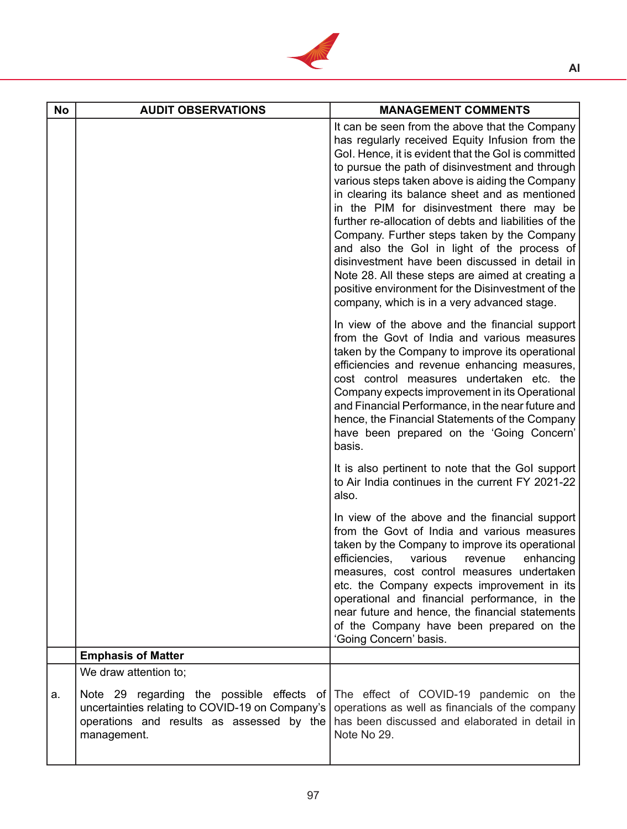

| <b>No</b> | <b>AUDIT OBSERVATIONS</b>                                                                                                                                                                       | <b>MANAGEMENT COMMENTS</b>                                                                                                                                                                                                                                                                                                                                                                                                                                                                                                                                                                                                                                                                                                     |
|-----------|-------------------------------------------------------------------------------------------------------------------------------------------------------------------------------------------------|--------------------------------------------------------------------------------------------------------------------------------------------------------------------------------------------------------------------------------------------------------------------------------------------------------------------------------------------------------------------------------------------------------------------------------------------------------------------------------------------------------------------------------------------------------------------------------------------------------------------------------------------------------------------------------------------------------------------------------|
|           |                                                                                                                                                                                                 | It can be seen from the above that the Company<br>has regularly received Equity Infusion from the<br>Gol. Hence, it is evident that the Gol is committed<br>to pursue the path of disinvestment and through<br>various steps taken above is aiding the Company<br>in clearing its balance sheet and as mentioned<br>in the PIM for disinvestment there may be<br>further re-allocation of debts and liabilities of the<br>Company. Further steps taken by the Company<br>and also the Gol in light of the process of<br>disinvestment have been discussed in detail in<br>Note 28. All these steps are aimed at creating a<br>positive environment for the Disinvestment of the<br>company, which is in a very advanced stage. |
|           |                                                                                                                                                                                                 | In view of the above and the financial support<br>from the Govt of India and various measures<br>taken by the Company to improve its operational<br>efficiencies and revenue enhancing measures,<br>cost control measures undertaken etc. the<br>Company expects improvement in its Operational<br>and Financial Performance, in the near future and<br>hence, the Financial Statements of the Company<br>have been prepared on the 'Going Concern'<br>basis.                                                                                                                                                                                                                                                                  |
|           |                                                                                                                                                                                                 | It is also pertinent to note that the Gol support<br>to Air India continues in the current FY 2021-22<br>also.                                                                                                                                                                                                                                                                                                                                                                                                                                                                                                                                                                                                                 |
|           |                                                                                                                                                                                                 | In view of the above and the financial support<br>from the Govt of India and various measures<br>taken by the Company to improve its operational<br>efficiencies, various revenue enhancing<br>measures, cost control measures undertaken<br>etc. the Company expects improvement in its<br>operational and financial performance, in the<br>near future and hence, the financial statements<br>of the Company have been prepared on the<br>'Going Concern' basis.                                                                                                                                                                                                                                                             |
|           | <b>Emphasis of Matter</b>                                                                                                                                                                       |                                                                                                                                                                                                                                                                                                                                                                                                                                                                                                                                                                                                                                                                                                                                |
|           | We draw attention to;                                                                                                                                                                           |                                                                                                                                                                                                                                                                                                                                                                                                                                                                                                                                                                                                                                                                                                                                |
| а.        | Note 29 regarding the possible effects of The effect of COVID-19 pandemic on the<br>uncertainties relating to COVID-19 on Company's<br>operations and results as assessed by the<br>management. | operations as well as financials of the company<br>has been discussed and elaborated in detail in<br>Note No 29.                                                                                                                                                                                                                                                                                                                                                                                                                                                                                                                                                                                                               |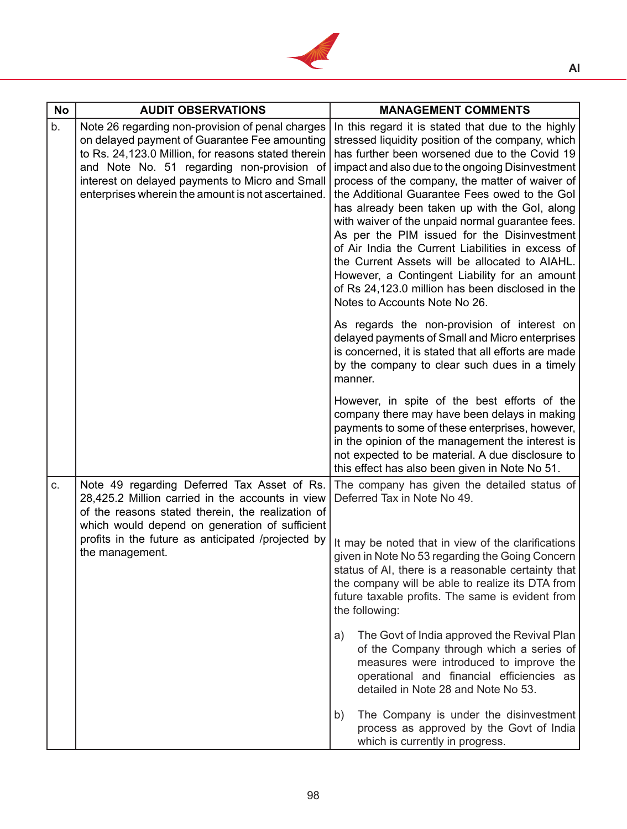

| <b>No</b> | <b>AUDIT OBSERVATIONS</b>                                                                                                                                                                                                                                                                                       | <b>MANAGEMENT COMMENTS</b>                                                                                                                                                                                                                                                                                                                                                                                                                                                                                                                                                                                                                                                                                        |
|-----------|-----------------------------------------------------------------------------------------------------------------------------------------------------------------------------------------------------------------------------------------------------------------------------------------------------------------|-------------------------------------------------------------------------------------------------------------------------------------------------------------------------------------------------------------------------------------------------------------------------------------------------------------------------------------------------------------------------------------------------------------------------------------------------------------------------------------------------------------------------------------------------------------------------------------------------------------------------------------------------------------------------------------------------------------------|
| b.        | Note 26 regarding non-provision of penal charges<br>on delayed payment of Guarantee Fee amounting<br>to Rs. 24,123.0 Million, for reasons stated therein<br>and Note No. 51 regarding non-provision of<br>interest on delayed payments to Micro and Small<br>enterprises wherein the amount is not ascertained. | In this regard it is stated that due to the highly<br>stressed liquidity position of the company, which<br>has further been worsened due to the Covid 19<br>impact and also due to the ongoing Disinvestment<br>process of the company, the matter of waiver of<br>the Additional Guarantee Fees owed to the Gol<br>has already been taken up with the Gol, along<br>with waiver of the unpaid normal guarantee fees.<br>As per the PIM issued for the Disinvestment<br>of Air India the Current Liabilities in excess of<br>the Current Assets will be allocated to AIAHL.<br>However, a Contingent Liability for an amount<br>of Rs 24,123.0 million has been disclosed in the<br>Notes to Accounts Note No 26. |
|           |                                                                                                                                                                                                                                                                                                                 | As regards the non-provision of interest on<br>delayed payments of Small and Micro enterprises<br>is concerned, it is stated that all efforts are made<br>by the company to clear such dues in a timely<br>manner.                                                                                                                                                                                                                                                                                                                                                                                                                                                                                                |
|           |                                                                                                                                                                                                                                                                                                                 | However, in spite of the best efforts of the<br>company there may have been delays in making<br>payments to some of these enterprises, however,<br>in the opinion of the management the interest is<br>not expected to be material. A due disclosure to<br>this effect has also been given in Note No 51.                                                                                                                                                                                                                                                                                                                                                                                                         |
| C.        | Note 49 regarding Deferred Tax Asset of Rs.<br>28,425.2 Million carried in the accounts in view<br>of the reasons stated therein, the realization of<br>which would depend on generation of sufficient                                                                                                          | The company has given the detailed status of<br>Deferred Tax in Note No 49.                                                                                                                                                                                                                                                                                                                                                                                                                                                                                                                                                                                                                                       |
|           | profits in the future as anticipated /projected by<br>the management.                                                                                                                                                                                                                                           | It may be noted that in view of the clarifications<br>given in Note No 53 regarding the Going Concern<br>status of AI, there is a reasonable certainty that<br>the company will be able to realize its DTA from<br>future taxable profits. The same is evident from<br>the following:                                                                                                                                                                                                                                                                                                                                                                                                                             |
|           |                                                                                                                                                                                                                                                                                                                 | The Govt of India approved the Revival Plan<br>a)<br>of the Company through which a series of<br>measures were introduced to improve the<br>operational and financial efficiencies as<br>detailed in Note 28 and Note No 53.                                                                                                                                                                                                                                                                                                                                                                                                                                                                                      |
|           |                                                                                                                                                                                                                                                                                                                 | The Company is under the disinvestment<br>b)<br>process as approved by the Govt of India<br>which is currently in progress.                                                                                                                                                                                                                                                                                                                                                                                                                                                                                                                                                                                       |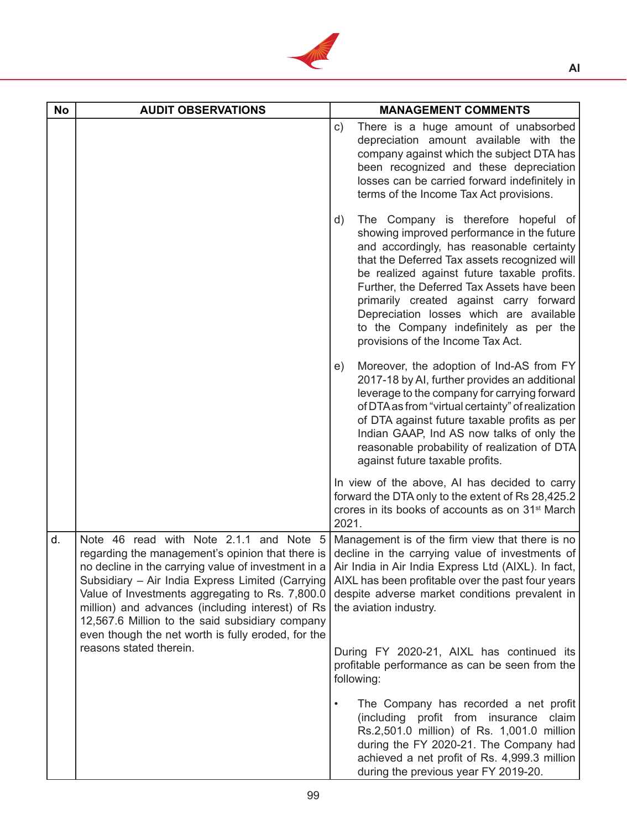

| <b>No</b> | <b>AUDIT OBSERVATIONS</b>                                                                                                                                                                                                                                                                                                                                                                                              | <b>MANAGEMENT COMMENTS</b>                                                                                                                                                                                                                                                                                                                                                                                                                             |
|-----------|------------------------------------------------------------------------------------------------------------------------------------------------------------------------------------------------------------------------------------------------------------------------------------------------------------------------------------------------------------------------------------------------------------------------|--------------------------------------------------------------------------------------------------------------------------------------------------------------------------------------------------------------------------------------------------------------------------------------------------------------------------------------------------------------------------------------------------------------------------------------------------------|
|           |                                                                                                                                                                                                                                                                                                                                                                                                                        | There is a huge amount of unabsorbed<br>c)<br>depreciation amount available with the<br>company against which the subject DTA has<br>been recognized and these depreciation<br>losses can be carried forward indefinitely in<br>terms of the Income Tax Act provisions.                                                                                                                                                                                |
|           |                                                                                                                                                                                                                                                                                                                                                                                                                        | The Company is therefore hopeful of<br>d)<br>showing improved performance in the future<br>and accordingly, has reasonable certainty<br>that the Deferred Tax assets recognized will<br>be realized against future taxable profits.<br>Further, the Deferred Tax Assets have been<br>primarily created against carry forward<br>Depreciation losses which are available<br>to the Company indefinitely as per the<br>provisions of the Income Tax Act. |
|           |                                                                                                                                                                                                                                                                                                                                                                                                                        | Moreover, the adoption of Ind-AS from FY<br>e)<br>2017-18 by AI, further provides an additional<br>leverage to the company for carrying forward<br>of DTA as from "virtual certainty" of realization<br>of DTA against future taxable profits as per<br>Indian GAAP, Ind AS now talks of only the<br>reasonable probability of realization of DTA<br>against future taxable profits.                                                                   |
|           |                                                                                                                                                                                                                                                                                                                                                                                                                        | In view of the above, AI has decided to carry<br>forward the DTA only to the extent of Rs 28,425.2<br>crores in its books of accounts as on 31 <sup>st</sup> March<br>2021.                                                                                                                                                                                                                                                                            |
| d.        | Note 46 read with Note 2.1.1 and Note 5<br>regarding the management's opinion that there is<br>no decline in the carrying value of investment in a<br>Subsidiary - Air India Express Limited (Carrying<br>Value of Investments aggregating to Rs. 7,800.0<br>million) and advances (including interest) of Rs<br>12,567.6 Million to the said subsidiary company<br>even though the net worth is fully eroded, for the | Management is of the firm view that there is no<br>decline in the carrying value of investments of<br>Air India in Air India Express Ltd (AIXL). In fact,<br>AIXL has been profitable over the past four years<br>despite adverse market conditions prevalent in<br>the aviation industry.                                                                                                                                                             |
|           | reasons stated therein.                                                                                                                                                                                                                                                                                                                                                                                                | During FY 2020-21, AIXL has continued its<br>profitable performance as can be seen from the<br>following:                                                                                                                                                                                                                                                                                                                                              |
|           |                                                                                                                                                                                                                                                                                                                                                                                                                        | The Company has recorded a net profit<br>$\bullet$<br>(including profit from insurance<br>claim<br>Rs.2,501.0 million) of Rs. 1,001.0 million<br>during the FY 2020-21. The Company had<br>achieved a net profit of Rs. 4,999.3 million<br>during the previous year FY 2019-20.                                                                                                                                                                        |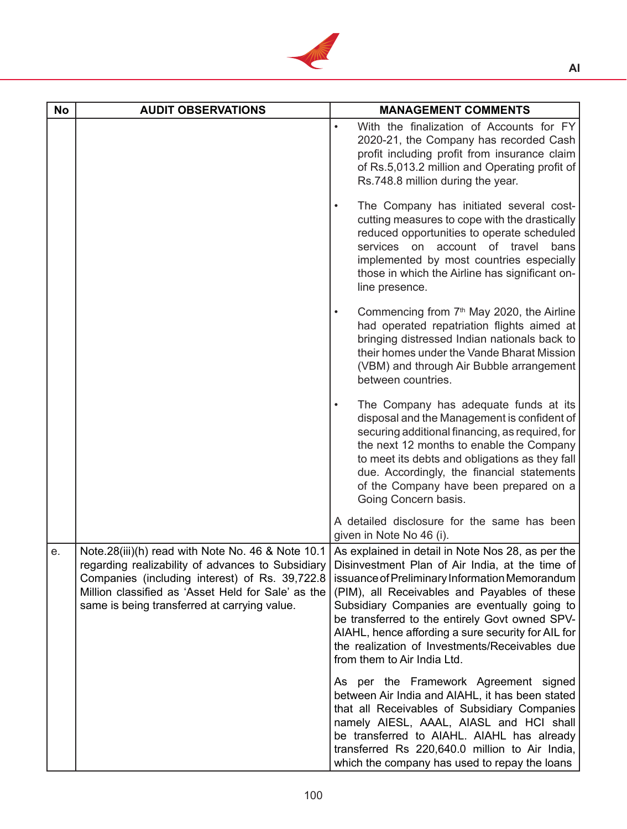

| <b>No</b> | <b>AUDIT OBSERVATIONS</b>                                                                                                                                                                                                                                      | <b>MANAGEMENT COMMENTS</b>                                                                                                                                                                                                                                                                                                                                                                                                                      |
|-----------|----------------------------------------------------------------------------------------------------------------------------------------------------------------------------------------------------------------------------------------------------------------|-------------------------------------------------------------------------------------------------------------------------------------------------------------------------------------------------------------------------------------------------------------------------------------------------------------------------------------------------------------------------------------------------------------------------------------------------|
|           |                                                                                                                                                                                                                                                                | With the finalization of Accounts for FY<br>$\bullet$<br>2020-21, the Company has recorded Cash<br>profit including profit from insurance claim<br>of Rs.5,013.2 million and Operating profit of<br>Rs.748.8 million during the year.                                                                                                                                                                                                           |
|           |                                                                                                                                                                                                                                                                | The Company has initiated several cost-<br>$\bullet$<br>cutting measures to cope with the drastically<br>reduced opportunities to operate scheduled<br>services on account of travel<br>bans<br>implemented by most countries especially<br>those in which the Airline has significant on-<br>line presence.                                                                                                                                    |
|           |                                                                                                                                                                                                                                                                | Commencing from 7 <sup>th</sup> May 2020, the Airline<br>$\bullet$<br>had operated repatriation flights aimed at<br>bringing distressed Indian nationals back to<br>their homes under the Vande Bharat Mission<br>(VBM) and through Air Bubble arrangement<br>between countries.                                                                                                                                                                |
|           |                                                                                                                                                                                                                                                                | The Company has adequate funds at its<br>$\bullet$<br>disposal and the Management is confident of<br>securing additional financing, as required, for<br>the next 12 months to enable the Company<br>to meet its debts and obligations as they fall<br>due. Accordingly, the financial statements<br>of the Company have been prepared on a<br>Going Concern basis.                                                                              |
|           |                                                                                                                                                                                                                                                                | A detailed disclosure for the same has been<br>given in Note No 46 (i).                                                                                                                                                                                                                                                                                                                                                                         |
| e.        | Note.28(iii)(h) read with Note No. 46 & Note 10.1<br>regarding realizability of advances to Subsidiary<br>Companies (including interest) of Rs. 39,722.8<br>Million classified as 'Asset Held for Sale' as the<br>same is being transferred at carrying value. | As explained in detail in Note Nos 28, as per the<br>Disinvestment Plan of Air India, at the time of<br>issuance of Preliminary Information Memorandum<br>(PIM), all Receivables and Payables of these<br>Subsidiary Companies are eventually going to<br>be transferred to the entirely Govt owned SPV-<br>AIAHL, hence affording a sure security for AIL for<br>the realization of Investments/Receivables due<br>from them to Air India Ltd. |
|           |                                                                                                                                                                                                                                                                | As per the Framework Agreement signed<br>between Air India and AIAHL, it has been stated<br>that all Receivables of Subsidiary Companies<br>namely AIESL, AAAL, AIASL and HCI shall<br>be transferred to AIAHL. AIAHL has already<br>transferred Rs 220,640.0 million to Air India,<br>which the company has used to repay the loans                                                                                                            |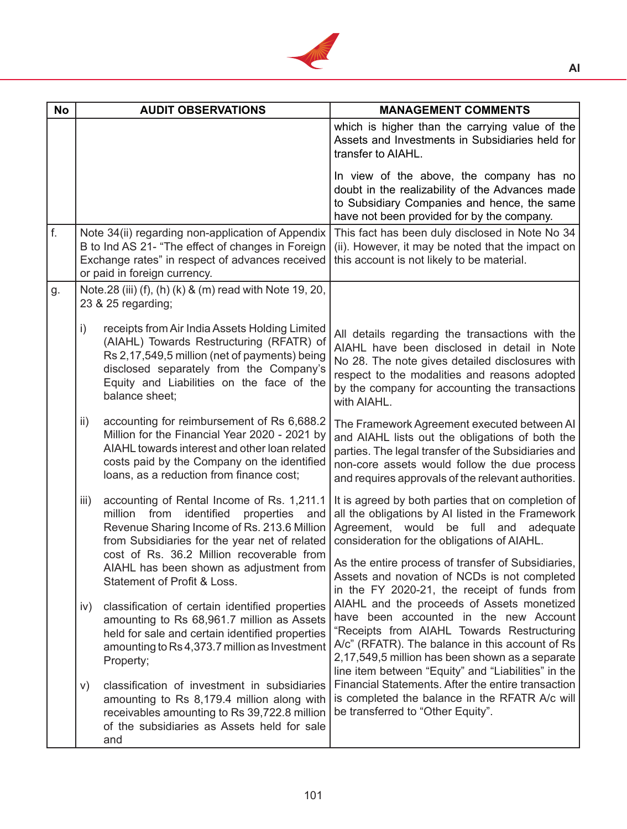

| <b>No</b> | <b>AUDIT OBSERVATIONS</b>                                                                                                                                                                                                                                             | <b>MANAGEMENT COMMENTS</b>                                                                                                                                                                                                                                                                      |
|-----------|-----------------------------------------------------------------------------------------------------------------------------------------------------------------------------------------------------------------------------------------------------------------------|-------------------------------------------------------------------------------------------------------------------------------------------------------------------------------------------------------------------------------------------------------------------------------------------------|
|           |                                                                                                                                                                                                                                                                       | which is higher than the carrying value of the<br>Assets and Investments in Subsidiaries held for<br>transfer to AIAHL.                                                                                                                                                                         |
|           |                                                                                                                                                                                                                                                                       | In view of the above, the company has no<br>doubt in the realizability of the Advances made<br>to Subsidiary Companies and hence, the same<br>have not been provided for by the company.                                                                                                        |
| f.        | Note 34(ii) regarding non-application of Appendix<br>B to Ind AS 21- "The effect of changes in Foreign<br>Exchange rates" in respect of advances received<br>or paid in foreign currency.                                                                             | This fact has been duly disclosed in Note No 34<br>(ii). However, it may be noted that the impact on<br>this account is not likely to be material.                                                                                                                                              |
| g.        | Note.28 (iii) (f), (h) (k) & (m) read with Note 19, 20,<br>23 & 25 regarding;                                                                                                                                                                                         |                                                                                                                                                                                                                                                                                                 |
|           | $\mathsf{i}$<br>receipts from Air India Assets Holding Limited<br>(AIAHL) Towards Restructuring (RFATR) of<br>Rs 2,17,549,5 million (net of payments) being<br>disclosed separately from the Company's<br>Equity and Liabilities on the face of the<br>balance sheet: | All details regarding the transactions with the<br>AIAHL have been disclosed in detail in Note<br>No 28. The note gives detailed disclosures with<br>respect to the modalities and reasons adopted<br>by the company for accounting the transactions<br>with AIAHL.                             |
|           | accounting for reimbursement of Rs 6,688.2<br>ii)<br>Million for the Financial Year 2020 - 2021 by<br>AIAHL towards interest and other loan related<br>costs paid by the Company on the identified<br>loans, as a reduction from finance cost;                        | The Framework Agreement executed between AI<br>and AIAHL lists out the obligations of both the<br>parties. The legal transfer of the Subsidiaries and<br>non-core assets would follow the due process<br>and requires approvals of the relevant authorities.                                    |
|           | accounting of Rental Income of Rs. 1,211.1<br>iii)<br>from<br>identified<br>million<br>properties<br>and<br>Revenue Sharing Income of Rs. 213.6 Million<br>from Subsidiaries for the year net of related<br>cost of Rs. 36.2 Million recoverable from                 | It is agreed by both parties that on completion of<br>all the obligations by AI listed in the Framework<br>Agreement, would be full and adequate<br>consideration for the obligations of AIAHL.                                                                                                 |
|           | AIAHL has been shown as adjustment from<br>Statement of Profit & Loss.                                                                                                                                                                                                | As the entire process of transfer of Subsidiaries,<br>Assets and novation of NCDs is not completed<br>in the FY 2020-21, the receipt of funds from                                                                                                                                              |
|           | classification of certain identified properties<br>iv)<br>amounting to Rs 68,961.7 million as Assets<br>held for sale and certain identified properties<br>amounting to Rs 4,373.7 million as Investment<br>Property;                                                 | AIAHL and the proceeds of Assets monetized<br>have been accounted in the new Account<br>"Receipts from AIAHL Towards Restructuring<br>A/c" (RFATR). The balance in this account of Rs<br>2,17,549,5 million has been shown as a separate<br>line item between "Equity" and "Liabilities" in the |
|           | classification of investment in subsidiaries<br>V)<br>amounting to Rs 8,179.4 million along with<br>receivables amounting to Rs 39,722.8 million<br>of the subsidiaries as Assets held for sale<br>and                                                                | Financial Statements. After the entire transaction<br>is completed the balance in the RFATR A/c will<br>be transferred to "Other Equity".                                                                                                                                                       |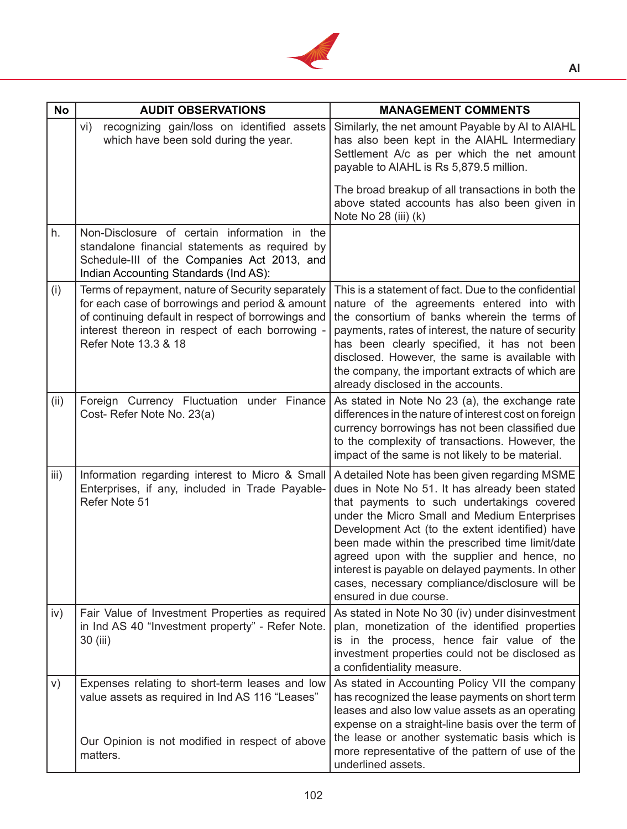

| <b>No</b> | <b>AUDIT OBSERVATIONS</b>                                                                                                                                                                                                             | <b>MANAGEMENT COMMENTS</b>                                                                                                                                                                                                                                                                                                                                                                                                                                                          |
|-----------|---------------------------------------------------------------------------------------------------------------------------------------------------------------------------------------------------------------------------------------|-------------------------------------------------------------------------------------------------------------------------------------------------------------------------------------------------------------------------------------------------------------------------------------------------------------------------------------------------------------------------------------------------------------------------------------------------------------------------------------|
|           | recognizing gain/loss on identified assets<br>vi)<br>which have been sold during the year.                                                                                                                                            | Similarly, the net amount Payable by AI to AIAHL<br>has also been kept in the AIAHL Intermediary<br>Settlement A/c as per which the net amount<br>payable to AIAHL is Rs 5,879.5 million.                                                                                                                                                                                                                                                                                           |
|           |                                                                                                                                                                                                                                       | The broad breakup of all transactions in both the<br>above stated accounts has also been given in<br>Note No 28 (iii) (k)                                                                                                                                                                                                                                                                                                                                                           |
| h.        | Non-Disclosure of certain information in the<br>standalone financial statements as required by<br>Schedule-III of the Companies Act 2013, and<br>Indian Accounting Standards (Ind AS):                                                |                                                                                                                                                                                                                                                                                                                                                                                                                                                                                     |
| (i)       | Terms of repayment, nature of Security separately<br>for each case of borrowings and period & amount<br>of continuing default in respect of borrowings and<br>interest thereon in respect of each borrowing -<br>Refer Note 13.3 & 18 | This is a statement of fact. Due to the confidential<br>nature of the agreements entered into with<br>the consortium of banks wherein the terms of<br>payments, rates of interest, the nature of security<br>has been clearly specified, it has not been<br>disclosed. However, the same is available with<br>the company, the important extracts of which are<br>already disclosed in the accounts.                                                                                |
| (ii)      | Foreign Currency Fluctuation under Finance<br>Cost- Refer Note No. 23(a)                                                                                                                                                              | As stated in Note No 23 (a), the exchange rate<br>differences in the nature of interest cost on foreign<br>currency borrowings has not been classified due<br>to the complexity of transactions. However, the<br>impact of the same is not likely to be material.                                                                                                                                                                                                                   |
| iii)      | Information regarding interest to Micro & Small<br>Enterprises, if any, included in Trade Payable-<br>Refer Note 51                                                                                                                   | A detailed Note has been given regarding MSME<br>dues in Note No 51. It has already been stated<br>that payments to such undertakings covered<br>under the Micro Small and Medium Enterprises<br>Development Act (to the extent identified) have<br>been made within the prescribed time limit/date<br>agreed upon with the supplier and hence, no<br>interest is payable on delayed payments. In other<br>cases, necessary compliance/disclosure will be<br>ensured in due course. |
| iv)       | Fair Value of Investment Properties as required<br>in Ind AS 40 "Investment property" - Refer Note.<br>30 (iii)                                                                                                                       | As stated in Note No 30 (iv) under disinvestment<br>plan, monetization of the identified properties<br>is in the process, hence fair value of the<br>investment properties could not be disclosed as<br>a confidentiality measure.                                                                                                                                                                                                                                                  |
| V)        | Expenses relating to short-term leases and low<br>value assets as required in Ind AS 116 "Leases"<br>Our Opinion is not modified in respect of above                                                                                  | As stated in Accounting Policy VII the company<br>has recognized the lease payments on short term<br>leases and also low value assets as an operating<br>expense on a straight-line basis over the term of<br>the lease or another systematic basis which is                                                                                                                                                                                                                        |
|           | matters.                                                                                                                                                                                                                              | more representative of the pattern of use of the<br>underlined assets.                                                                                                                                                                                                                                                                                                                                                                                                              |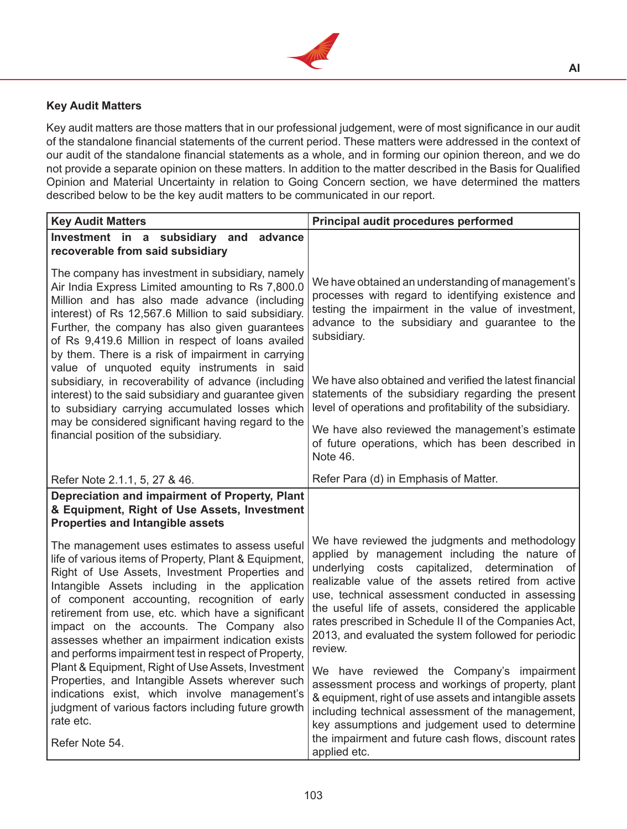

### **Key Audit Matters**

Key audit matters are those matters that in our professional judgement, were of most significance in our audit of the standalone financial statements of the current period. These matters were addressed in the context of our audit of the standalone financial statements as a whole, and in forming our opinion thereon, and we do not provide a separate opinion on these matters. In addition to the matter described in the Basis for Qualified Opinion and Material Uncertainty in relation to Going Concern section*,* we have determined the matters described below to be the key audit matters to be communicated in our report.

| <b>Key Audit Matters</b>                                                                                                                                                                                                                                                                                                                                                                                                                                                                                                         | Principal audit procedures performed                                                                                                                                                                                                                                                                                                                                                                                                                  |  |
|----------------------------------------------------------------------------------------------------------------------------------------------------------------------------------------------------------------------------------------------------------------------------------------------------------------------------------------------------------------------------------------------------------------------------------------------------------------------------------------------------------------------------------|-------------------------------------------------------------------------------------------------------------------------------------------------------------------------------------------------------------------------------------------------------------------------------------------------------------------------------------------------------------------------------------------------------------------------------------------------------|--|
| Investment in a subsidiary<br>and<br>advance<br>recoverable from said subsidiary                                                                                                                                                                                                                                                                                                                                                                                                                                                 |                                                                                                                                                                                                                                                                                                                                                                                                                                                       |  |
| The company has investment in subsidiary, namely<br>Air India Express Limited amounting to Rs 7,800.0<br>Million and has also made advance (including<br>interest) of Rs 12,567.6 Million to said subsidiary.<br>Further, the company has also given guarantees<br>of Rs 9,419.6 Million in respect of loans availed<br>by them. There is a risk of impairment in carrying<br>value of unquoted equity instruments in said                                                                                                       | We have obtained an understanding of management's<br>processes with regard to identifying existence and<br>testing the impairment in the value of investment,<br>advance to the subsidiary and guarantee to the<br>subsidiary.                                                                                                                                                                                                                        |  |
| subsidiary, in recoverability of advance (including<br>interest) to the said subsidiary and guarantee given<br>to subsidiary carrying accumulated losses which                                                                                                                                                                                                                                                                                                                                                                   | We have also obtained and verified the latest financial<br>statements of the subsidiary regarding the present<br>level of operations and profitability of the subsidiary.                                                                                                                                                                                                                                                                             |  |
| may be considered significant having regard to the<br>financial position of the subsidiary.                                                                                                                                                                                                                                                                                                                                                                                                                                      | We have also reviewed the management's estimate<br>of future operations, which has been described in<br>Note 46.                                                                                                                                                                                                                                                                                                                                      |  |
| Refer Note 2.1.1, 5, 27 & 46.                                                                                                                                                                                                                                                                                                                                                                                                                                                                                                    | Refer Para (d) in Emphasis of Matter.                                                                                                                                                                                                                                                                                                                                                                                                                 |  |
| Depreciation and impairment of Property, Plant<br>& Equipment, Right of Use Assets, Investment<br><b>Properties and Intangible assets</b>                                                                                                                                                                                                                                                                                                                                                                                        |                                                                                                                                                                                                                                                                                                                                                                                                                                                       |  |
| The management uses estimates to assess useful<br>life of various items of Property, Plant & Equipment,<br>Right of Use Assets, Investment Properties and<br>Intangible Assets including in the application<br>of component accounting, recognition of early<br>retirement from use, etc. which have a significant<br>impact on the accounts. The Company also<br>assesses whether an impairment indication exists<br>and performs impairment test in respect of Property,<br>Plant & Equipment, Right of Use Assets, Investment | We have reviewed the judgments and methodology<br>applied by management including the nature of<br>costs capitalized, determination<br>underlying<br>0t<br>realizable value of the assets retired from active<br>use, technical assessment conducted in assessing<br>the useful life of assets, considered the applicable<br>rates prescribed in Schedule II of the Companies Act,<br>2013, and evaluated the system followed for periodic<br>review. |  |
| Properties, and Intangible Assets wherever such<br>indications exist, which involve management's<br>judgment of various factors including future growth<br>rate etc.                                                                                                                                                                                                                                                                                                                                                             | We have reviewed the Company's impairment<br>assessment process and workings of property, plant<br>& equipment, right of use assets and intangible assets<br>including technical assessment of the management,<br>key assumptions and judgement used to determine                                                                                                                                                                                     |  |
| Refer Note 54.                                                                                                                                                                                                                                                                                                                                                                                                                                                                                                                   | the impairment and future cash flows, discount rates<br>applied etc.                                                                                                                                                                                                                                                                                                                                                                                  |  |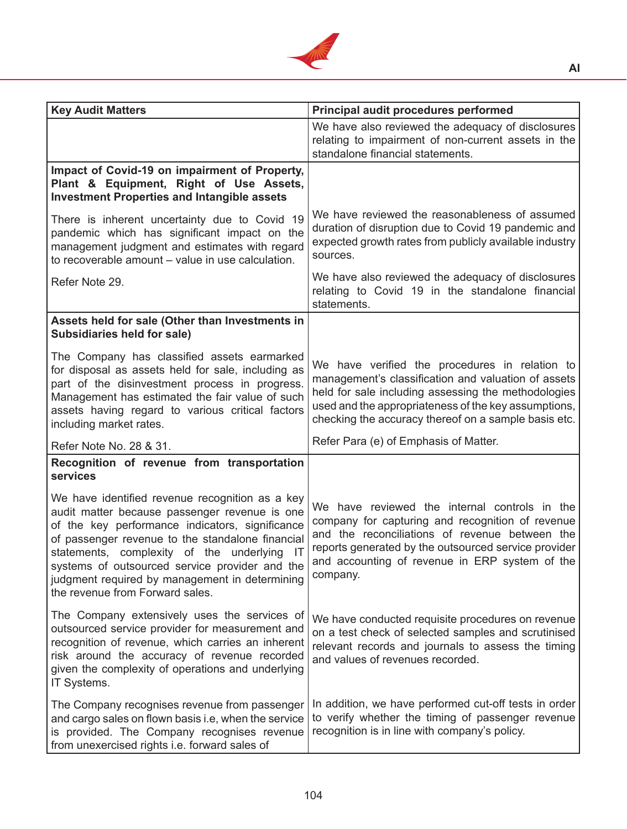

| <b>Key Audit Matters</b>                                                                                                                                                                                                                                                                                                                                                                         | Principal audit procedures performed                                                                                                                                                                                                                                         |
|--------------------------------------------------------------------------------------------------------------------------------------------------------------------------------------------------------------------------------------------------------------------------------------------------------------------------------------------------------------------------------------------------|------------------------------------------------------------------------------------------------------------------------------------------------------------------------------------------------------------------------------------------------------------------------------|
|                                                                                                                                                                                                                                                                                                                                                                                                  | We have also reviewed the adequacy of disclosures<br>relating to impairment of non-current assets in the<br>standalone financial statements.                                                                                                                                 |
| Impact of Covid-19 on impairment of Property,<br>Plant & Equipment, Right of Use Assets,<br><b>Investment Properties and Intangible assets</b>                                                                                                                                                                                                                                                   |                                                                                                                                                                                                                                                                              |
| There is inherent uncertainty due to Covid 19<br>pandemic which has significant impact on the<br>management judgment and estimates with regard<br>to recoverable amount – value in use calculation.                                                                                                                                                                                              | We have reviewed the reasonableness of assumed<br>duration of disruption due to Covid 19 pandemic and<br>expected growth rates from publicly available industry<br>sources.                                                                                                  |
| Refer Note 29.                                                                                                                                                                                                                                                                                                                                                                                   | We have also reviewed the adequacy of disclosures<br>relating to Covid 19 in the standalone financial<br>statements.                                                                                                                                                         |
| Assets held for sale (Other than Investments in<br>Subsidiaries held for sale)                                                                                                                                                                                                                                                                                                                   |                                                                                                                                                                                                                                                                              |
| The Company has classified assets earmarked<br>for disposal as assets held for sale, including as<br>part of the disinvestment process in progress.<br>Management has estimated the fair value of such<br>assets having regard to various critical factors<br>including market rates.                                                                                                            | We have verified the procedures in relation to<br>management's classification and valuation of assets<br>held for sale including assessing the methodologies<br>used and the appropriateness of the key assumptions,<br>checking the accuracy thereof on a sample basis etc. |
| Refer Note No. 28 & 31.                                                                                                                                                                                                                                                                                                                                                                          | Refer Para (e) of Emphasis of Matter.                                                                                                                                                                                                                                        |
| Recognition of revenue from transportation<br>services                                                                                                                                                                                                                                                                                                                                           |                                                                                                                                                                                                                                                                              |
| We have identified revenue recognition as a key<br>audit matter because passenger revenue is one<br>of the key performance indicators, significance<br>of passenger revenue to the standalone financial<br>statements, complexity of the underlying<br>IT<br>systems of outsourced service provider and the<br>judgment required by management in determining<br>the revenue from Forward sales. | We have reviewed the internal controls in the<br>company for capturing and recognition of revenue<br>and the reconciliations of revenue between the<br>reports generated by the outsourced service provider<br>and accounting of revenue in ERP system of the<br>company.    |
| The Company extensively uses the services of<br>outsourced service provider for measurement and<br>recognition of revenue, which carries an inherent<br>risk around the accuracy of revenue recorded<br>given the complexity of operations and underlying<br>IT Systems.                                                                                                                         | We have conducted requisite procedures on revenue<br>on a test check of selected samples and scrutinised<br>relevant records and journals to assess the timing<br>and values of revenues recorded.                                                                           |
| The Company recognises revenue from passenger<br>and cargo sales on flown basis i.e, when the service<br>is provided. The Company recognises revenue<br>from unexercised rights i.e. forward sales of                                                                                                                                                                                            | In addition, we have performed cut-off tests in order<br>to verify whether the timing of passenger revenue<br>recognition is in line with company's policy.                                                                                                                  |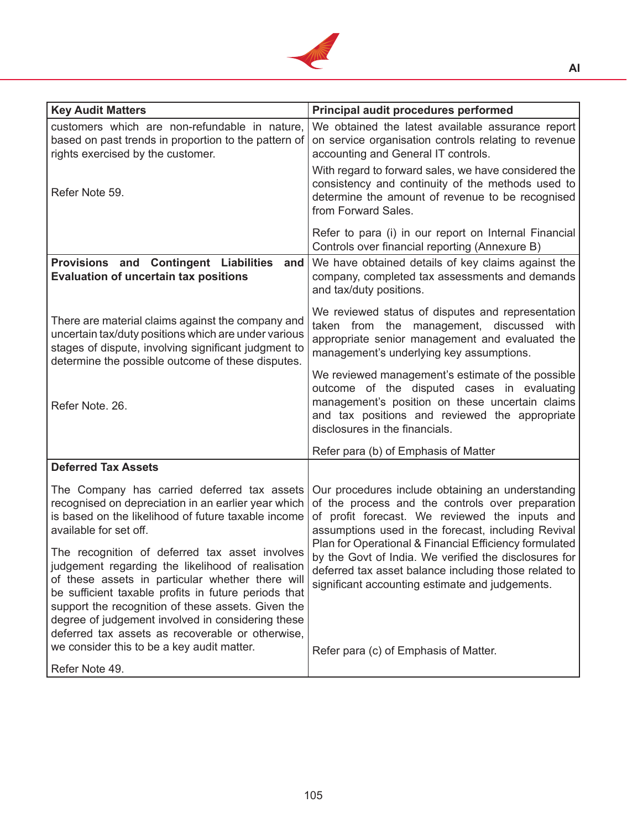

| <b>Key Audit Matters</b>                                                                                                                                                                                                                                                                                                                                                                                                                                                                                                                                              | Principal audit procedures performed                                                                                                                                                                                                                                                                                                                                                                                                          |
|-----------------------------------------------------------------------------------------------------------------------------------------------------------------------------------------------------------------------------------------------------------------------------------------------------------------------------------------------------------------------------------------------------------------------------------------------------------------------------------------------------------------------------------------------------------------------|-----------------------------------------------------------------------------------------------------------------------------------------------------------------------------------------------------------------------------------------------------------------------------------------------------------------------------------------------------------------------------------------------------------------------------------------------|
| customers which are non-refundable in nature,<br>based on past trends in proportion to the pattern of<br>rights exercised by the customer.                                                                                                                                                                                                                                                                                                                                                                                                                            | We obtained the latest available assurance report<br>on service organisation controls relating to revenue<br>accounting and General IT controls.                                                                                                                                                                                                                                                                                              |
| Refer Note 59.                                                                                                                                                                                                                                                                                                                                                                                                                                                                                                                                                        | With regard to forward sales, we have considered the<br>consistency and continuity of the methods used to<br>determine the amount of revenue to be recognised<br>from Forward Sales.                                                                                                                                                                                                                                                          |
|                                                                                                                                                                                                                                                                                                                                                                                                                                                                                                                                                                       | Refer to para (i) in our report on Internal Financial<br>Controls over financial reporting (Annexure B)                                                                                                                                                                                                                                                                                                                                       |
| Provisions and Contingent Liabilities<br>and<br><b>Evaluation of uncertain tax positions</b>                                                                                                                                                                                                                                                                                                                                                                                                                                                                          | We have obtained details of key claims against the<br>company, completed tax assessments and demands<br>and tax/duty positions.                                                                                                                                                                                                                                                                                                               |
| There are material claims against the company and<br>uncertain tax/duty positions which are under various<br>stages of dispute, involving significant judgment to<br>determine the possible outcome of these disputes.                                                                                                                                                                                                                                                                                                                                                | We reviewed status of disputes and representation<br>taken from the management, discussed with<br>appropriate senior management and evaluated the<br>management's underlying key assumptions.                                                                                                                                                                                                                                                 |
| Refer Note. 26.                                                                                                                                                                                                                                                                                                                                                                                                                                                                                                                                                       | We reviewed management's estimate of the possible<br>outcome of the disputed cases in evaluating<br>management's position on these uncertain claims<br>and tax positions and reviewed the appropriate<br>disclosures in the financials.                                                                                                                                                                                                       |
|                                                                                                                                                                                                                                                                                                                                                                                                                                                                                                                                                                       | Refer para (b) of Emphasis of Matter                                                                                                                                                                                                                                                                                                                                                                                                          |
| <b>Deferred Tax Assets</b>                                                                                                                                                                                                                                                                                                                                                                                                                                                                                                                                            |                                                                                                                                                                                                                                                                                                                                                                                                                                               |
| The Company has carried deferred tax assets<br>recognised on depreciation in an earlier year which<br>is based on the likelihood of future taxable income<br>available for set off.<br>The recognition of deferred tax asset involves<br>judgement regarding the likelihood of realisation<br>of these assets in particular whether there will<br>be sufficient taxable profits in future periods that<br>support the recognition of these assets. Given the<br>degree of judgement involved in considering these<br>deferred tax assets as recoverable or otherwise, | Our procedures include obtaining an understanding<br>of the process and the controls over preparation<br>of profit forecast. We reviewed the inputs and<br>assumptions used in the forecast, including Revival<br>Plan for Operational & Financial Efficiency formulated<br>by the Govt of India. We verified the disclosures for<br>deferred tax asset balance including those related to<br>significant accounting estimate and judgements. |
| we consider this to be a key audit matter.                                                                                                                                                                                                                                                                                                                                                                                                                                                                                                                            | Refer para (c) of Emphasis of Matter.                                                                                                                                                                                                                                                                                                                                                                                                         |
| Refer Note 49.                                                                                                                                                                                                                                                                                                                                                                                                                                                                                                                                                        |                                                                                                                                                                                                                                                                                                                                                                                                                                               |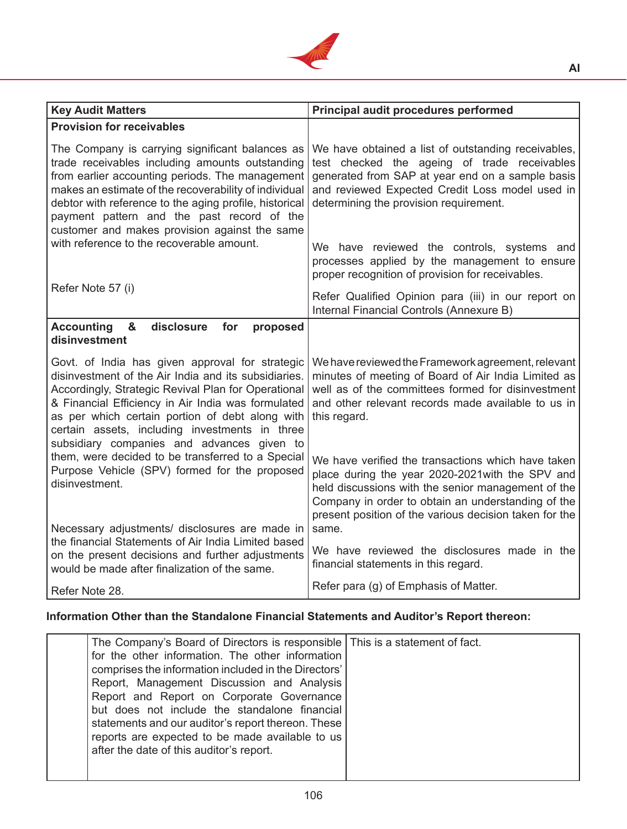

|                                                                                                                                                                                                                                                                                                                                                                         | Principal audit procedures performed                                                                                                                                                                                                                                         |
|-------------------------------------------------------------------------------------------------------------------------------------------------------------------------------------------------------------------------------------------------------------------------------------------------------------------------------------------------------------------------|------------------------------------------------------------------------------------------------------------------------------------------------------------------------------------------------------------------------------------------------------------------------------|
| <b>Key Audit Matters</b>                                                                                                                                                                                                                                                                                                                                                |                                                                                                                                                                                                                                                                              |
| <b>Provision for receivables</b>                                                                                                                                                                                                                                                                                                                                        |                                                                                                                                                                                                                                                                              |
| The Company is carrying significant balances as<br>trade receivables including amounts outstanding<br>from earlier accounting periods. The management<br>makes an estimate of the recoverability of individual<br>debtor with reference to the aging profile, historical<br>payment pattern and the past record of the<br>customer and makes provision against the same | We have obtained a list of outstanding receivables,<br>test checked the ageing of trade receivables<br>generated from SAP at year end on a sample basis<br>and reviewed Expected Credit Loss model used in<br>determining the provision requirement.                         |
| with reference to the recoverable amount.                                                                                                                                                                                                                                                                                                                               | We have reviewed the controls, systems and<br>processes applied by the management to ensure<br>proper recognition of provision for receivables.                                                                                                                              |
| Refer Note 57 (i)                                                                                                                                                                                                                                                                                                                                                       | Refer Qualified Opinion para (iii) in our report on<br>Internal Financial Controls (Annexure B)                                                                                                                                                                              |
| &<br>disclosure<br>for<br><b>Accounting</b><br>proposed<br>disinvestment                                                                                                                                                                                                                                                                                                |                                                                                                                                                                                                                                                                              |
| Govt. of India has given approval for strategic<br>disinvestment of the Air India and its subsidiaries.<br>Accordingly, Strategic Revival Plan for Operational<br>& Financial Efficiency in Air India was formulated<br>as per which certain portion of debt along with<br>certain assets, including investments in three<br>subsidiary companies and advances given to | We have reviewed the Framework agreement, relevant<br>minutes of meeting of Board of Air India Limited as<br>well as of the committees formed for disinvestment<br>and other relevant records made available to us in<br>this regard.                                        |
| them, were decided to be transferred to a Special<br>Purpose Vehicle (SPV) formed for the proposed<br>disinvestment.                                                                                                                                                                                                                                                    | We have verified the transactions which have taken<br>place during the year 2020-2021 with the SPV and<br>held discussions with the senior management of the<br>Company in order to obtain an understanding of the<br>present position of the various decision taken for the |
| Necessary adjustments/ disclosures are made in<br>the financial Statements of Air India Limited based                                                                                                                                                                                                                                                                   | same.                                                                                                                                                                                                                                                                        |
| on the present decisions and further adjustments<br>would be made after finalization of the same.                                                                                                                                                                                                                                                                       | We have reviewed the disclosures made in the<br>financial statements in this regard.                                                                                                                                                                                         |
| Refer Note 28.                                                                                                                                                                                                                                                                                                                                                          | Refer para (g) of Emphasis of Matter.                                                                                                                                                                                                                                        |

# **Information Other than the Standalone Financial Statements and Auditor's Report thereon:**

| The Company's Board of Directors is responsible   This is a statement of fact.<br>for the other information. The other information<br>comprises the information included in the Directors'<br>Report, Management Discussion and Analysis<br>Report and Report on Corporate Governance<br>but does not include the standalone financial |  |
|----------------------------------------------------------------------------------------------------------------------------------------------------------------------------------------------------------------------------------------------------------------------------------------------------------------------------------------|--|
| statements and our auditor's report thereon. These<br>reports are expected to be made available to us<br>after the date of this auditor's report.                                                                                                                                                                                      |  |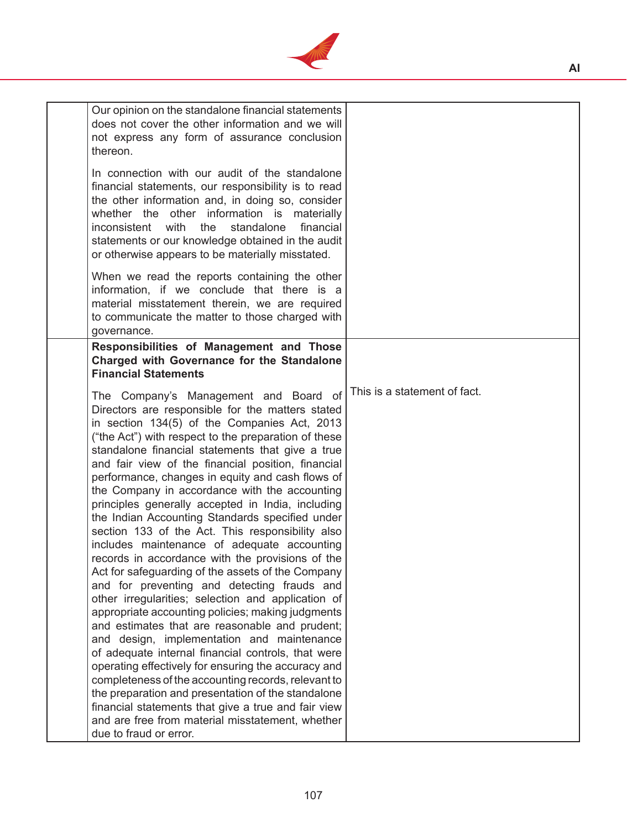

| Our opinion on the standalone financial statements<br>does not cover the other information and we will<br>not express any form of assurance conclusion<br>thereon.<br>In connection with our audit of the standalone<br>financial statements, our responsibility is to read<br>the other information and, in doing so, consider<br>whether the other information is materially<br>inconsistent with the<br>standalone<br>financial<br>statements or our knowledge obtained in the audit<br>or otherwise appears to be materially misstated.                                                                                                                                                                                                                                                                                                                                                                                                                                                                                                                                                                                                                                                                              |                              |
|--------------------------------------------------------------------------------------------------------------------------------------------------------------------------------------------------------------------------------------------------------------------------------------------------------------------------------------------------------------------------------------------------------------------------------------------------------------------------------------------------------------------------------------------------------------------------------------------------------------------------------------------------------------------------------------------------------------------------------------------------------------------------------------------------------------------------------------------------------------------------------------------------------------------------------------------------------------------------------------------------------------------------------------------------------------------------------------------------------------------------------------------------------------------------------------------------------------------------|------------------------------|
| When we read the reports containing the other<br>information, if we conclude that there is a<br>material misstatement therein, we are required<br>to communicate the matter to those charged with<br>governance.                                                                                                                                                                                                                                                                                                                                                                                                                                                                                                                                                                                                                                                                                                                                                                                                                                                                                                                                                                                                         |                              |
| Responsibilities of Management and Those                                                                                                                                                                                                                                                                                                                                                                                                                                                                                                                                                                                                                                                                                                                                                                                                                                                                                                                                                                                                                                                                                                                                                                                 |                              |
| Charged with Governance for the Standalone<br><b>Financial Statements</b>                                                                                                                                                                                                                                                                                                                                                                                                                                                                                                                                                                                                                                                                                                                                                                                                                                                                                                                                                                                                                                                                                                                                                |                              |
| The Company's Management and Board of<br>Directors are responsible for the matters stated<br>in section 134(5) of the Companies Act, 2013<br>("the Act") with respect to the preparation of these<br>standalone financial statements that give a true<br>and fair view of the financial position, financial<br>performance, changes in equity and cash flows of<br>the Company in accordance with the accounting<br>principles generally accepted in India, including<br>the Indian Accounting Standards specified under<br>section 133 of the Act. This responsibility also<br>includes maintenance of adequate accounting<br>records in accordance with the provisions of the<br>Act for safeguarding of the assets of the Company<br>and for preventing and detecting frauds and<br>other irregularities; selection and application of<br>appropriate accounting policies; making judgments<br>and estimates that are reasonable and prudent;<br>and design, implementation and maintenance<br>of adequate internal financial controls, that were<br>operating effectively for ensuring the accuracy and<br>completeness of the accounting records, relevant to<br>the preparation and presentation of the standalone | This is a statement of fact. |
| financial statements that give a true and fair view<br>and are free from material misstatement, whether<br>due to fraud or error.                                                                                                                                                                                                                                                                                                                                                                                                                                                                                                                                                                                                                                                                                                                                                                                                                                                                                                                                                                                                                                                                                        |                              |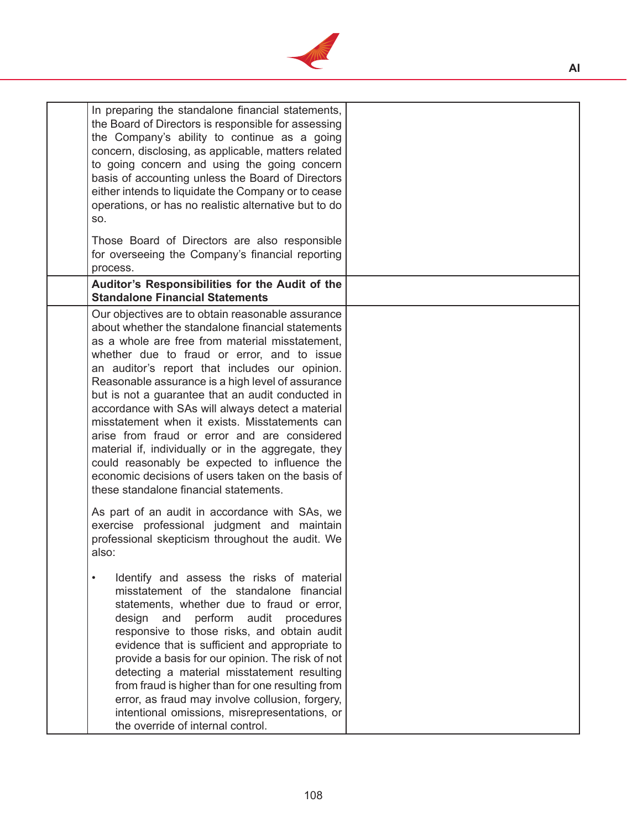

| In preparing the standalone financial statements,<br>the Board of Directors is responsible for assessing<br>the Company's ability to continue as a going<br>concern, disclosing, as applicable, matters related<br>to going concern and using the going concern<br>basis of accounting unless the Board of Directors<br>either intends to liquidate the Company or to cease<br>operations, or has no realistic alternative but to do<br>SO.<br>Those Board of Directors are also responsible<br>for overseeing the Company's financial reporting                                                                                                                                                                                   |  |
|------------------------------------------------------------------------------------------------------------------------------------------------------------------------------------------------------------------------------------------------------------------------------------------------------------------------------------------------------------------------------------------------------------------------------------------------------------------------------------------------------------------------------------------------------------------------------------------------------------------------------------------------------------------------------------------------------------------------------------|--|
| process.<br>Auditor's Responsibilities for the Audit of the<br><b>Standalone Financial Statements</b>                                                                                                                                                                                                                                                                                                                                                                                                                                                                                                                                                                                                                              |  |
| Our objectives are to obtain reasonable assurance<br>about whether the standalone financial statements<br>as a whole are free from material misstatement,<br>whether due to fraud or error, and to issue<br>an auditor's report that includes our opinion.<br>Reasonable assurance is a high level of assurance<br>but is not a guarantee that an audit conducted in<br>accordance with SAs will always detect a material<br>misstatement when it exists. Misstatements can<br>arise from fraud or error and are considered<br>material if, individually or in the aggregate, they<br>could reasonably be expected to influence the<br>economic decisions of users taken on the basis of<br>these standalone financial statements. |  |
| As part of an audit in accordance with SAs, we<br>exercise professional judgment and maintain<br>professional skepticism throughout the audit. We<br>also:                                                                                                                                                                                                                                                                                                                                                                                                                                                                                                                                                                         |  |
| Identify and assess the risks of material<br>$\bullet$<br>misstatement of the standalone financial<br>statements, whether due to fraud or error,<br>and perform audit<br>procedures<br>design<br>responsive to those risks, and obtain audit<br>evidence that is sufficient and appropriate to<br>provide a basis for our opinion. The risk of not<br>detecting a material misstatement resulting<br>from fraud is higher than for one resulting from<br>error, as fraud may involve collusion, forgery,<br>intentional omissions, misrepresentations, or<br>the override of internal control.                                                                                                                                     |  |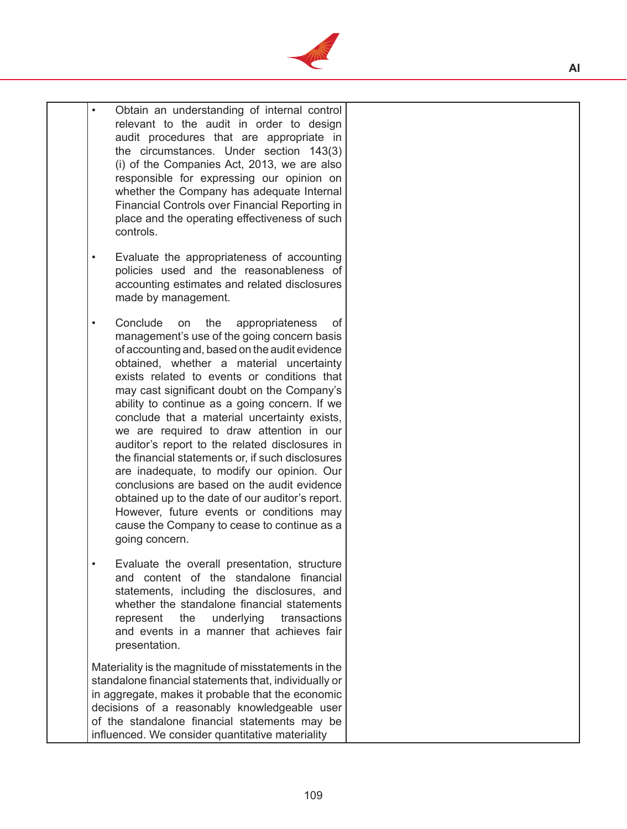

- Obtain an understanding of internal control relevant to the audit in order to design audit procedures that are appropriate in the circumstances. Under section 143(3) (i) of the Companies Act, 2013, we are also responsible for expressing our opinion on whether the Company has adequate Internal Financial Controls over Financial Reporting in place and the operating effectiveness of such controls.
	- Evaluate the appropriateness of accounting policies used and the reasonableness of accounting estimates and related disclosures made by management.
	- Conclude on the appropriateness of management's use of the going concern basis of accounting and, based on the audit evidence obtained, whether a material uncertainty exists related to events or conditions that may cast significant doubt on the Company's ability to continue as a going concern. If we conclude that a material uncertainty exists, we are required to draw attention in our auditor's report to the related disclosures in the financial statements or, if such disclosures are inadequate, to modify our opinion. Our conclusions are based on the audit evidence obtained up to the date of our auditor's report. However, future events or conditions may cause the Company to cease to continue as a going concern.
	- Evaluate the overall presentation, structure and content of the standalone financial statements, including the disclosures, and whether the standalone financial statements represent the underlying transactions and events in a manner that achieves fair presentation.

Materiality is the magnitude of misstatements in the standalone financial statements that, individually or in aggregate, makes it probable that the economic decisions of a reasonably knowledgeable user of the standalone financial statements may be influenced. We consider quantitative materiality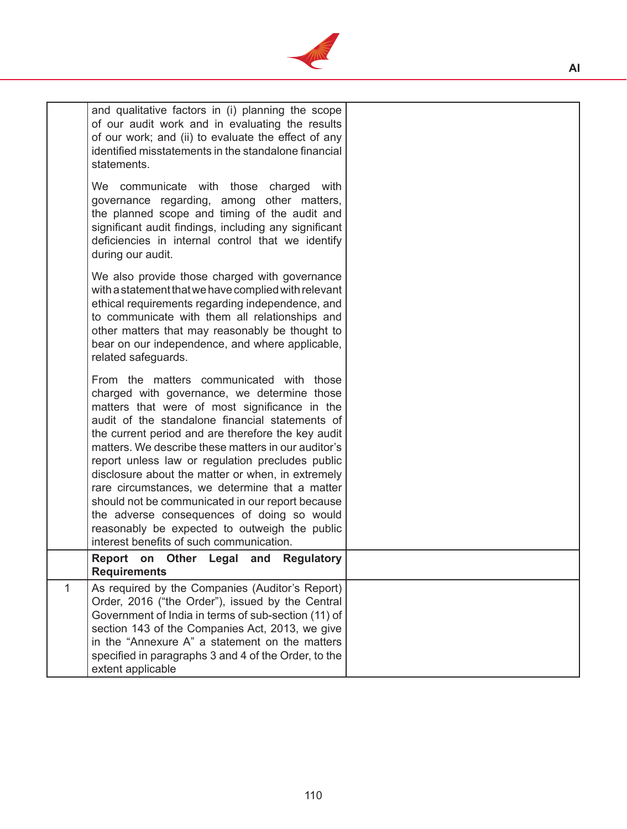

|              | and qualitative factors in (i) planning the scope<br>of our audit work and in evaluating the results<br>of our work; and (ii) to evaluate the effect of any<br>identified misstatements in the standalone financial<br>statements.                                                                                                                                                                                                                                                                                                                                                                                                                                 |  |
|--------------|--------------------------------------------------------------------------------------------------------------------------------------------------------------------------------------------------------------------------------------------------------------------------------------------------------------------------------------------------------------------------------------------------------------------------------------------------------------------------------------------------------------------------------------------------------------------------------------------------------------------------------------------------------------------|--|
|              | We<br>communicate with those charged with<br>governance regarding, among other matters,<br>the planned scope and timing of the audit and<br>significant audit findings, including any significant<br>deficiencies in internal control that we identify<br>during our audit.                                                                                                                                                                                                                                                                                                                                                                                        |  |
|              | We also provide those charged with governance<br>with a statement that we have complied with relevant<br>ethical requirements regarding independence, and<br>to communicate with them all relationships and<br>other matters that may reasonably be thought to<br>bear on our independence, and where applicable,<br>related safeguards.                                                                                                                                                                                                                                                                                                                           |  |
|              | From the matters communicated with those<br>charged with governance, we determine those<br>matters that were of most significance in the<br>audit of the standalone financial statements of<br>the current period and are therefore the key audit<br>matters. We describe these matters in our auditor's<br>report unless law or regulation precludes public<br>disclosure about the matter or when, in extremely<br>rare circumstances, we determine that a matter<br>should not be communicated in our report because<br>the adverse consequences of doing so would<br>reasonably be expected to outweigh the public<br>interest benefits of such communication. |  |
|              | Report on Other Legal and Regulatory<br><b>Requirements</b>                                                                                                                                                                                                                                                                                                                                                                                                                                                                                                                                                                                                        |  |
| $\mathbf{1}$ | As required by the Companies (Auditor's Report)<br>Order, 2016 ("the Order"), issued by the Central<br>Government of India in terms of sub-section (11) of<br>section 143 of the Companies Act, 2013, we give<br>in the "Annexure A" a statement on the matters<br>specified in paragraphs 3 and 4 of the Order, to the<br>extent applicable                                                                                                                                                                                                                                                                                                                       |  |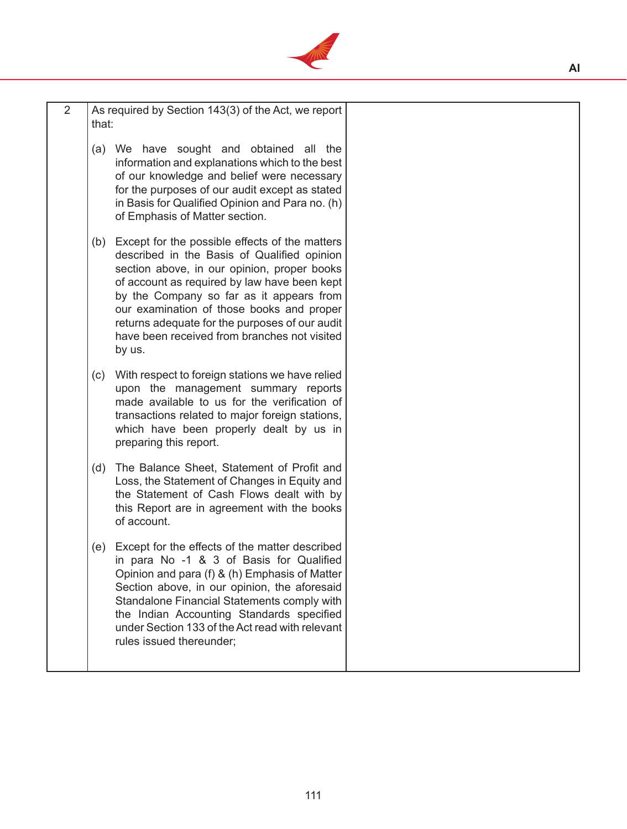

| $\overline{2}$ | that: | As required by Section 143(3) of the Act, we report                                                                                                                                                                                                                                                                                                                                               |  |
|----------------|-------|---------------------------------------------------------------------------------------------------------------------------------------------------------------------------------------------------------------------------------------------------------------------------------------------------------------------------------------------------------------------------------------------------|--|
|                | (a)   | We have sought and obtained all the<br>information and explanations which to the best<br>of our knowledge and belief were necessary<br>for the purposes of our audit except as stated<br>in Basis for Qualified Opinion and Para no. (h)<br>of Emphasis of Matter section.                                                                                                                        |  |
|                | (b)   | Except for the possible effects of the matters<br>described in the Basis of Qualified opinion<br>section above, in our opinion, proper books<br>of account as required by law have been kept<br>by the Company so far as it appears from<br>our examination of those books and proper<br>returns adequate for the purposes of our audit<br>have been received from branches not visited<br>by us. |  |
|                | (c)   | With respect to foreign stations we have relied<br>upon the management summary reports<br>made available to us for the verification of<br>transactions related to major foreign stations,<br>which have been properly dealt by us in<br>preparing this report.                                                                                                                                    |  |
|                | (d)   | The Balance Sheet, Statement of Profit and<br>Loss, the Statement of Changes in Equity and<br>the Statement of Cash Flows dealt with by<br>this Report are in agreement with the books<br>of account.                                                                                                                                                                                             |  |
|                | (e)   | Except for the effects of the matter described<br>in para No -1 & 3 of Basis for Qualified<br>Opinion and para (f) & (h) Emphasis of Matter<br>Section above, in our opinion, the aforesaid<br>Standalone Financial Statements comply with<br>the Indian Accounting Standards specified<br>under Section 133 of the Act read with relevant<br>rules issued thereunder;                            |  |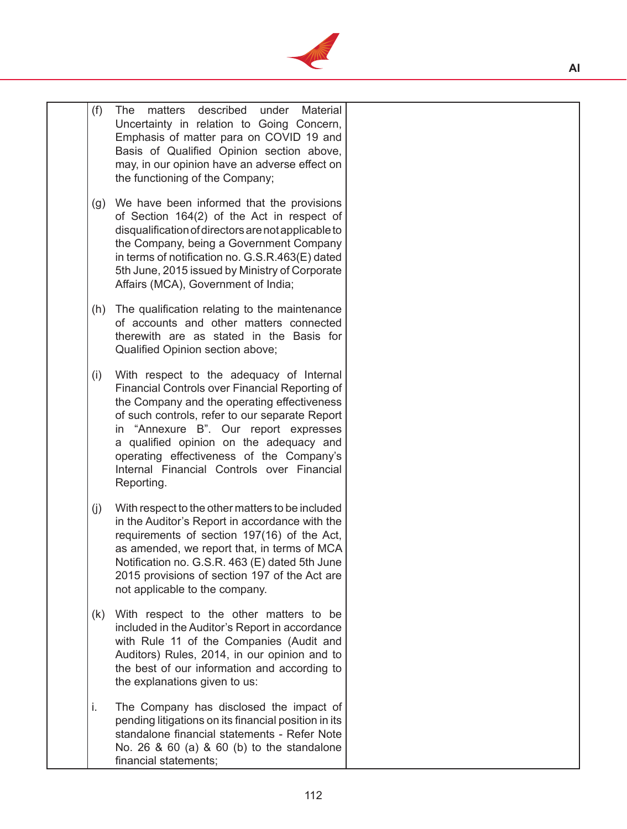

| (f) | matters described under Material<br>The<br>Uncertainty in relation to Going Concern,<br>Emphasis of matter para on COVID 19 and<br>Basis of Qualified Opinion section above,<br>may, in our opinion have an adverse effect on<br>the functioning of the Company;                                                                                                                        |
|-----|-----------------------------------------------------------------------------------------------------------------------------------------------------------------------------------------------------------------------------------------------------------------------------------------------------------------------------------------------------------------------------------------|
| (g) | We have been informed that the provisions<br>of Section 164(2) of the Act in respect of<br>disqualification of directors are not applicable to<br>the Company, being a Government Company<br>in terms of notification no. G.S.R.463(E) dated<br>5th June, 2015 issued by Ministry of Corporate<br>Affairs (MCA), Government of India;                                                   |
| (h) | The qualification relating to the maintenance<br>of accounts and other matters connected<br>therewith are as stated in the Basis for<br>Qualified Opinion section above;                                                                                                                                                                                                                |
| (i) | With respect to the adequacy of Internal<br>Financial Controls over Financial Reporting of<br>the Company and the operating effectiveness<br>of such controls, refer to our separate Report<br>in "Annexure B". Our report expresses<br>a qualified opinion on the adequacy and<br>operating effectiveness of the Company's<br>Internal Financial Controls over Financial<br>Reporting. |
| (j) | With respect to the other matters to be included<br>in the Auditor's Report in accordance with the<br>requirements of section 197(16) of the Act,<br>as amended, we report that, in terms of MCA<br>Notification no. G.S.R. 463 (E) dated 5th June<br>2015 provisions of section 197 of the Act are<br>not applicable to the company.                                                   |
| (k) | With respect to the other matters to be<br>included in the Auditor's Report in accordance<br>with Rule 11 of the Companies (Audit and<br>Auditors) Rules, 2014, in our opinion and to<br>the best of our information and according to<br>the explanations given to us:                                                                                                                  |

i. The Company has disclosed the impact of pending litigations on its financial position in its standalone financial statements - Refer Note No. 26 & 60 (a) & 60 (b) to the standalone financial statements;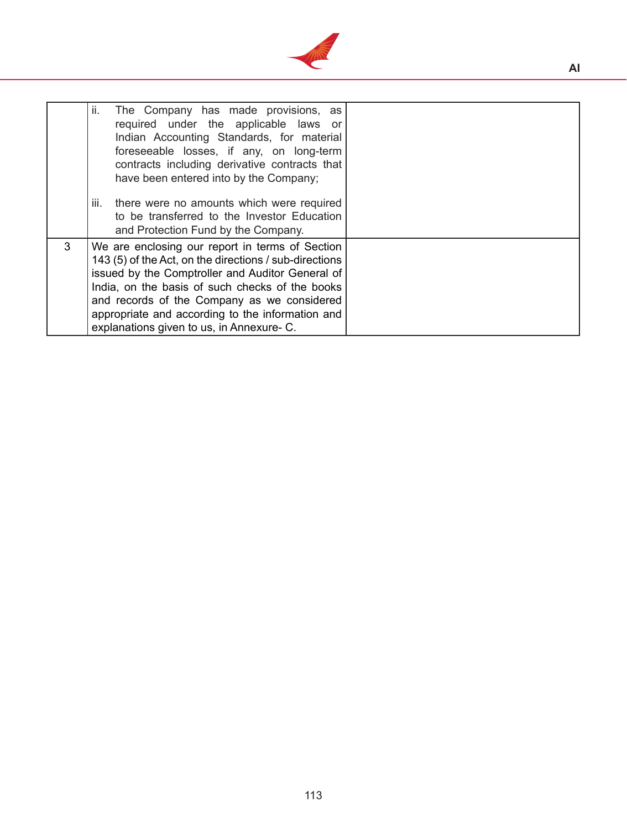

|   | The Company has made provisions, as<br>ii.<br>required under the applicable laws or<br>Indian Accounting Standards, for material<br>foreseeable losses, if any, on long-term<br>contracts including derivative contracts that<br>have been entered into by the Company;                                                                                          |  |
|---|------------------------------------------------------------------------------------------------------------------------------------------------------------------------------------------------------------------------------------------------------------------------------------------------------------------------------------------------------------------|--|
|   | iii. there were no amounts which were required<br>to be transferred to the Investor Education<br>and Protection Fund by the Company.                                                                                                                                                                                                                             |  |
| 3 | We are enclosing our report in terms of Section<br>143 (5) of the Act, on the directions / sub-directions<br>issued by the Comptroller and Auditor General of<br>India, on the basis of such checks of the books<br>and records of the Company as we considered<br>appropriate and according to the information and<br>explanations given to us, in Annexure- C. |  |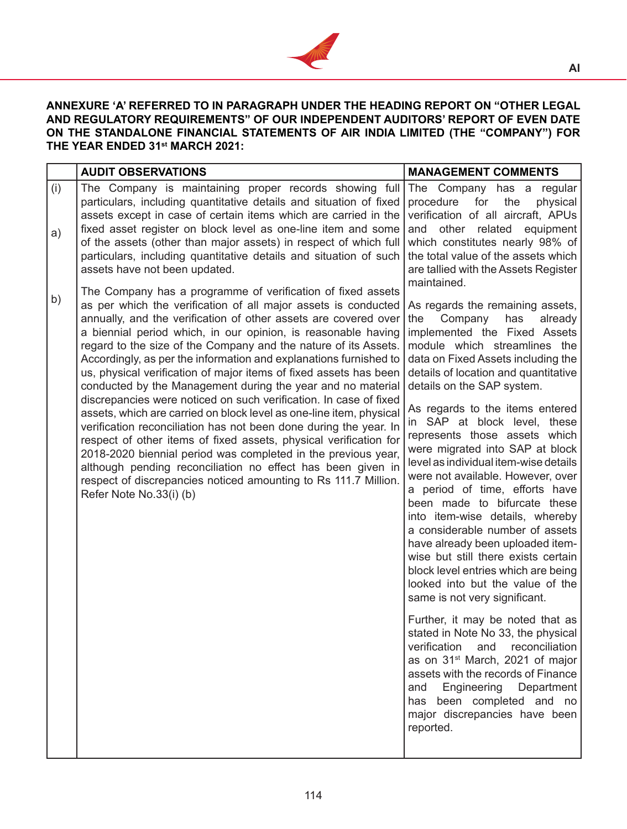

#### **ANNEXURE 'A' REFERRED TO IN PARAGRAPH UNDER THE HEADING REPORT ON "OTHER LEGAL AND REGULATORY REQUIREMENTS" OF OUR INDEPENDENT AUDITORS' REPORT OF EVEN DATE ON THE STANDALONE FINANCIAL STATEMENTS OF AIR INDIA LIMITED (THE "COMPANY") FOR THE YEAR ENDED 31st MARCH 2021:**

| (i)<br>The Company is maintaining proper records showing full<br>The Company has a regular<br>particulars, including quantitative details and situation of fixed<br>for<br>procedure<br>the<br>physical<br>assets except in case of certain items which are carried in the<br>verification of all aircraft, APUs<br>fixed asset register on block level as one-line item and some<br>other related<br>equipment<br>and<br>a)<br>of the assets (other than major assets) in respect of which full<br>which constitutes nearly 98% of<br>particulars, including quantitative details and situation of such<br>the total value of the assets which<br>assets have not been updated.<br>are tallied with the Assets Register<br>maintained.<br>The Company has a programme of verification of fixed assets<br>b)<br>as per which the verification of all major assets is conducted<br>As regards the remaining assets,<br>annually, and the verification of other assets are covered over<br>Company<br>the<br>has<br>already<br>a biennial period which, in our opinion, is reasonable having<br>implemented the Fixed Assets<br>regard to the size of the Company and the nature of its Assets.<br>module which streamlines the<br>Accordingly, as per the information and explanations furnished to<br>data on Fixed Assets including the<br>us, physical verification of major items of fixed assets has been<br>details of location and quantitative<br>conducted by the Management during the year and no material<br>details on the SAP system.<br>discrepancies were noticed on such verification. In case of fixed<br>As regards to the items entered<br>assets, which are carried on block level as one-line item, physical<br>in SAP at block level, these<br>verification reconciliation has not been done during the year. In<br>represents those assets which<br>respect of other items of fixed assets, physical verification for<br>were migrated into SAP at block<br>2018-2020 biennial period was completed in the previous year,<br>level as individual item-wise details<br>although pending reconciliation no effect has been given in<br>were not available. However, over<br>respect of discrepancies noticed amounting to Rs 111.7 Million.<br>a period of time, efforts have<br>Refer Note No.33(i) (b)<br>been made to bifurcate these<br>into item-wise details, whereby<br>a considerable number of assets<br>have already been uploaded item-<br>wise but still there exists certain<br>block level entries which are being<br>looked into but the value of the<br>same is not very significant.<br>stated in Note No 33, the physical<br>verification<br>and<br>reconciliation<br>as on 31 <sup>st</sup> March, 2021 of major<br>assets with the records of Finance<br>Engineering Department<br>and<br>has been completed and no<br>major discrepancies have been<br>reported. | <b>AUDIT OBSERVATIONS</b> | <b>MANAGEMENT COMMENTS</b> |
|------------------------------------------------------------------------------------------------------------------------------------------------------------------------------------------------------------------------------------------------------------------------------------------------------------------------------------------------------------------------------------------------------------------------------------------------------------------------------------------------------------------------------------------------------------------------------------------------------------------------------------------------------------------------------------------------------------------------------------------------------------------------------------------------------------------------------------------------------------------------------------------------------------------------------------------------------------------------------------------------------------------------------------------------------------------------------------------------------------------------------------------------------------------------------------------------------------------------------------------------------------------------------------------------------------------------------------------------------------------------------------------------------------------------------------------------------------------------------------------------------------------------------------------------------------------------------------------------------------------------------------------------------------------------------------------------------------------------------------------------------------------------------------------------------------------------------------------------------------------------------------------------------------------------------------------------------------------------------------------------------------------------------------------------------------------------------------------------------------------------------------------------------------------------------------------------------------------------------------------------------------------------------------------------------------------------------------------------------------------------------------------------------------------------------------------------------------------------------------------------------------------------------------------------------------------------------------------------------------------------------------------------------------------------------------------------------------------------------------------------------------------------------------------------------------------------------------------------------------------------------------------------------------|---------------------------|----------------------------|
| Further, it may be noted that as                                                                                                                                                                                                                                                                                                                                                                                                                                                                                                                                                                                                                                                                                                                                                                                                                                                                                                                                                                                                                                                                                                                                                                                                                                                                                                                                                                                                                                                                                                                                                                                                                                                                                                                                                                                                                                                                                                                                                                                                                                                                                                                                                                                                                                                                                                                                                                                                                                                                                                                                                                                                                                                                                                                                                                                                                                                                           |                           |                            |
|                                                                                                                                                                                                                                                                                                                                                                                                                                                                                                                                                                                                                                                                                                                                                                                                                                                                                                                                                                                                                                                                                                                                                                                                                                                                                                                                                                                                                                                                                                                                                                                                                                                                                                                                                                                                                                                                                                                                                                                                                                                                                                                                                                                                                                                                                                                                                                                                                                                                                                                                                                                                                                                                                                                                                                                                                                                                                                            |                           |                            |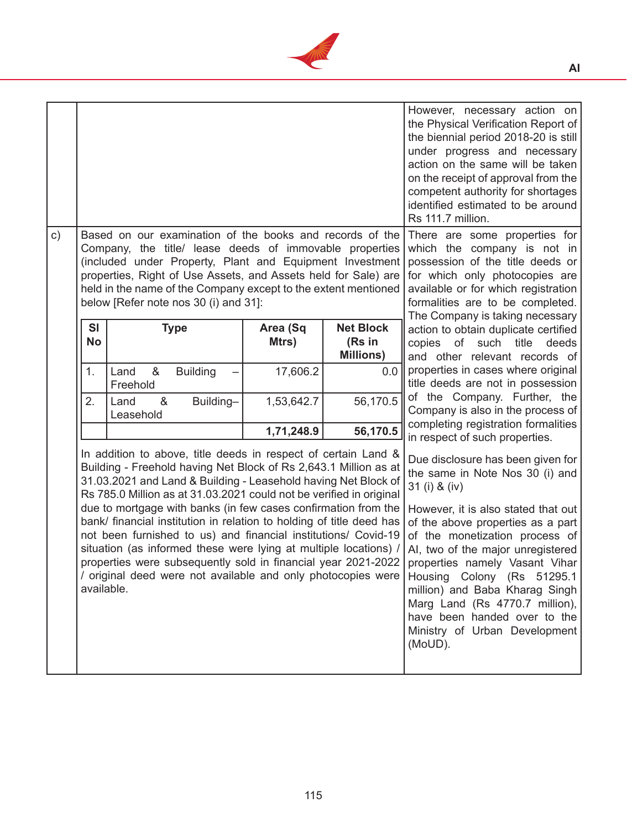

|               |                                                                                                                                                                                                                                                                                                                                                                                                                                                                                                                                                                                                                                                                                                            |                                                                                                                                                                                                                                                                                                                                                                             | However, necessary action on<br>the Physical Verification Report of<br>the biennial period 2018-20 is still<br>under progress and necessary<br>action on the same will be taken<br>on the receipt of approval from the<br>competent authority for shortages<br>identified estimated to be around<br>Rs 111.7 million.                                                                                                                                    |                            |                                                                                                          |
|---------------|------------------------------------------------------------------------------------------------------------------------------------------------------------------------------------------------------------------------------------------------------------------------------------------------------------------------------------------------------------------------------------------------------------------------------------------------------------------------------------------------------------------------------------------------------------------------------------------------------------------------------------------------------------------------------------------------------------|-----------------------------------------------------------------------------------------------------------------------------------------------------------------------------------------------------------------------------------------------------------------------------------------------------------------------------------------------------------------------------|----------------------------------------------------------------------------------------------------------------------------------------------------------------------------------------------------------------------------------------------------------------------------------------------------------------------------------------------------------------------------------------------------------------------------------------------------------|----------------------------|----------------------------------------------------------------------------------------------------------|
| $\mathsf{c})$ | <b>SI</b>                                                                                                                                                                                                                                                                                                                                                                                                                                                                                                                                                                                                                                                                                                  | Based on our examination of the books and records of the<br>Company, the title/ lease deeds of immovable properties<br>(included under Property, Plant and Equipment Investment<br>properties, Right of Use Assets, and Assets held for Sale) are<br>held in the name of the Company except to the extent mentioned<br>below [Refer note nos 30 (i) and 31]:<br><b>Type</b> | There are some properties for<br>which the company is not in<br>possession of the title deeds or<br>for which only photocopies are<br>available or for which registration<br>formalities are to be completed.<br>The Company is taking necessary<br>action to obtain duplicate certified                                                                                                                                                                 |                            |                                                                                                          |
|               | <b>No</b>                                                                                                                                                                                                                                                                                                                                                                                                                                                                                                                                                                                                                                                                                                  |                                                                                                                                                                                                                                                                                                                                                                             | Mtrs)                                                                                                                                                                                                                                                                                                                                                                                                                                                    | (Rs in<br><b>Millions)</b> | copies<br>of<br>such<br>title<br>deeds<br>and other relevant records of                                  |
|               | 1.                                                                                                                                                                                                                                                                                                                                                                                                                                                                                                                                                                                                                                                                                                         | &<br><b>Building</b><br>Land<br>Freehold                                                                                                                                                                                                                                                                                                                                    | 17,606.2                                                                                                                                                                                                                                                                                                                                                                                                                                                 | 0.0                        | properties in cases where original<br>title deeds are not in possession                                  |
|               | 2.                                                                                                                                                                                                                                                                                                                                                                                                                                                                                                                                                                                                                                                                                                         | &<br>Building-<br>Land<br>Leasehold                                                                                                                                                                                                                                                                                                                                         | 1,53,642.7                                                                                                                                                                                                                                                                                                                                                                                                                                               | 56,170.5                   | of the Company. Further, the<br>Company is also in the process of<br>completing registration formalities |
|               |                                                                                                                                                                                                                                                                                                                                                                                                                                                                                                                                                                                                                                                                                                            |                                                                                                                                                                                                                                                                                                                                                                             | 1,71,248.9                                                                                                                                                                                                                                                                                                                                                                                                                                               | 56,170.5                   | in respect of such properties.                                                                           |
|               | In addition to above, title deeds in respect of certain Land &<br>Building - Freehold having Net Block of Rs 2,643.1 Million as at<br>31.03.2021 and Land & Building - Leasehold having Net Block of<br>Rs 785.0 Million as at 31.03.2021 could not be verified in original<br>due to mortgage with banks (in few cases confirmation from the<br>bank/ financial institution in relation to holding of title deed has<br>not been furnished to us) and financial institutions/ Covid-19<br>situation (as informed these were lying at multiple locations) /<br>properties were subsequently sold in financial year 2021-2022<br>/ original deed were not available and only photocopies were<br>available. |                                                                                                                                                                                                                                                                                                                                                                             | Due disclosure has been given for<br>the same in Note Nos 30 (i) and<br>31 (i) & (iv)<br>However, it is also stated that out<br>of the above properties as a part<br>of the monetization process of<br>Al, two of the major unregistered<br>properties namely Vasant Vihar<br>Housing Colony (Rs 51295.1<br>million) and Baba Kharag Singh<br>Marg Land (Rs 4770.7 million),<br>have been handed over to the<br>Ministry of Urban Development<br>(MoUD). |                            |                                                                                                          |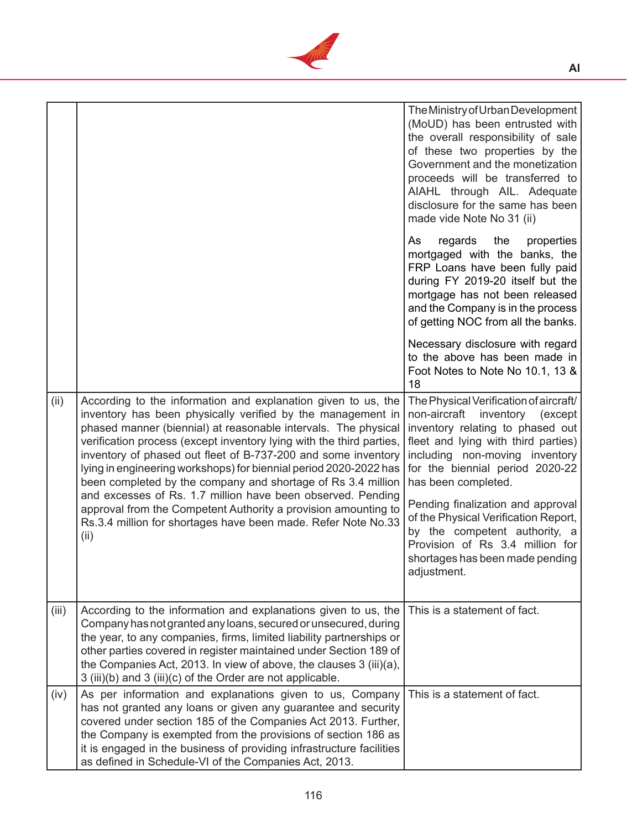

|       |                                                                                                                                                                                                                                                                                                                                                                                                                                                                                                                                                                                                                                                                                        | The Ministry of Urban Development<br>(MoUD) has been entrusted with<br>the overall responsibility of sale<br>of these two properties by the<br>Government and the monetization<br>proceeds will be transferred to<br>AIAHL through AIL. Adequate<br>disclosure for the same has been<br>made vide Note No 31 (ii)<br>the<br>As<br>regards<br>properties<br>mortgaged with the banks, the<br>FRP Loans have been fully paid<br>during FY 2019-20 itself but the<br>mortgage has not been released<br>and the Company is in the process<br>of getting NOC from all the banks. |
|-------|----------------------------------------------------------------------------------------------------------------------------------------------------------------------------------------------------------------------------------------------------------------------------------------------------------------------------------------------------------------------------------------------------------------------------------------------------------------------------------------------------------------------------------------------------------------------------------------------------------------------------------------------------------------------------------------|-----------------------------------------------------------------------------------------------------------------------------------------------------------------------------------------------------------------------------------------------------------------------------------------------------------------------------------------------------------------------------------------------------------------------------------------------------------------------------------------------------------------------------------------------------------------------------|
|       |                                                                                                                                                                                                                                                                                                                                                                                                                                                                                                                                                                                                                                                                                        | Necessary disclosure with regard<br>to the above has been made in<br>Foot Notes to Note No 10.1, 13 &<br>18                                                                                                                                                                                                                                                                                                                                                                                                                                                                 |
| (ii)  | According to the information and explanation given to us, the<br>inventory has been physically verified by the management in<br>phased manner (biennial) at reasonable intervals. The physical<br>verification process (except inventory lying with the third parties,<br>inventory of phased out fleet of B-737-200 and some inventory<br>lying in engineering workshops) for biennial period 2020-2022 has<br>been completed by the company and shortage of Rs 3.4 million<br>and excesses of Rs. 1.7 million have been observed. Pending<br>approval from the Competent Authority a provision amounting to<br>Rs.3.4 million for shortages have been made. Refer Note No.33<br>(ii) | The Physical Verification of aircraft/<br>non-aircraft<br>inventory<br>(except)<br>inventory relating to phased out<br>fleet and lying with third parties)<br>including non-moving inventory<br>for the biennial period 2020-22<br>has been completed.<br>Pending finalization and approval<br>of the Physical Verification Report,<br>by the competent authority, a<br>Provision of Rs 3.4 million for<br>shortages has been made pending<br>adjustment.                                                                                                                   |
| (iii) | According to the information and explanations given to us, the<br>Company has not granted any loans, secured or unsecured, during<br>the year, to any companies, firms, limited liability partnerships or<br>other parties covered in register maintained under Section 189 of<br>the Companies Act, 2013. In view of above, the clauses 3 (iii)(a),<br>3 (iii)(b) and 3 (iii)(c) of the Order are not applicable.                                                                                                                                                                                                                                                                     | This is a statement of fact.                                                                                                                                                                                                                                                                                                                                                                                                                                                                                                                                                |
| (iv)  | As per information and explanations given to us, Company<br>has not granted any loans or given any guarantee and security<br>covered under section 185 of the Companies Act 2013. Further,<br>the Company is exempted from the provisions of section 186 as<br>it is engaged in the business of providing infrastructure facilities<br>as defined in Schedule-VI of the Companies Act, 2013.                                                                                                                                                                                                                                                                                           | This is a statement of fact.                                                                                                                                                                                                                                                                                                                                                                                                                                                                                                                                                |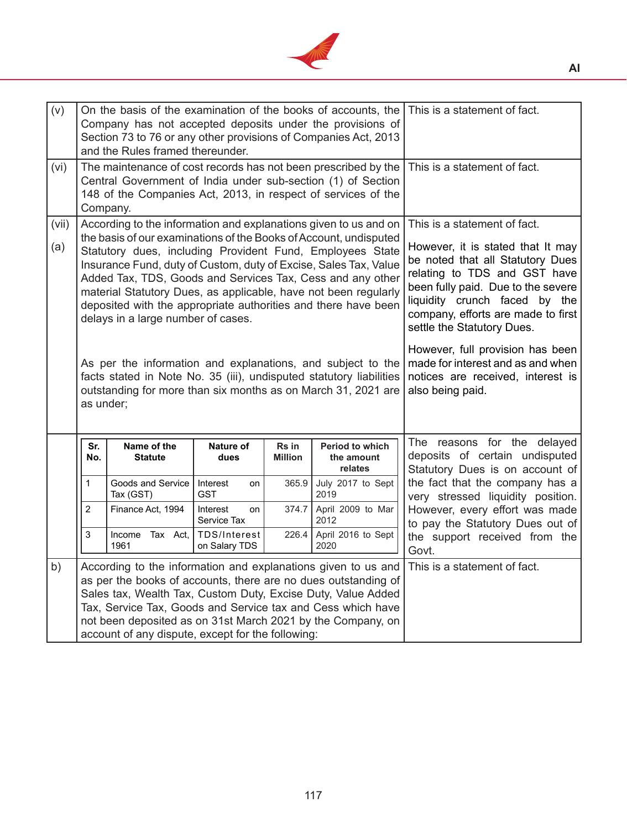

| (v)          | On the basis of the examination of the books of accounts, the<br>Company has not accepted deposits under the provisions of<br>Section 73 to 76 or any other provisions of Companies Act, 2013<br>and the Rules framed thereunder.                                                                                                                                                                                                                                                                                                                                                                                                                                                                                                               |                                |                               |                                                                                                                                                                                                                                                                                                                                                                                                                    |                                                                                                                                                                                                 | This is a statement of fact.                                                                     |
|--------------|-------------------------------------------------------------------------------------------------------------------------------------------------------------------------------------------------------------------------------------------------------------------------------------------------------------------------------------------------------------------------------------------------------------------------------------------------------------------------------------------------------------------------------------------------------------------------------------------------------------------------------------------------------------------------------------------------------------------------------------------------|--------------------------------|-------------------------------|--------------------------------------------------------------------------------------------------------------------------------------------------------------------------------------------------------------------------------------------------------------------------------------------------------------------------------------------------------------------------------------------------------------------|-------------------------------------------------------------------------------------------------------------------------------------------------------------------------------------------------|--------------------------------------------------------------------------------------------------|
| (vi)         |                                                                                                                                                                                                                                                                                                                                                                                                                                                                                                                                                                                                                                                                                                                                                 |                                |                               |                                                                                                                                                                                                                                                                                                                                                                                                                    | The maintenance of cost records has not been prescribed by the<br>Central Government of India under sub-section (1) of Section<br>148 of the Companies Act, 2013, in respect of services of the | This is a statement of fact.                                                                     |
| (vii)<br>(a) | Company.<br>According to the information and explanations given to us and on<br>the basis of our examinations of the Books of Account, undisputed<br>Statutory dues, including Provident Fund, Employees State<br>Insurance Fund, duty of Custom, duty of Excise, Sales Tax, Value<br>Added Tax, TDS, Goods and Services Tax, Cess and any other<br>material Statutory Dues, as applicable, have not been regularly<br>deposited with the appropriate authorities and there have been<br>delays in a large number of cases.<br>As per the information and explanations, and subject to the<br>facts stated in Note No. 35 (iii), undisputed statutory liabilities<br>outstanding for more than six months as on March 31, 2021 are<br>as under; |                                |                               | This is a statement of fact.<br>However, it is stated that It may<br>be noted that all Statutory Dues<br>relating to TDS and GST have<br>been fully paid. Due to the severe<br>liquidity crunch faced by the<br>company, efforts are made to first<br>settle the Statutory Dues.<br>However, full provision has been<br>made for interest and as and when<br>notices are received, interest is<br>also being paid. |                                                                                                                                                                                                 |                                                                                                  |
|              | Sr.<br>No.                                                                                                                                                                                                                                                                                                                                                                                                                                                                                                                                                                                                                                                                                                                                      | Name of the<br><b>Statute</b>  | Nature of<br>dues             | Rs in<br><b>Million</b>                                                                                                                                                                                                                                                                                                                                                                                            | Period to which<br>the amount<br>relates                                                                                                                                                        | The reasons for the delayed<br>deposits of certain undisputed<br>Statutory Dues is on account of |
|              | $\mathbf{1}$                                                                                                                                                                                                                                                                                                                                                                                                                                                                                                                                                                                                                                                                                                                                    | Goods and Service<br>Tax (GST) | Interest<br>on<br><b>GST</b>  | 365.9                                                                                                                                                                                                                                                                                                                                                                                                              | July 2017 to Sept<br>2019                                                                                                                                                                       | the fact that the company has a<br>very stressed liquidity position.                             |
|              | $\overline{c}$                                                                                                                                                                                                                                                                                                                                                                                                                                                                                                                                                                                                                                                                                                                                  | Finance Act, 1994              | Interest<br>on<br>Service Tax | 374.7                                                                                                                                                                                                                                                                                                                                                                                                              | April 2009 to Mar<br>2012                                                                                                                                                                       | However, every effort was made<br>to pay the Statutory Dues out of                               |
|              | 3                                                                                                                                                                                                                                                                                                                                                                                                                                                                                                                                                                                                                                                                                                                                               | Income<br>Tax Act,<br>1961     | TDS/Interest<br>on Salary TDS | 226.4                                                                                                                                                                                                                                                                                                                                                                                                              | April 2016 to Sept<br>2020                                                                                                                                                                      | the support received from the<br>Govt.                                                           |
| b)           | According to the information and explanations given to us and<br>as per the books of accounts, there are no dues outstanding of<br>Sales tax, Wealth Tax, Custom Duty, Excise Duty, Value Added<br>Tax, Service Tax, Goods and Service tax and Cess which have<br>not been deposited as on 31st March 2021 by the Company, on<br>account of any dispute, except for the following:                                                                                                                                                                                                                                                                                                                                                              |                                |                               | This is a statement of fact.                                                                                                                                                                                                                                                                                                                                                                                       |                                                                                                                                                                                                 |                                                                                                  |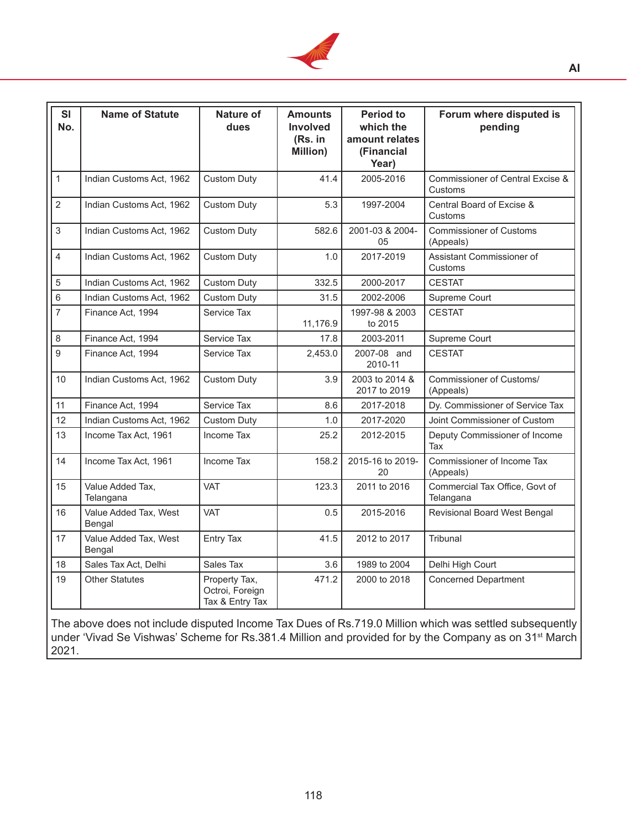

| SI<br>No.                | <b>Name of Statute</b>          | <b>Nature of</b><br>dues                            | <b>Amounts</b><br><b>Involved</b><br>(Rs. in<br>Million) | <b>Period to</b><br>which the<br>amount relates<br>(Financial<br>Year) | Forum where disputed is<br>pending          |
|--------------------------|---------------------------------|-----------------------------------------------------|----------------------------------------------------------|------------------------------------------------------------------------|---------------------------------------------|
| $\mathbf{1}$             | Indian Customs Act, 1962        | <b>Custom Duty</b>                                  | 41.4                                                     | 2005-2016                                                              | Commissioner of Central Excise &<br>Customs |
| $\overline{2}$           | Indian Customs Act, 1962        | <b>Custom Duty</b>                                  | 5.3                                                      | 1997-2004                                                              | Central Board of Excise &<br>Customs        |
| 3                        | Indian Customs Act, 1962        | <b>Custom Duty</b>                                  | 582.6                                                    | 2001-03 & 2004-<br>05                                                  | <b>Commissioner of Customs</b><br>(Appeals) |
| $\overline{\mathcal{L}}$ | Indian Customs Act, 1962        | <b>Custom Duty</b>                                  | 1.0                                                      | 2017-2019                                                              | Assistant Commissioner of<br>Customs        |
| 5                        | Indian Customs Act, 1962        | <b>Custom Duty</b>                                  | 332.5                                                    | 2000-2017                                                              | <b>CESTAT</b>                               |
| 6                        | Indian Customs Act, 1962        | <b>Custom Duty</b>                                  | 31.5                                                     | 2002-2006                                                              | Supreme Court                               |
| $\overline{7}$           | Finance Act, 1994               | Service Tax                                         | 11,176.9                                                 | 1997-98 & 2003<br>to 2015                                              | <b>CESTAT</b>                               |
| 8                        | Finance Act, 1994               | Service Tax                                         | 17.8                                                     | 2003-2011                                                              | Supreme Court                               |
| 9                        | Finance Act, 1994               | Service Tax                                         | 2,453.0                                                  | 2007-08 and<br>2010-11                                                 | <b>CESTAT</b>                               |
| 10                       | Indian Customs Act, 1962        | <b>Custom Duty</b>                                  | 3.9                                                      | 2003 to 2014 &<br>2017 to 2019                                         | Commissioner of Customs/<br>(Appeals)       |
| 11                       | Finance Act, 1994               | Service Tax                                         | 8.6                                                      | 2017-2018                                                              | Dy. Commissioner of Service Tax             |
| 12                       | Indian Customs Act, 1962        | <b>Custom Duty</b>                                  | 1.0                                                      | 2017-2020                                                              | Joint Commissioner of Custom                |
| 13                       | Income Tax Act, 1961            | Income Tax                                          | 25.2                                                     | 2012-2015                                                              | Deputy Commissioner of Income<br>Tax        |
| 14                       | Income Tax Act, 1961            | Income Tax                                          | 158.2                                                    | 2015-16 to 2019-<br>20                                                 | Commissioner of Income Tax<br>(Appeals)     |
| 15                       | Value Added Tax,<br>Telangana   | <b>VAT</b>                                          | 123.3                                                    | 2011 to 2016                                                           | Commercial Tax Office, Govt of<br>Telangana |
| 16                       | Value Added Tax, West<br>Bengal | VAT                                                 | 0.5                                                      | 2015-2016                                                              | Revisional Board West Bengal                |
| 17                       | Value Added Tax, West<br>Bengal | Entry Tax                                           | 41.5                                                     | 2012 to 2017                                                           | Tribunal                                    |
| 18                       | Sales Tax Act, Delhi            | Sales Tax                                           | 3.6                                                      | 1989 to 2004                                                           | Delhi High Court                            |
| 19                       | <b>Other Statutes</b>           | Property Tax,<br>Octroi, Foreign<br>Tax & Entry Tax | 471.2                                                    | 2000 to 2018                                                           | <b>Concerned Department</b>                 |

The above does not include disputed Income Tax Dues of Rs.719.0 Million which was settled subsequently under 'Vivad Se Vishwas' Scheme for Rs.381.4 Million and provided for by the Company as on 31<sup>st</sup> March 2021.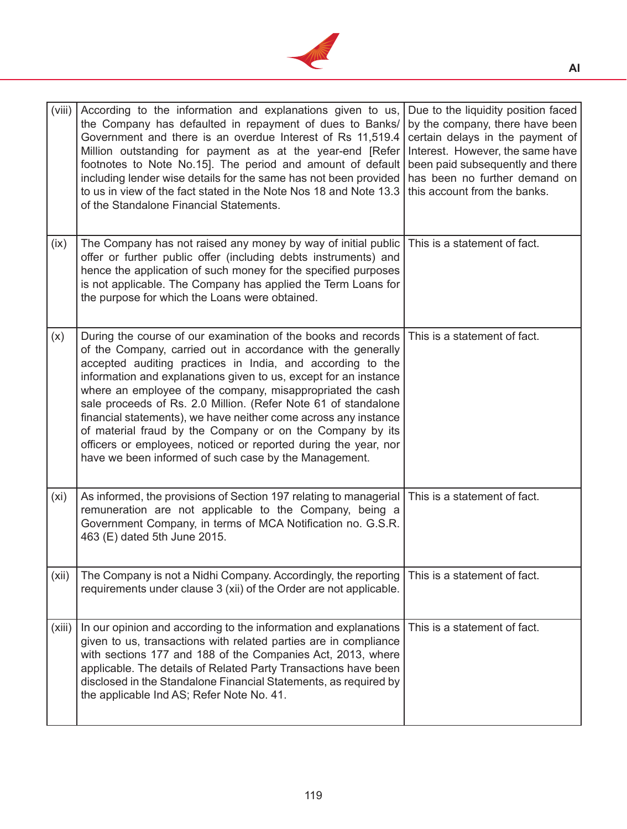

| (viii) | According to the information and explanations given to us,<br>the Company has defaulted in repayment of dues to Banks/<br>Government and there is an overdue Interest of Rs 11,519.4<br>Million outstanding for payment as at the year-end [Refer<br>footnotes to Note No.15]. The period and amount of default<br>including lender wise details for the same has not been provided<br>to us in view of the fact stated in the Note Nos 18 and Note 13.3<br>of the Standalone Financial Statements.                                                                                                                                                         | Due to the liquidity position faced<br>by the company, there have been<br>certain delays in the payment of<br>Interest. However, the same have<br>been paid subsequently and there<br>has been no further demand on<br>this account from the banks. |
|--------|-------------------------------------------------------------------------------------------------------------------------------------------------------------------------------------------------------------------------------------------------------------------------------------------------------------------------------------------------------------------------------------------------------------------------------------------------------------------------------------------------------------------------------------------------------------------------------------------------------------------------------------------------------------|-----------------------------------------------------------------------------------------------------------------------------------------------------------------------------------------------------------------------------------------------------|
| (ix)   | The Company has not raised any money by way of initial public<br>offer or further public offer (including debts instruments) and<br>hence the application of such money for the specified purposes<br>is not applicable. The Company has applied the Term Loans for<br>the purpose for which the Loans were obtained.                                                                                                                                                                                                                                                                                                                                       | This is a statement of fact.                                                                                                                                                                                                                        |
| (x)    | During the course of our examination of the books and records<br>of the Company, carried out in accordance with the generally<br>accepted auditing practices in India, and according to the<br>information and explanations given to us, except for an instance<br>where an employee of the company, misappropriated the cash<br>sale proceeds of Rs. 2.0 Million. (Refer Note 61 of standalone<br>financial statements), we have neither come across any instance<br>of material fraud by the Company or on the Company by its<br>officers or employees, noticed or reported during the year, nor<br>have we been informed of such case by the Management. | This is a statement of fact.                                                                                                                                                                                                                        |
| (xi)   | As informed, the provisions of Section 197 relating to managerial<br>remuneration are not applicable to the Company, being a<br>Government Company, in terms of MCA Notification no. G.S.R.<br>463 (E) dated 5th June 2015.                                                                                                                                                                                                                                                                                                                                                                                                                                 | This is a statement of fact.                                                                                                                                                                                                                        |
| (xii)  | The Company is not a Nidhi Company. Accordingly, the reporting<br>requirements under clause 3 (xii) of the Order are not applicable.                                                                                                                                                                                                                                                                                                                                                                                                                                                                                                                        | This is a statement of fact.                                                                                                                                                                                                                        |
| (xiii) | In our opinion and according to the information and explanations<br>given to us, transactions with related parties are in compliance<br>with sections 177 and 188 of the Companies Act, 2013, where<br>applicable. The details of Related Party Transactions have been<br>disclosed in the Standalone Financial Statements, as required by<br>the applicable Ind AS; Refer Note No. 41.                                                                                                                                                                                                                                                                     | This is a statement of fact.                                                                                                                                                                                                                        |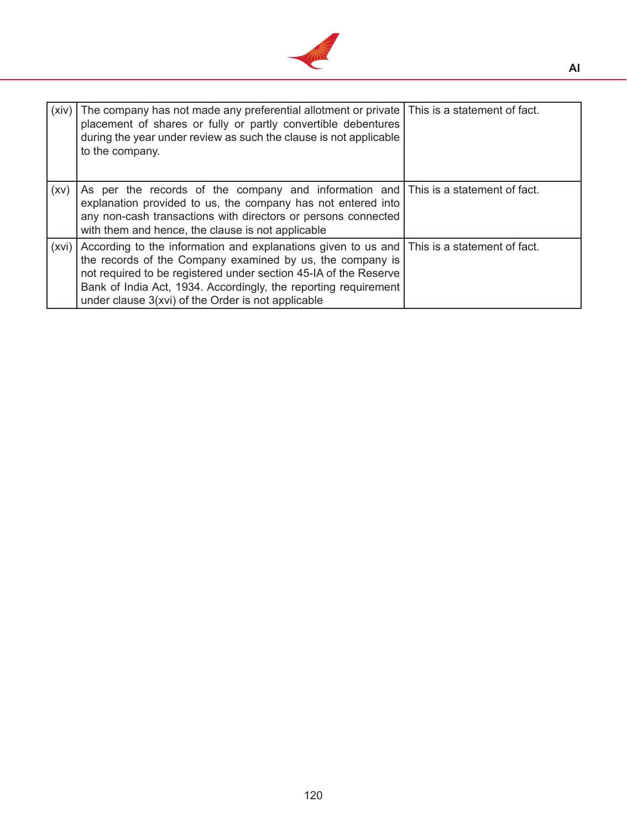

| (xiv) | The company has not made any preferential allotment or private   This is a statement of fact.<br>placement of shares or fully or partly convertible debentures<br>during the year under review as such the clause is not applicable<br>to the company.                                                                                                 |  |
|-------|--------------------------------------------------------------------------------------------------------------------------------------------------------------------------------------------------------------------------------------------------------------------------------------------------------------------------------------------------------|--|
| (xv)  | As per the records of the company and information and This is a statement of fact.<br>explanation provided to us, the company has not entered into<br>any non-cash transactions with directors or persons connected<br>with them and hence, the clause is not applicable                                                                               |  |
| (xvi) | According to the information and explanations given to us and   This is a statement of fact.<br>the records of the Company examined by us, the company is<br>not required to be registered under section 45-IA of the Reserve<br>Bank of India Act, 1934. Accordingly, the reporting requirement<br>under clause 3(xvi) of the Order is not applicable |  |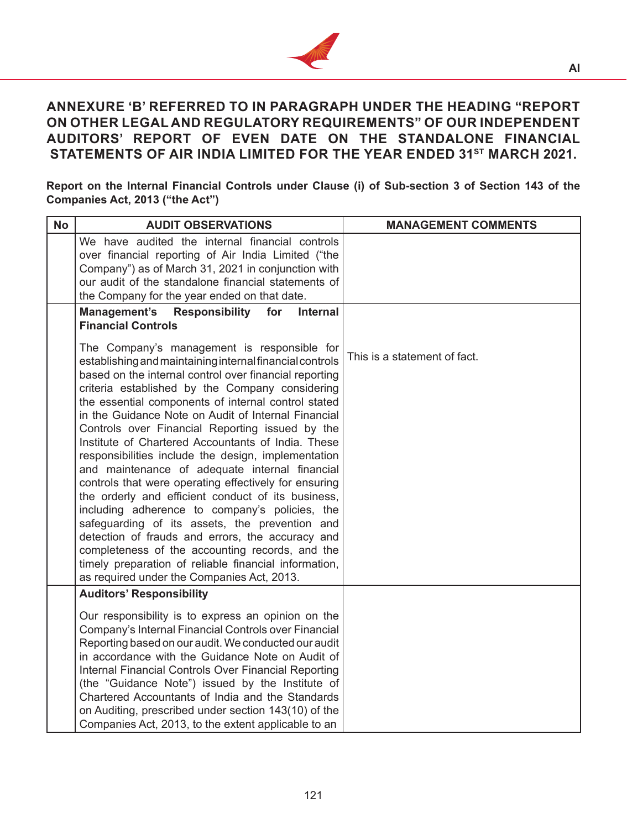

## **ANNEXURE 'B' REFERRED TO IN PARAGRAPH UNDER THE HEADING "REPORT ON OTHER LEGAL AND REGULATORY REQUIREMENTS" OF OUR INDEPENDENT AUDITORS' REPORT OF EVEN DATE ON THE STANDALONE FINANCIAL STATEMENTS OF AIR INDIA LIMITED FOR THE YEAR ENDED 31ST MARCH 2021.**

**Report on the Internal Financial Controls under Clause (i) of Sub-section 3 of Section 143 of the Companies Act, 2013 ("the Act")**

| <b>No</b> | <b>AUDIT OBSERVATIONS</b>                                                                                                                                                                                                                                                                                                                                                                                                                                                                                                                                                                                                                                                                                                                                                                                                                                                                                                               | <b>MANAGEMENT COMMENTS</b>   |
|-----------|-----------------------------------------------------------------------------------------------------------------------------------------------------------------------------------------------------------------------------------------------------------------------------------------------------------------------------------------------------------------------------------------------------------------------------------------------------------------------------------------------------------------------------------------------------------------------------------------------------------------------------------------------------------------------------------------------------------------------------------------------------------------------------------------------------------------------------------------------------------------------------------------------------------------------------------------|------------------------------|
|           | We have audited the internal financial controls<br>over financial reporting of Air India Limited ("the<br>Company") as of March 31, 2021 in conjunction with<br>our audit of the standalone financial statements of<br>the Company for the year ended on that date.                                                                                                                                                                                                                                                                                                                                                                                                                                                                                                                                                                                                                                                                     |                              |
|           | <b>Responsibility</b><br>Management's<br>for<br><b>Internal</b><br><b>Financial Controls</b>                                                                                                                                                                                                                                                                                                                                                                                                                                                                                                                                                                                                                                                                                                                                                                                                                                            |                              |
|           | The Company's management is responsible for<br>establishing and maintaining internal financial controls<br>based on the internal control over financial reporting<br>criteria established by the Company considering<br>the essential components of internal control stated<br>in the Guidance Note on Audit of Internal Financial<br>Controls over Financial Reporting issued by the<br>Institute of Chartered Accountants of India. These<br>responsibilities include the design, implementation<br>and maintenance of adequate internal financial<br>controls that were operating effectively for ensuring<br>the orderly and efficient conduct of its business,<br>including adherence to company's policies, the<br>safeguarding of its assets, the prevention and<br>detection of frauds and errors, the accuracy and<br>completeness of the accounting records, and the<br>timely preparation of reliable financial information, | This is a statement of fact. |
|           | as required under the Companies Act, 2013.<br><b>Auditors' Responsibility</b>                                                                                                                                                                                                                                                                                                                                                                                                                                                                                                                                                                                                                                                                                                                                                                                                                                                           |                              |
|           | Our responsibility is to express an opinion on the<br>Company's Internal Financial Controls over Financial<br>Reporting based on our audit. We conducted our audit<br>in accordance with the Guidance Note on Audit of<br>Internal Financial Controls Over Financial Reporting<br>(the "Guidance Note") issued by the Institute of<br>Chartered Accountants of India and the Standards<br>on Auditing, prescribed under section 143(10) of the<br>Companies Act, 2013, to the extent applicable to an                                                                                                                                                                                                                                                                                                                                                                                                                                   |                              |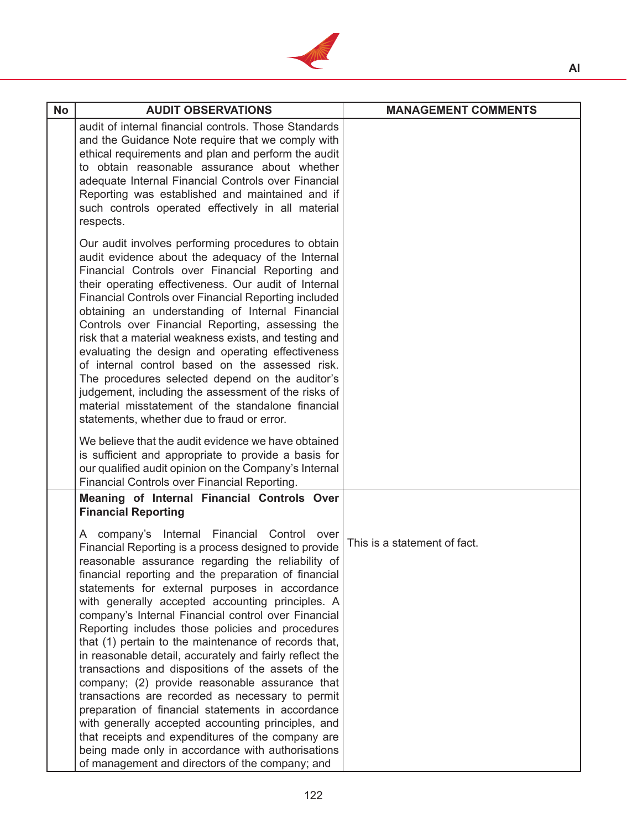

| <b>No</b> | <b>AUDIT OBSERVATIONS</b>                                                                                                                                                                                                                                                                                                                                                                                                                                                                                                                                                                                                                                                                                                                                                                                                                                                                                                                                                                      | <b>MANAGEMENT COMMENTS</b>   |
|-----------|------------------------------------------------------------------------------------------------------------------------------------------------------------------------------------------------------------------------------------------------------------------------------------------------------------------------------------------------------------------------------------------------------------------------------------------------------------------------------------------------------------------------------------------------------------------------------------------------------------------------------------------------------------------------------------------------------------------------------------------------------------------------------------------------------------------------------------------------------------------------------------------------------------------------------------------------------------------------------------------------|------------------------------|
|           | audit of internal financial controls. Those Standards<br>and the Guidance Note require that we comply with<br>ethical requirements and plan and perform the audit<br>to obtain reasonable assurance about whether<br>adequate Internal Financial Controls over Financial<br>Reporting was established and maintained and if<br>such controls operated effectively in all material<br>respects.                                                                                                                                                                                                                                                                                                                                                                                                                                                                                                                                                                                                 |                              |
|           | Our audit involves performing procedures to obtain<br>audit evidence about the adequacy of the Internal<br>Financial Controls over Financial Reporting and<br>their operating effectiveness. Our audit of Internal<br><b>Financial Controls over Financial Reporting included</b><br>obtaining an understanding of Internal Financial<br>Controls over Financial Reporting, assessing the<br>risk that a material weakness exists, and testing and<br>evaluating the design and operating effectiveness<br>of internal control based on the assessed risk.<br>The procedures selected depend on the auditor's<br>judgement, including the assessment of the risks of<br>material misstatement of the standalone financial<br>statements, whether due to fraud or error.                                                                                                                                                                                                                        |                              |
|           | We believe that the audit evidence we have obtained<br>is sufficient and appropriate to provide a basis for<br>our qualified audit opinion on the Company's Internal<br>Financial Controls over Financial Reporting.                                                                                                                                                                                                                                                                                                                                                                                                                                                                                                                                                                                                                                                                                                                                                                           |                              |
|           | Meaning of Internal Financial Controls Over<br><b>Financial Reporting</b>                                                                                                                                                                                                                                                                                                                                                                                                                                                                                                                                                                                                                                                                                                                                                                                                                                                                                                                      |                              |
|           | company's Internal Financial Control<br>over<br>A<br>Financial Reporting is a process designed to provide<br>reasonable assurance regarding the reliability of<br>financial reporting and the preparation of financial<br>statements for external purposes in accordance<br>with generally accepted accounting principles. A<br>company's Internal Financial control over Financial<br>Reporting includes those policies and procedures<br>that (1) pertain to the maintenance of records that,<br>in reasonable detail, accurately and fairly reflect the<br>transactions and dispositions of the assets of the<br>company; (2) provide reasonable assurance that<br>transactions are recorded as necessary to permit<br>preparation of financial statements in accordance<br>with generally accepted accounting principles, and<br>that receipts and expenditures of the company are<br>being made only in accordance with authorisations<br>of management and directors of the company; and | This is a statement of fact. |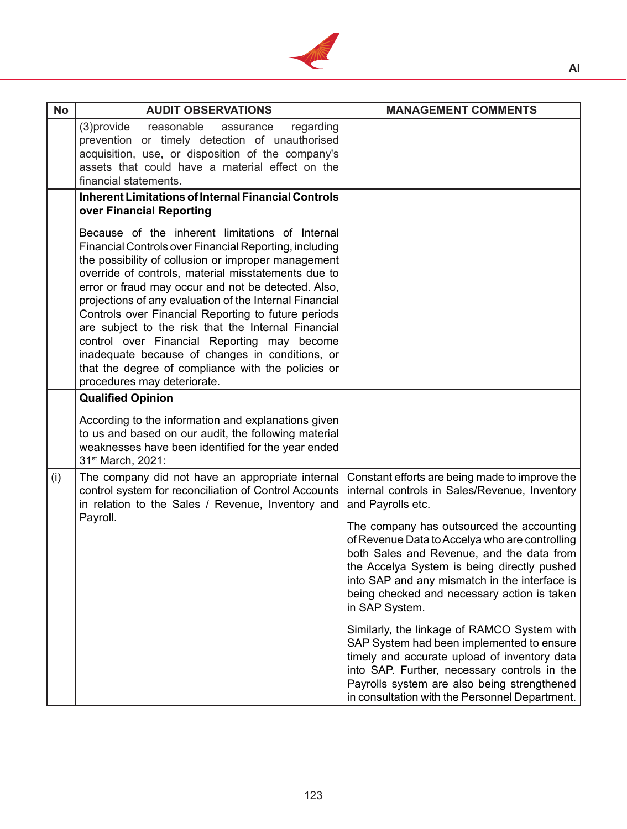

| <b>No</b> | <b>AUDIT OBSERVATIONS</b>                                                                                                                                                                                                                                                                                                                                                                                                                                                                                                                                                                                                                      | <b>MANAGEMENT COMMENTS</b>                                                                                                                                                                                                                                                                                |
|-----------|------------------------------------------------------------------------------------------------------------------------------------------------------------------------------------------------------------------------------------------------------------------------------------------------------------------------------------------------------------------------------------------------------------------------------------------------------------------------------------------------------------------------------------------------------------------------------------------------------------------------------------------------|-----------------------------------------------------------------------------------------------------------------------------------------------------------------------------------------------------------------------------------------------------------------------------------------------------------|
|           | (3)provide<br>reasonable<br>assurance<br>regarding<br>prevention or timely detection of unauthorised<br>acquisition, use, or disposition of the company's<br>assets that could have a material effect on the<br>financial statements.                                                                                                                                                                                                                                                                                                                                                                                                          |                                                                                                                                                                                                                                                                                                           |
|           | <b>Inherent Limitations of Internal Financial Controls</b><br>over Financial Reporting                                                                                                                                                                                                                                                                                                                                                                                                                                                                                                                                                         |                                                                                                                                                                                                                                                                                                           |
|           | Because of the inherent limitations of Internal<br>Financial Controls over Financial Reporting, including<br>the possibility of collusion or improper management<br>override of controls, material misstatements due to<br>error or fraud may occur and not be detected. Also,<br>projections of any evaluation of the Internal Financial<br>Controls over Financial Reporting to future periods<br>are subject to the risk that the Internal Financial<br>control over Financial Reporting may become<br>inadequate because of changes in conditions, or<br>that the degree of compliance with the policies or<br>procedures may deteriorate. |                                                                                                                                                                                                                                                                                                           |
|           | <b>Qualified Opinion</b><br>According to the information and explanations given<br>to us and based on our audit, the following material<br>weaknesses have been identified for the year ended<br>31 <sup>st</sup> March, 2021:                                                                                                                                                                                                                                                                                                                                                                                                                 |                                                                                                                                                                                                                                                                                                           |
| (i)       | The company did not have an appropriate internal<br>control system for reconciliation of Control Accounts<br>in relation to the Sales / Revenue, Inventory and                                                                                                                                                                                                                                                                                                                                                                                                                                                                                 | Constant efforts are being made to improve the<br>internal controls in Sales/Revenue, Inventory<br>and Payrolls etc.                                                                                                                                                                                      |
|           | Payroll.                                                                                                                                                                                                                                                                                                                                                                                                                                                                                                                                                                                                                                       | The company has outsourced the accounting<br>of Revenue Data to Accelya who are controlling<br>both Sales and Revenue, and the data from<br>the Accelya System is being directly pushed<br>into SAP and any mismatch in the interface is<br>being checked and necessary action is taken<br>in SAP System. |
|           |                                                                                                                                                                                                                                                                                                                                                                                                                                                                                                                                                                                                                                                | Similarly, the linkage of RAMCO System with<br>SAP System had been implemented to ensure<br>timely and accurate upload of inventory data<br>into SAP. Further, necessary controls in the<br>Payrolls system are also being strengthened<br>in consultation with the Personnel Department.                 |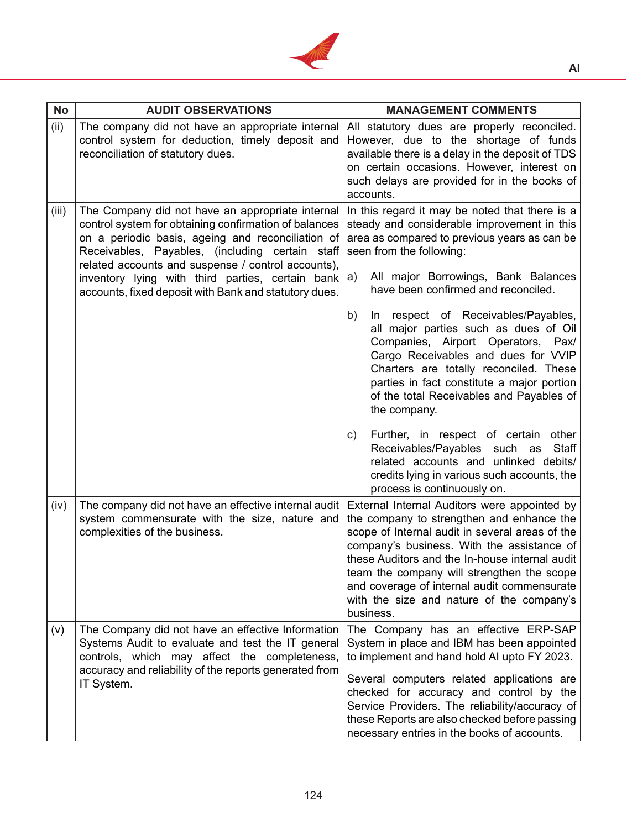

| <b>No</b> | <b>AUDIT OBSERVATIONS</b>                                                                                                                                                                                                                                                                                                                                                            | <b>MANAGEMENT COMMENTS</b>                                                                                                                                                                                                                                                                                                                                                                          |
|-----------|--------------------------------------------------------------------------------------------------------------------------------------------------------------------------------------------------------------------------------------------------------------------------------------------------------------------------------------------------------------------------------------|-----------------------------------------------------------------------------------------------------------------------------------------------------------------------------------------------------------------------------------------------------------------------------------------------------------------------------------------------------------------------------------------------------|
| (ii)      | The company did not have an appropriate internal<br>control system for deduction, timely deposit and<br>reconciliation of statutory dues.                                                                                                                                                                                                                                            | All statutory dues are properly reconciled.<br>However, due to the shortage of funds<br>available there is a delay in the deposit of TDS<br>on certain occasions. However, interest on<br>such delays are provided for in the books of<br>accounts.                                                                                                                                                 |
| (iii)     | The Company did not have an appropriate internal<br>control system for obtaining confirmation of balances<br>on a periodic basis, ageing and reconciliation of<br>Receivables, Payables, (including certain staff<br>related accounts and suspense / control accounts),<br>inventory lying with third parties, certain bank<br>accounts, fixed deposit with Bank and statutory dues. | In this regard it may be noted that there is a<br>steady and considerable improvement in this<br>area as compared to previous years as can be<br>seen from the following:                                                                                                                                                                                                                           |
|           |                                                                                                                                                                                                                                                                                                                                                                                      | All major Borrowings, Bank Balances<br>a)<br>have been confirmed and reconciled.                                                                                                                                                                                                                                                                                                                    |
|           |                                                                                                                                                                                                                                                                                                                                                                                      | b)<br>In respect of Receivables/Payables,<br>all major parties such as dues of Oil<br>Companies, Airport Operators, Pax/<br>Cargo Receivables and dues for VVIP<br>Charters are totally reconciled. These<br>parties in fact constitute a major portion<br>of the total Receivables and Payables of<br>the company.                                                                                 |
|           |                                                                                                                                                                                                                                                                                                                                                                                      | Further, in respect of certain other<br>c)<br>Receivables/Payables such as<br>Staff<br>related accounts and unlinked debits/<br>credits lying in various such accounts, the<br>process is continuously on.                                                                                                                                                                                          |
| (iv)      | The company did not have an effective internal audit<br>system commensurate with the size, nature and<br>complexities of the business.                                                                                                                                                                                                                                               | External Internal Auditors were appointed by<br>the company to strengthen and enhance the<br>scope of Internal audit in several areas of the<br>company's business. With the assistance of<br>these Auditors and the In-house internal audit<br>team the company will strengthen the scope<br>and coverage of internal audit commensurate<br>with the size and nature of the company's<br>business. |
| (v)       | The Company did not have an effective Information<br>Systems Audit to evaluate and test the IT general<br>controls, which may affect the completeness,<br>accuracy and reliability of the reports generated from<br>IT System.                                                                                                                                                       | The Company has an effective ERP-SAP<br>System in place and IBM has been appointed<br>to implement and hand hold AI upto FY 2023.<br>Several computers related applications are<br>checked for accuracy and control by the<br>Service Providers. The reliability/accuracy of<br>these Reports are also checked before passing<br>necessary entries in the books of accounts.                        |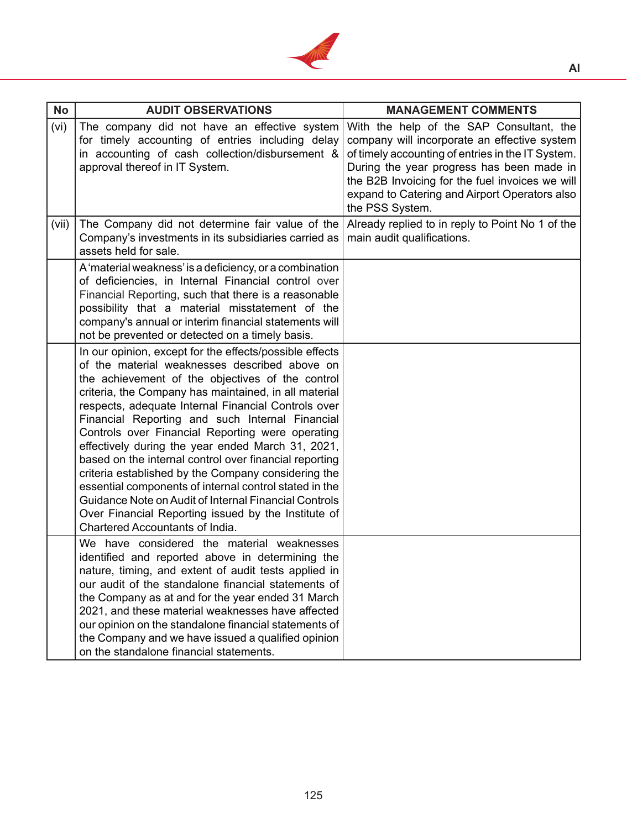

| <b>No</b> | <b>AUDIT OBSERVATIONS</b>                                                                                                                                                                                                                                                                                                                                                                                                                                                                                                                                                                                                                                                                                                                                              | <b>MANAGEMENT COMMENTS</b>                                                                                                                                                                                                                                                                                        |
|-----------|------------------------------------------------------------------------------------------------------------------------------------------------------------------------------------------------------------------------------------------------------------------------------------------------------------------------------------------------------------------------------------------------------------------------------------------------------------------------------------------------------------------------------------------------------------------------------------------------------------------------------------------------------------------------------------------------------------------------------------------------------------------------|-------------------------------------------------------------------------------------------------------------------------------------------------------------------------------------------------------------------------------------------------------------------------------------------------------------------|
| (vi)      | The company did not have an effective system<br>for timely accounting of entries including delay<br>in accounting of cash collection/disbursement &<br>approval thereof in IT System.                                                                                                                                                                                                                                                                                                                                                                                                                                                                                                                                                                                  | With the help of the SAP Consultant, the<br>company will incorporate an effective system<br>of timely accounting of entries in the IT System.<br>During the year progress has been made in<br>the B2B Invoicing for the fuel invoices we will<br>expand to Catering and Airport Operators also<br>the PSS System. |
| (vii)     | The Company did not determine fair value of the<br>Company's investments in its subsidiaries carried as<br>assets held for sale.                                                                                                                                                                                                                                                                                                                                                                                                                                                                                                                                                                                                                                       | Already replied to in reply to Point No 1 of the<br>main audit qualifications.                                                                                                                                                                                                                                    |
|           | A 'material weakness' is a deficiency, or a combination<br>of deficiencies, in Internal Financial control over<br>Financial Reporting, such that there is a reasonable<br>possibility that a material misstatement of the<br>company's annual or interim financial statements will<br>not be prevented or detected on a timely basis.                                                                                                                                                                                                                                                                                                                                                                                                                                  |                                                                                                                                                                                                                                                                                                                   |
|           | In our opinion, except for the effects/possible effects<br>of the material weaknesses described above on<br>the achievement of the objectives of the control<br>criteria, the Company has maintained, in all material<br>respects, adequate Internal Financial Controls over<br>Financial Reporting and such Internal Financial<br>Controls over Financial Reporting were operating<br>effectively during the year ended March 31, 2021,<br>based on the internal control over financial reporting<br>criteria established by the Company considering the<br>essential components of internal control stated in the<br>Guidance Note on Audit of Internal Financial Controls<br>Over Financial Reporting issued by the Institute of<br>Chartered Accountants of India. |                                                                                                                                                                                                                                                                                                                   |
|           | We have considered the material weaknesses<br>identified and reported above in determining the<br>nature, timing, and extent of audit tests applied in<br>our audit of the standalone financial statements of<br>the Company as at and for the year ended 31 March<br>2021, and these material weaknesses have affected<br>our opinion on the standalone financial statements of<br>the Company and we have issued a qualified opinion<br>on the standalone financial statements.                                                                                                                                                                                                                                                                                      |                                                                                                                                                                                                                                                                                                                   |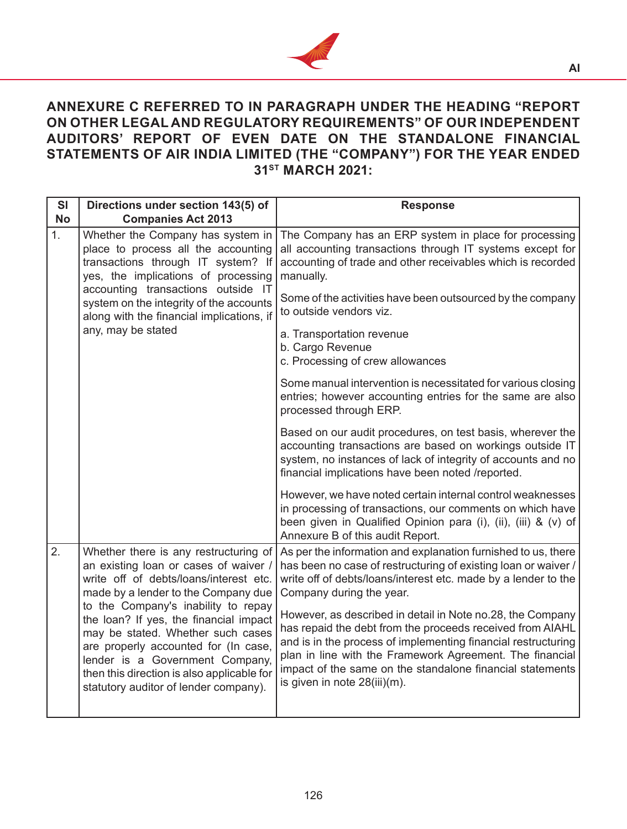

# **ANNEXURE C REFERRED TO IN PARAGRAPH UNDER THE HEADING "REPORT ON OTHER LEGAL AND REGULATORY REQUIREMENTS" OF OUR INDEPENDENT AUDITORS' REPORT OF EVEN DATE ON THE STANDALONE FINANCIAL STATEMENTS OF AIR INDIA LIMITED (THE "COMPANY") FOR THE YEAR ENDED 31ST MARCH 2021:**

| <b>SI</b><br><b>No</b> | Directions under section 143(5) of<br><b>Companies Act 2013</b>                                                                                                                                                                                                                                                                                                                                                                                         | <b>Response</b>                                                                                                                                                                                                                                                                                                                                                                                                                                                                                                                                                                                                        |
|------------------------|---------------------------------------------------------------------------------------------------------------------------------------------------------------------------------------------------------------------------------------------------------------------------------------------------------------------------------------------------------------------------------------------------------------------------------------------------------|------------------------------------------------------------------------------------------------------------------------------------------------------------------------------------------------------------------------------------------------------------------------------------------------------------------------------------------------------------------------------------------------------------------------------------------------------------------------------------------------------------------------------------------------------------------------------------------------------------------------|
| 1.                     | Whether the Company has system in<br>place to process all the accounting<br>transactions through IT system? If<br>yes, the implications of processing<br>accounting transactions outside IT<br>system on the integrity of the accounts<br>along with the financial implications, if<br>any, may be stated                                                                                                                                               | The Company has an ERP system in place for processing<br>all accounting transactions through IT systems except for<br>accounting of trade and other receivables which is recorded<br>manually.<br>Some of the activities have been outsourced by the company<br>to outside vendors viz.<br>a. Transportation revenue<br>b. Cargo Revenue<br>c. Processing of crew allowances<br>Some manual intervention is necessitated for various closing                                                                                                                                                                           |
|                        |                                                                                                                                                                                                                                                                                                                                                                                                                                                         | entries; however accounting entries for the same are also<br>processed through ERP.<br>Based on our audit procedures, on test basis, wherever the<br>accounting transactions are based on workings outside IT<br>system, no instances of lack of integrity of accounts and no<br>financial implications have been noted /reported.<br>However, we have noted certain internal control weaknesses<br>in processing of transactions, our comments on which have<br>been given in Qualified Opinion para (i), (ii), (iii) & (v) of                                                                                        |
| 2.                     | Whether there is any restructuring of<br>an existing loan or cases of waiver /<br>write off of debts/loans/interest etc.<br>made by a lender to the Company due<br>to the Company's inability to repay<br>the loan? If yes, the financial impact<br>may be stated. Whether such cases<br>are properly accounted for (In case,<br>lender is a Government Company,<br>then this direction is also applicable for<br>statutory auditor of lender company). | Annexure B of this audit Report.<br>As per the information and explanation furnished to us, there<br>has been no case of restructuring of existing loan or waiver /<br>write off of debts/loans/interest etc. made by a lender to the<br>Company during the year.<br>However, as described in detail in Note no.28, the Company<br>has repaid the debt from the proceeds received from AIAHL<br>and is in the process of implementing financial restructuring<br>plan in line with the Framework Agreement. The financial<br>impact of the same on the standalone financial statements<br>is given in note 28(iii)(m). |